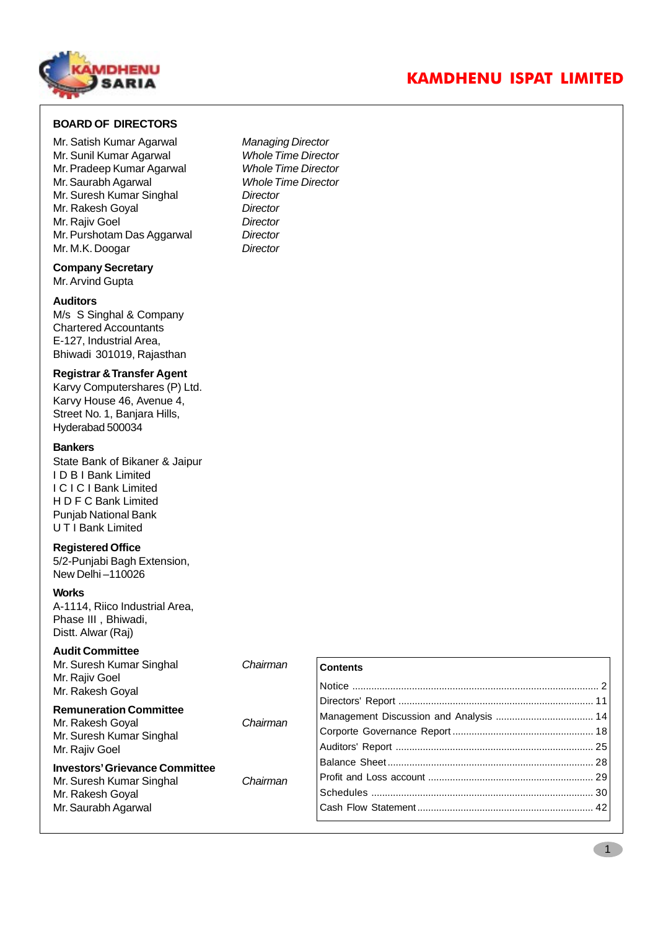

## **BOARD OF DIRECTORS**

Mr. Satish Kumar Agarwal Managing Director Mr. Sunil Kumar Agarwal Whole Time Director Mr. Pradeep Kumar Agarwal Whole Time Director Mr. Saurabh Agarwal Whole Time Director Mr. Suresh Kumar Singhal Director Mr. Rakesh Goyal Director Mr. Rajiv Goel **Director** Mr. Purshotam Das Aggarwal Director Mr. M.K. Doogar Director

**Company Secretary** Mr. Arvind Gupta

#### **Auditors**

M/s S Singhal & Company Chartered Accountants E-127, Industrial Area, Bhiwadi 301019, Rajasthan

#### **Registrar & Transfer Agent**

Karvy Computershares (P) Ltd. Karvy House 46, Avenue 4, Street No. 1, Banjara Hills, Hyderabad 500034

#### **Bankers**

State Bank of Bikaner & Jaipur I D B I Bank Limited I C I C I Bank Limited H D F C Bank Limited Punjab National Bank UT I Bank Limited

### **Registered Office**

5/2-Punjabi Bagh Extension, New Delhi –110026

## **Works**

A-1114, Riico Industrial Area, Phase III , Bhiwadi, Distt. Alwar (Raj)

## **Audit Committee**

| Mr. Suresh Kumar Singhal                                                                                | Chairman | <b>Contents</b> |  |
|---------------------------------------------------------------------------------------------------------|----------|-----------------|--|
| Mr. Rajiv Goel<br>Mr. Rakesh Goyal                                                                      |          |                 |  |
| <b>Remuneration Committee</b>                                                                           | Chairman |                 |  |
| Mr. Rakesh Goyal<br>Mr. Suresh Kumar Singhal                                                            |          |                 |  |
| Mr. Rajiv Goel<br><b>Investors' Grievance Committee</b><br>Mr. Suresh Kumar Singhal<br>Mr. Rakesh Goyal | Chairman |                 |  |
|                                                                                                         |          |                 |  |
| Mr. Saurabh Agarwal                                                                                     |          |                 |  |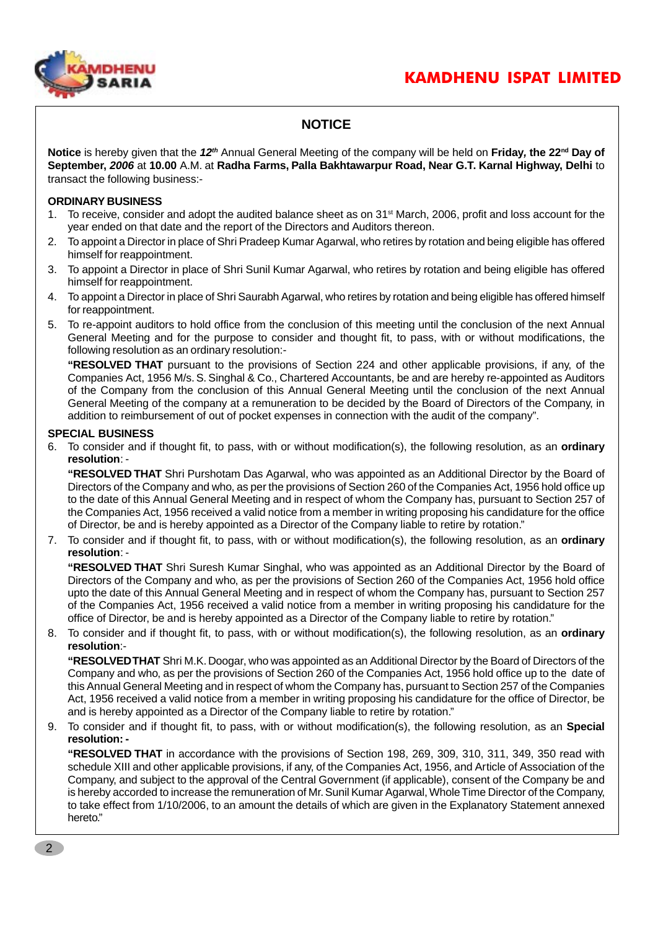

## **NOTICE**

**Notice** is hereby given that the **12th** Annual General Meeting of the company will be held on **Friday, the 22nd Day of September, 2006** at **10.00** A.M. at **Radha Farms, Palla Bakhtawarpur Road, Near G.T. Karnal Highway, Delhi** to transact the following business:-

### **ORDINARY BUSINESS**

- 1. To receive, consider and adopt the audited balance sheet as on 31<sup>st</sup> March, 2006, profit and loss account for the year ended on that date and the report of the Directors and Auditors thereon.
- 2. To appoint a Director in place of Shri Pradeep Kumar Agarwal, who retires by rotation and being eligible has offered himself for reappointment.
- 3. To appoint a Director in place of Shri Sunil Kumar Agarwal, who retires by rotation and being eligible has offered himself for reappointment.
- 4. To appoint a Director in place of Shri Saurabh Agarwal, who retires by rotation and being eligible has offered himself for reappointment.
- 5. To re-appoint auditors to hold office from the conclusion of this meeting until the conclusion of the next Annual General Meeting and for the purpose to consider and thought fit, to pass, with or without modifications, the following resolution as an ordinary resolution:-

**"RESOLVED THAT** pursuant to the provisions of Section 224 and other applicable provisions, if any, of the Companies Act, 1956 M/s. S. Singhal & Co., Chartered Accountants, be and are hereby re-appointed as Auditors of the Company from the conclusion of this Annual General Meeting until the conclusion of the next Annual General Meeting of the company at a remuneration to be decided by the Board of Directors of the Company, in addition to reimbursement of out of pocket expenses in connection with the audit of the company".

### **SPECIAL BUSINESS**

6. To consider and if thought fit, to pass, with or without modification(s), the following resolution, as an **ordinary resolution**: -

**"RESOLVED THAT** Shri Purshotam Das Agarwal, who was appointed as an Additional Director by the Board of Directors of the Company and who, as per the provisions of Section 260 of the Companies Act, 1956 hold office up to the date of this Annual General Meeting and in respect of whom the Company has, pursuant to Section 257 of the Companies Act, 1956 received a valid notice from a member in writing proposing his candidature for the office of Director, be and is hereby appointed as a Director of the Company liable to retire by rotation."

7. To consider and if thought fit, to pass, with or without modification(s), the following resolution, as an **ordinary resolution**: -

**"RESOLVED THAT** Shri Suresh Kumar Singhal, who was appointed as an Additional Director by the Board of Directors of the Company and who, as per the provisions of Section 260 of the Companies Act, 1956 hold office upto the date of this Annual General Meeting and in respect of whom the Company has, pursuant to Section 257 of the Companies Act, 1956 received a valid notice from a member in writing proposing his candidature for the office of Director, be and is hereby appointed as a Director of the Company liable to retire by rotation."

8. To consider and if thought fit, to pass, with or without modification(s), the following resolution, as an **ordinary resolution**:-

**"RESOLVED THAT** Shri M.K. Doogar, who was appointed as an Additional Director by the Board of Directors of the Company and who, as per the provisions of Section 260 of the Companies Act, 1956 hold office up to the date of this Annual General Meeting and in respect of whom the Company has, pursuant to Section 257 of the Companies Act, 1956 received a valid notice from a member in writing proposing his candidature for the office of Director, be and is hereby appointed as a Director of the Company liable to retire by rotation."

9. To consider and if thought fit, to pass, with or without modification(s), the following resolution, as an **Special resolution: -**

**"RESOLVED THAT** in accordance with the provisions of Section 198, 269, 309, 310, 311, 349, 350 read with schedule XIII and other applicable provisions, if any, of the Companies Act, 1956, and Article of Association of the Company, and subject to the approval of the Central Government (if applicable), consent of the Company be and is hereby accorded to increase the remuneration of Mr. Sunil Kumar Agarwal, Whole Time Director of the Company, to take effect from 1/10/2006, to an amount the details of which are given in the Explanatory Statement annexed hereto."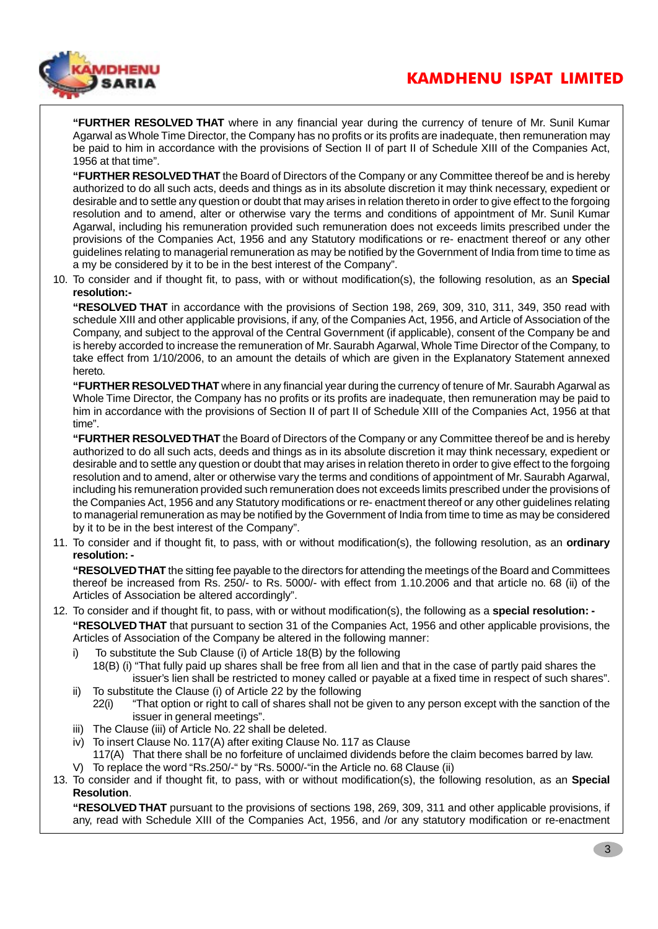

**"FURTHER RESOLVED THAT** where in any financial year during the currency of tenure of Mr. Sunil Kumar Agarwal as Whole Time Director, the Company has no profits or its profits are inadequate, then remuneration may be paid to him in accordance with the provisions of Section II of part II of Schedule XIII of the Companies Act, 1956 at that time".

**"FURTHER RESOLVED THAT** the Board of Directors of the Company or any Committee thereof be and is hereby authorized to do all such acts, deeds and things as in its absolute discretion it may think necessary, expedient or desirable and to settle any question or doubt that may arises in relation thereto in order to give effect to the forgoing resolution and to amend, alter or otherwise vary the terms and conditions of appointment of Mr. Sunil Kumar Agarwal, including his remuneration provided such remuneration does not exceeds limits prescribed under the provisions of the Companies Act, 1956 and any Statutory modifications or re- enactment thereof or any other guidelines relating to managerial remuneration as may be notified by the Government of India from time to time as a my be considered by it to be in the best interest of the Company".

10. To consider and if thought fit, to pass, with or without modification(s), the following resolution, as an **Special resolution:-**

**"RESOLVED THAT** in accordance with the provisions of Section 198, 269, 309, 310, 311, 349, 350 read with schedule XIII and other applicable provisions, if any, of the Companies Act, 1956, and Article of Association of the Company, and subject to the approval of the Central Government (if applicable), consent of the Company be and is hereby accorded to increase the remuneration of Mr. Saurabh Agarwal, Whole Time Director of the Company, to take effect from 1/10/2006, to an amount the details of which are given in the Explanatory Statement annexed hereto.

**"FURTHER RESOLVED THAT** where in any financial year during the currency of tenure of Mr. Saurabh Agarwal as Whole Time Director, the Company has no profits or its profits are inadequate, then remuneration may be paid to him in accordance with the provisions of Section II of part II of Schedule XIII of the Companies Act, 1956 at that time".

**"FURTHER RESOLVED THAT** the Board of Directors of the Company or any Committee thereof be and is hereby authorized to do all such acts, deeds and things as in its absolute discretion it may think necessary, expedient or desirable and to settle any question or doubt that may arises in relation thereto in order to give effect to the forgoing resolution and to amend, alter or otherwise vary the terms and conditions of appointment of Mr. Saurabh Agarwal, including his remuneration provided such remuneration does not exceeds limits prescribed under the provisions of the Companies Act, 1956 and any Statutory modifications or re- enactment thereof or any other guidelines relating to managerial remuneration as may be notified by the Government of India from time to time as may be considered by it to be in the best interest of the Company".

11. To consider and if thought fit, to pass, with or without modification(s), the following resolution, as an **ordinary resolution: -**

**"RESOLVED THAT** the sitting fee payable to the directors for attending the meetings of the Board and Committees thereof be increased from Rs. 250/- to Rs. 5000/- with effect from 1.10.2006 and that article no. 68 (ii) of the Articles of Association be altered accordingly".

- 12. To consider and if thought fit, to pass, with or without modification(s), the following as a **special resolution: - "RESOLVED THAT** that pursuant to section 31 of the Companies Act, 1956 and other applicable provisions, the Articles of Association of the Company be altered in the following manner:
	- i) To substitute the Sub Clause (i) of Article 18(B) by the following
	- 18(B) (i) "That fully paid up shares shall be free from all lien and that in the case of partly paid shares the issuer's lien shall be restricted to money called or payable at a fixed time in respect of such shares". ii) To substitute the Clause (i) of Article 22 by the following
	- 22(i) "That option or right to call of shares shall not be given to any person except with the sanction of the issuer in general meetings".
	- iii) The Clause (iii) of Article No. 22 shall be deleted.
	- iv) To insert Clause No. 117(A) after exiting Clause No. 117 as Clause
		- 117(A) That there shall be no forfeiture of unclaimed dividends before the claim becomes barred by law.
	- V) To replace the word "Rs.250/-" by "Rs. 5000/-"in the Article no. 68 Clause (ii)
- 13. To consider and if thought fit, to pass, with or without modification(s), the following resolution, as an **Special Resolution**.

**"RESOLVED THAT** pursuant to the provisions of sections 198, 269, 309, 311 and other applicable provisions, if any, read with Schedule XIII of the Companies Act, 1956, and /or any statutory modification or re-enactment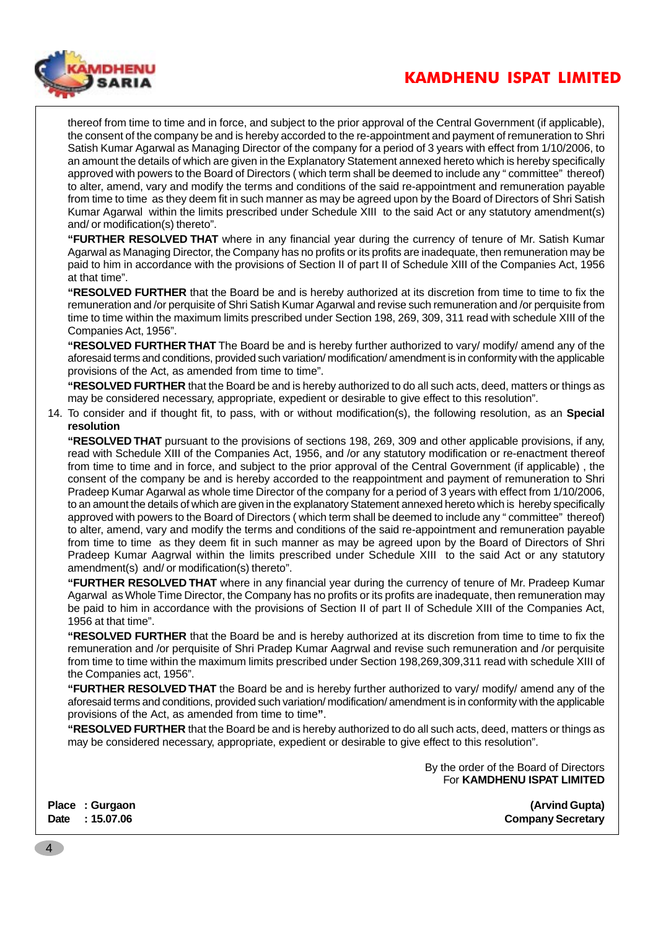

thereof from time to time and in force, and subject to the prior approval of the Central Government (if applicable), the consent of the company be and is hereby accorded to the re-appointment and payment of remuneration to Shri Satish Kumar Agarwal as Managing Director of the company for a period of 3 years with effect from 1/10/2006, to an amount the details of which are given in the Explanatory Statement annexed hereto which is hereby specifically approved with powers to the Board of Directors ( which term shall be deemed to include any " committee" thereof) to alter, amend, vary and modify the terms and conditions of the said re-appointment and remuneration payable from time to time as they deem fit in such manner as may be agreed upon by the Board of Directors of Shri Satish Kumar Agarwal within the limits prescribed under Schedule XIII to the said Act or any statutory amendment(s) and/ or modification(s) thereto".

**"FURTHER RESOLVED THAT** where in any financial year during the currency of tenure of Mr. Satish Kumar Agarwal as Managing Director, the Company has no profits or its profits are inadequate, then remuneration may be paid to him in accordance with the provisions of Section II of part II of Schedule XIII of the Companies Act, 1956 at that time".

**"RESOLVED FURTHER** that the Board be and is hereby authorized at its discretion from time to time to fix the remuneration and /or perquisite of Shri Satish Kumar Agarwal and revise such remuneration and /or perquisite from time to time within the maximum limits prescribed under Section 198, 269, 309, 311 read with schedule XIII of the Companies Act, 1956".

**"RESOLVED FURTHER THAT** The Board be and is hereby further authorized to vary/ modify/ amend any of the aforesaid terms and conditions, provided such variation/ modification/ amendment is in conformity with the applicable provisions of the Act, as amended from time to time".

**"RESOLVED FURTHER** that the Board be and is hereby authorized to do all such acts, deed, matters or things as may be considered necessary, appropriate, expedient or desirable to give effect to this resolution".

14. To consider and if thought fit, to pass, with or without modification(s), the following resolution, as an **Special resolution**

**"RESOLVED THAT** pursuant to the provisions of sections 198, 269, 309 and other applicable provisions, if any, read with Schedule XIII of the Companies Act, 1956, and /or any statutory modification or re-enactment thereof from time to time and in force, and subject to the prior approval of the Central Government (if applicable) , the consent of the company be and is hereby accorded to the reappointment and payment of remuneration to Shri Pradeep Kumar Agarwal as whole time Director of the company for a period of 3 years with effect from 1/10/2006, to an amount the details of which are given in the explanatory Statement annexed hereto which is hereby specifically approved with powers to the Board of Directors ( which term shall be deemed to include any " committee" thereof) to alter, amend, vary and modify the terms and conditions of the said re-appointment and remuneration payable from time to time as they deem fit in such manner as may be agreed upon by the Board of Directors of Shri Pradeep Kumar Aagrwal within the limits prescribed under Schedule XIII to the said Act or any statutory amendment(s) and/ or modification(s) thereto".

**"FURTHER RESOLVED THAT** where in any financial year during the currency of tenure of Mr. Pradeep Kumar Agarwal as Whole Time Director, the Company has no profits or its profits are inadequate, then remuneration may be paid to him in accordance with the provisions of Section II of part II of Schedule XIII of the Companies Act, 1956 at that time".

**"RESOLVED FURTHER** that the Board be and is hereby authorized at its discretion from time to time to fix the remuneration and /or perquisite of Shri Pradep Kumar Aagrwal and revise such remuneration and /or perquisite from time to time within the maximum limits prescribed under Section 198,269,309,311 read with schedule XIII of the Companies act, 1956".

**"FURTHER RESOLVED THAT** the Board be and is hereby further authorized to vary/ modify/ amend any of the aforesaid terms and conditions, provided such variation/ modification/ amendment is in conformity with the applicable provisions of the Act, as amended from time to time**"**.

**"RESOLVED FURTHER** that the Board be and is hereby authorized to do all such acts, deed, matters or things as may be considered necessary, appropriate, expedient or desirable to give effect to this resolution".

> By the order of the Board of Directors For **KAMDHENU ISPAT LIMITED**

**Place : Gurgaon (Arvind Gupta) Company Secretary**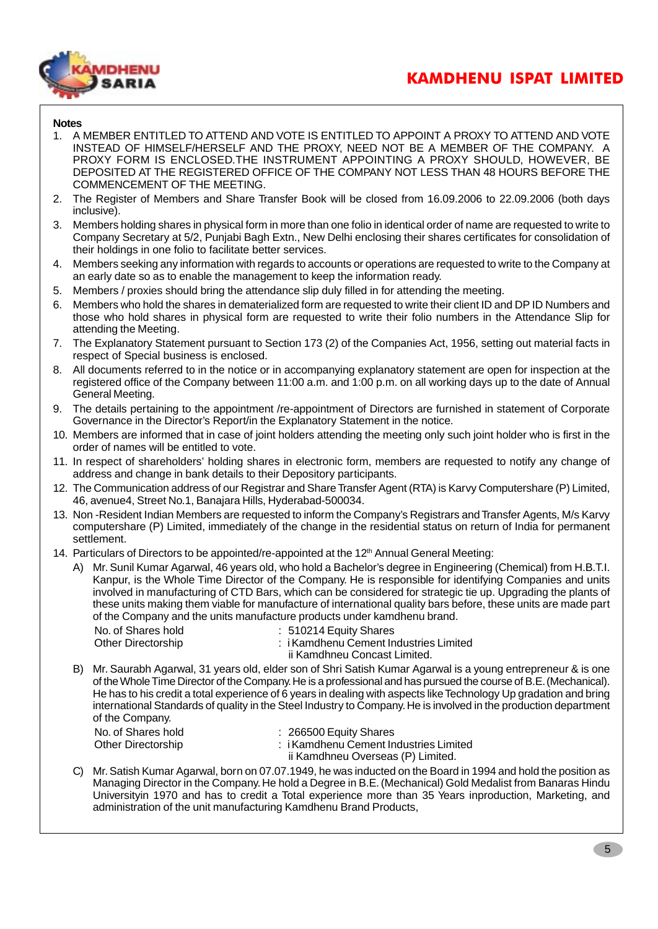

#### **Notes**

- 1. A MEMBER ENTITLED TO ATTEND AND VOTE IS ENTITLED TO APPOINT A PROXY TO ATTEND AND VOTE INSTEAD OF HIMSELF/HERSELF AND THE PROXY, NEED NOT BE A MEMBER OF THE COMPANY. A PROXY FORM IS ENCLOSED.THE INSTRUMENT APPOINTING A PROXY SHOULD, HOWEVER, BE DEPOSITED AT THE REGISTERED OFFICE OF THE COMPANY NOT LESS THAN 48 HOURS BEFORE THE COMMENCEMENT OF THE MEETING.
- 2. The Register of Members and Share Transfer Book will be closed from 16.09.2006 to 22.09.2006 (both days inclusive).
- 3. Members holding shares in physical form in more than one folio in identical order of name are requested to write to Company Secretary at 5/2, Punjabi Bagh Extn., New Delhi enclosing their shares certificates for consolidation of their holdings in one folio to facilitate better services.
- 4. Members seeking any information with regards to accounts or operations are requested to write to the Company at an early date so as to enable the management to keep the information ready.
- 5. Members / proxies should bring the attendance slip duly filled in for attending the meeting.
- 6. Members who hold the shares in dematerialized form are requested to write their client ID and DP ID Numbers and those who hold shares in physical form are requested to write their folio numbers in the Attendance Slip for attending the Meeting.
- 7. The Explanatory Statement pursuant to Section 173 (2) of the Companies Act, 1956, setting out material facts in respect of Special business is enclosed.
- 8. All documents referred to in the notice or in accompanying explanatory statement are open for inspection at the registered office of the Company between 11:00 a.m. and 1:00 p.m. on all working days up to the date of Annual General Meeting.
- 9. The details pertaining to the appointment /re-appointment of Directors are furnished in statement of Corporate Governance in the Director's Report/in the Explanatory Statement in the notice.
- 10. Members are informed that in case of joint holders attending the meeting only such joint holder who is first in the order of names will be entitled to vote.
- 11. In respect of shareholders' holding shares in electronic form, members are requested to notify any change of address and change in bank details to their Depository participants.
- 12. The Communication address of our Registrar and Share Transfer Agent (RTA) is Karvy Computershare (P) Limited, 46, avenue4, Street No.1, Banajara Hills, Hyderabad-500034.
- 13. Non -Resident Indian Members are requested to inform the Company's Registrars and Transfer Agents, M/s Karvy computershare (P) Limited, immediately of the change in the residential status on return of India for permanent settlement.
- 14. Particulars of Directors to be appointed/re-appointed at the 12<sup>th</sup> Annual General Meeting:
	- A) Mr. Sunil Kumar Agarwal, 46 years old, who hold a Bachelor's degree in Engineering (Chemical) from H.B.T.I. Kanpur, is the Whole Time Director of the Company. He is responsible for identifying Companies and units involved in manufacturing of CTD Bars, which can be considered for strategic tie up. Upgrading the plants of these units making them viable for manufacture of international quality bars before, these units are made part of the Company and the units manufacture products under kamdhenu brand.

| No. of Shares hold | : 510214 Equity Shares                                                              |
|--------------------|-------------------------------------------------------------------------------------|
| Other Directorship | : i Kamdhenu Cement Industries Limited                                              |
|                    | ii Kamdhneu Concast Limited.                                                        |
|                    | R) Mr. Saurabh Agarwal, 31 years old, elder son of Shri Satish Kumar Agarwal is a v |

- B) Mr. Saurabh Agarwal, 31 years old, elder son of Shri Satish Kumar Agarwal is a young entrepreneur & is one of the Whole Time Director of the Company. He is a professional and has pursued the course of B.E. (Mechanical). He has to his credit a total experience of 6 years in dealing with aspects like Technology Up gradation and bring international Standards of quality in the Steel Industry to Company. He is involved in the production department of the Company.
	- No. of Shares hold : 266500 Equity Shares<br>Other Directorship : iKamdhenu Cement In : i Kamdhenu Cement Industries Limited ii Kamdhneu Overseas (P) Limited.
- C) Mr. Satish Kumar Agarwal, born on 07.07.1949, he was inducted on the Board in 1994 and hold the position as Managing Director in the Company. He hold a Degree in B.E. (Mechanical) Gold Medalist from Banaras Hindu Universityin 1970 and has to credit a Total experience more than 35 Years inproduction, Marketing, and administration of the unit manufacturing Kamdhenu Brand Products,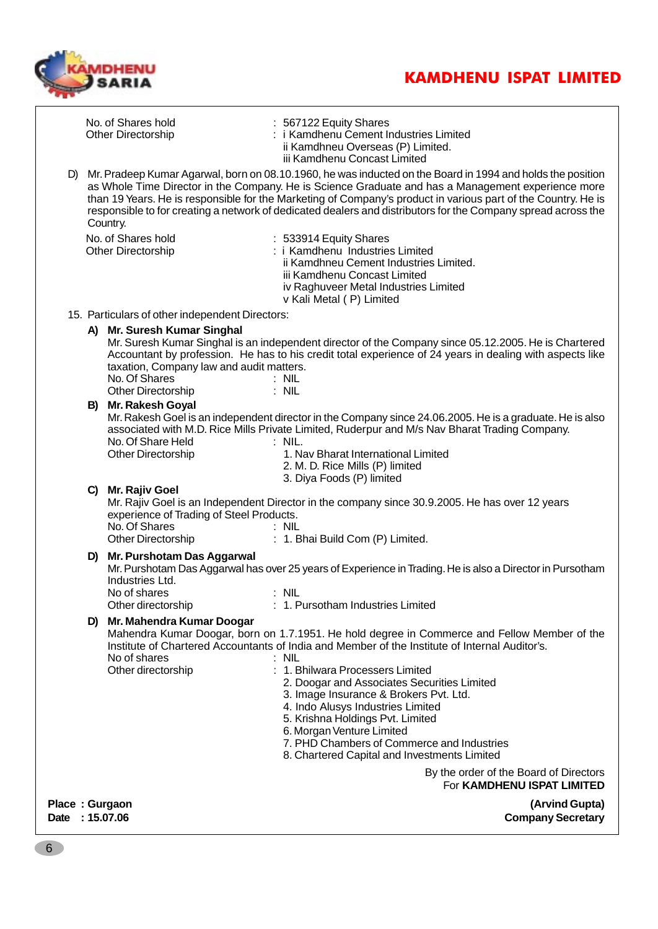

| Date: 15.07.06 |    |                                                                                | <b>Company Secretary</b>                                                                                                                                                                                                       |
|----------------|----|--------------------------------------------------------------------------------|--------------------------------------------------------------------------------------------------------------------------------------------------------------------------------------------------------------------------------|
| Place: Gurgaon |    |                                                                                | (Arvind Gupta)                                                                                                                                                                                                                 |
|                |    |                                                                                | By the order of the Board of Directors<br>For KAMDHENU ISPAT LIMITED                                                                                                                                                           |
|                |    |                                                                                | 7. PHD Chambers of Commerce and Industries<br>8. Chartered Capital and Investments Limited                                                                                                                                     |
|                |    |                                                                                | 5. Krishna Holdings Pvt. Limited<br>6. Morgan Venture Limited                                                                                                                                                                  |
|                |    |                                                                                | 4. Indo Alusys Industries Limited                                                                                                                                                                                              |
|                |    |                                                                                | 2. Doogar and Associates Securities Limited<br>3. Image Insurance & Brokers Pvt. Ltd.                                                                                                                                          |
|                |    | Other directorship                                                             | : 1. Bhilwara Processers Limited                                                                                                                                                                                               |
|                |    | No of shares                                                                   | Institute of Chartered Accountants of India and Member of the Institute of Internal Auditor's.<br>$:$ NIL                                                                                                                      |
|                | D) | Mr. Mahendra Kumar Doogar                                                      | Mahendra Kumar Doogar, born on 1.7.1951. He hold degree in Commerce and Fellow Member of the                                                                                                                                   |
|                |    | Other directorship                                                             | : 1. Pursotham Industries Limited                                                                                                                                                                                              |
|                |    | Industries Ltd.<br>No of shares                                                | $:$ NIL                                                                                                                                                                                                                        |
|                | D) | Mr. Purshotam Das Aggarwal                                                     | Mr. Purshotam Das Aggarwal has over 25 years of Experience in Trading. He is also a Director in Pursotham                                                                                                                      |
|                |    | Other Directorship                                                             | : 1. Bhai Build Com (P) Limited.                                                                                                                                                                                               |
|                |    | experience of Trading of Steel Products.<br>No. Of Shares                      | $:$ NIL                                                                                                                                                                                                                        |
|                |    |                                                                                | Mr. Rajiv Goel is an Independent Director in the company since 30.9.2005. He has over 12 years                                                                                                                                 |
|                |    | C) Mr. Rajiv Goel                                                              | 2. M. D. Rice Mills (P) limited<br>3. Diya Foods (P) limited                                                                                                                                                                   |
|                |    | Other Directorship                                                             | 1. Nav Bharat International Limited                                                                                                                                                                                            |
|                |    | No. Of Share Held                                                              | associated with M.D. Rice Mills Private Limited, Ruderpur and M/s Nav Bharat Trading Company.<br>$\therefore$ NIL.                                                                                                             |
|                | B) | <b>Mr. Rakesh Goyal</b>                                                        | Mr. Rakesh Goel is an independent director in the Company since 24.06.2005. He is a graduate. He is also                                                                                                                       |
|                |    | Other Directorship                                                             | $:$ NIL                                                                                                                                                                                                                        |
|                |    | No. Of Shares                                                                  | $:$ NIL                                                                                                                                                                                                                        |
|                |    | taxation, Company law and audit matters.                                       | Accountant by profession. He has to his credit total experience of 24 years in dealing with aspects like                                                                                                                       |
|                |    |                                                                                | Mr. Suresh Kumar Singhal is an independent director of the Company since 05.12.2005. He is Chartered                                                                                                                           |
|                |    | 15. Particulars of other independent Directors:<br>A) Mr. Suresh Kumar Singhal |                                                                                                                                                                                                                                |
|                |    |                                                                                | v Kali Metal (P) Limited                                                                                                                                                                                                       |
|                |    |                                                                                | iii Kamdhenu Concast Limited<br>iv Raghuveer Metal Industries Limited                                                                                                                                                          |
|                |    |                                                                                | ii Kamdhneu Cement Industries Limited.                                                                                                                                                                                         |
|                |    | No. of Shares hold<br>Other Directorship                                       | : 533914 Equity Shares<br>: i Kamdhenu Industries Limited                                                                                                                                                                      |
|                |    | Country.                                                                       |                                                                                                                                                                                                                                |
|                |    |                                                                                | than 19 Years. He is responsible for the Marketing of Company's product in various part of the Country. He is<br>responsible to for creating a network of dedicated dealers and distributors for the Company spread across the |
|                |    |                                                                                | D) Mr. Pradeep Kumar Agarwal, born on 08.10.1960, he was inducted on the Board in 1994 and holds the position<br>as Whole Time Director in the Company. He is Science Graduate and has a Management experience more            |
|                |    |                                                                                | ii Kamdhneu Overseas (P) Limited.<br>iii Kamdhenu Concast Limited                                                                                                                                                              |
|                |    | Other Directorship                                                             | : i Kamdhenu Cement Industries Limited                                                                                                                                                                                         |
|                |    | No. of Shares hold                                                             | : 567122 Equity Shares                                                                                                                                                                                                         |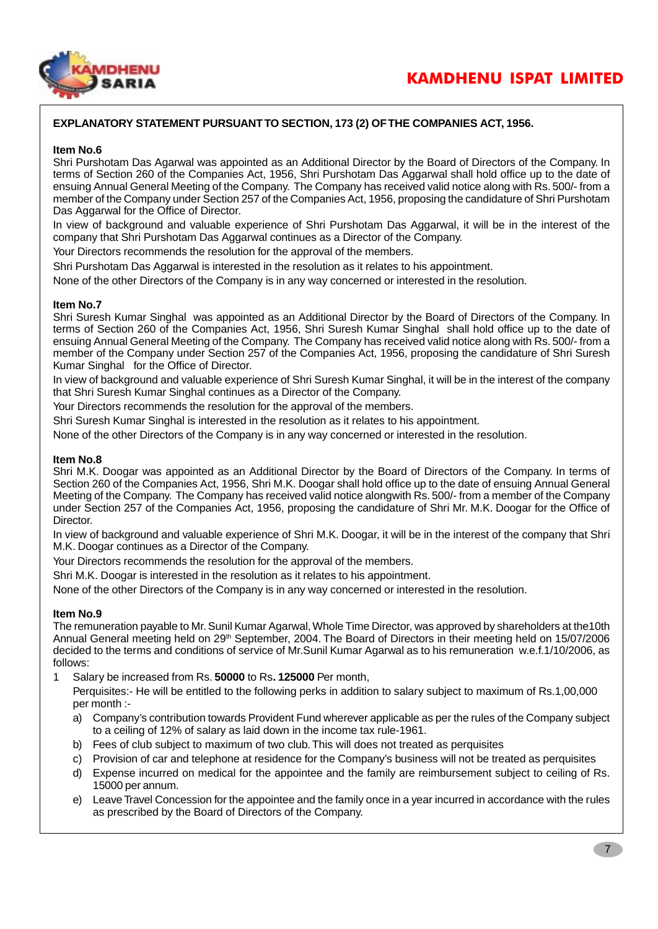

## **EXPLANATORY STATEMENT PURSUANT TO SECTION, 173 (2) OF THE COMPANIES ACT, 1956.**

#### **Item No.6**

Shri Purshotam Das Agarwal was appointed as an Additional Director by the Board of Directors of the Company. In terms of Section 260 of the Companies Act, 1956, Shri Purshotam Das Aggarwal shall hold office up to the date of ensuing Annual General Meeting of the Company. The Company has received valid notice along with Rs. 500/- from a member of the Company under Section 257 of the Companies Act, 1956, proposing the candidature of Shri Purshotam Das Aggarwal for the Office of Director.

In view of background and valuable experience of Shri Purshotam Das Aggarwal, it will be in the interest of the company that Shri Purshotam Das Aggarwal continues as a Director of the Company.

Your Directors recommends the resolution for the approval of the members.

Shri Purshotam Das Aggarwal is interested in the resolution as it relates to his appointment.

None of the other Directors of the Company is in any way concerned or interested in the resolution.

#### **Item No.7**

Shri Suresh Kumar Singhal was appointed as an Additional Director by the Board of Directors of the Company. In terms of Section 260 of the Companies Act, 1956, Shri Suresh Kumar Singhal shall hold office up to the date of ensuing Annual General Meeting of the Company. The Company has received valid notice along with Rs. 500/- from a member of the Company under Section 257 of the Companies Act, 1956, proposing the candidature of Shri Suresh Kumar Singhal for the Office of Director.

In view of background and valuable experience of Shri Suresh Kumar Singhal, it will be in the interest of the company that Shri Suresh Kumar Singhal continues as a Director of the Company.

Your Directors recommends the resolution for the approval of the members.

Shri Suresh Kumar Singhal is interested in the resolution as it relates to his appointment.

None of the other Directors of the Company is in any way concerned or interested in the resolution.

#### **Item No.8**

Shri M.K. Doogar was appointed as an Additional Director by the Board of Directors of the Company. In terms of Section 260 of the Companies Act, 1956, Shri M.K. Doogar shall hold office up to the date of ensuing Annual General Meeting of the Company. The Company has received valid notice alongwith Rs. 500/- from a member of the Company under Section 257 of the Companies Act, 1956, proposing the candidature of Shri Mr. M.K. Doogar for the Office of Director.

In view of background and valuable experience of Shri M.K. Doogar, it will be in the interest of the company that Shri M.K. Doogar continues as a Director of the Company.

Your Directors recommends the resolution for the approval of the members.

Shri M.K. Doogar is interested in the resolution as it relates to his appointment.

None of the other Directors of the Company is in any way concerned or interested in the resolution.

#### **Item No.9**

The remuneration payable to Mr. Sunil Kumar Agarwal, Whole Time Director, was approved by shareholders at the10th Annual General meeting held on 29<sup>th</sup> September, 2004. The Board of Directors in their meeting held on 15/07/2006 decided to the terms and conditions of service of Mr.Sunil Kumar Agarwal as to his remuneration w.e.f.1/10/2006, as follows:

1 Salary be increased from Rs. **50000** to Rs**. 125000** Per month,

Perquisites:- He will be entitled to the following perks in addition to salary subject to maximum of Rs.1,00,000 per month :-

- a) Company's contribution towards Provident Fund wherever applicable as per the rules of the Company subject to a ceiling of 12% of salary as laid down in the income tax rule-1961.
- b) Fees of club subject to maximum of two club. This will does not treated as perquisites
- c) Provision of car and telephone at residence for the Company's business will not be treated as perquisites
- d) Expense incurred on medical for the appointee and the family are reimbursement subject to ceiling of Rs. 15000 per annum.
- e) Leave Travel Concession for the appointee and the family once in a year incurred in accordance with the rules as prescribed by the Board of Directors of the Company.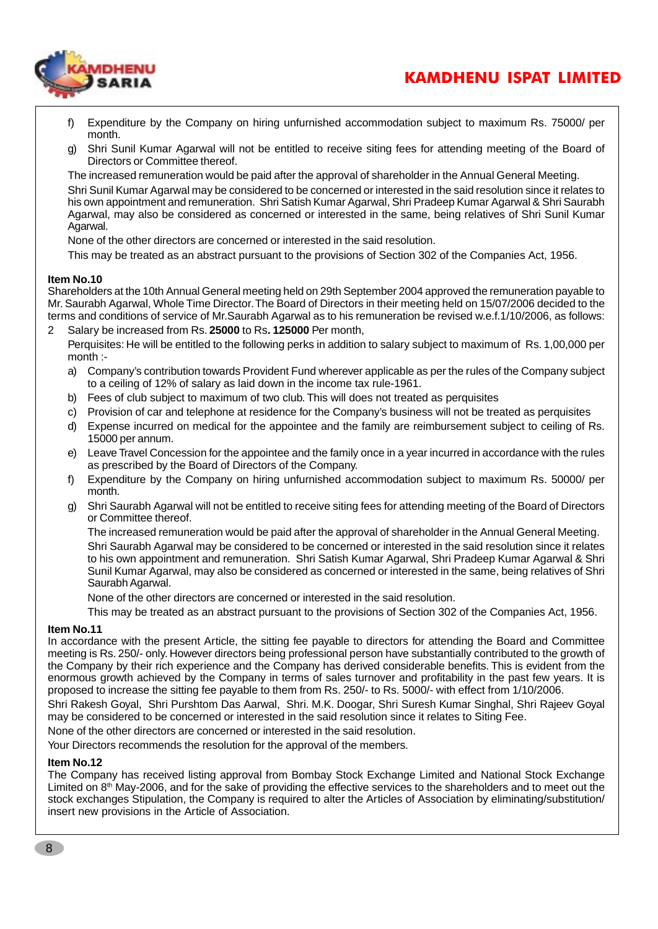

- f) Expenditure by the Company on hiring unfurnished accommodation subject to maximum Rs. 75000/ per month.
- g) Shri Sunil Kumar Agarwal will not be entitled to receive siting fees for attending meeting of the Board of Directors or Committee thereof.

The increased remuneration would be paid after the approval of shareholder in the Annual General Meeting. Shri Sunil Kumar Agarwal may be considered to be concerned or interested in the said resolution since it relates to his own appointment and remuneration. Shri Satish Kumar Agarwal, Shri Pradeep Kumar Agarwal & Shri Saurabh Agarwal, may also be considered as concerned or interested in the same, being relatives of Shri Sunil Kumar Agarwal.

None of the other directors are concerned or interested in the said resolution.

This may be treated as an abstract pursuant to the provisions of Section 302 of the Companies Act, 1956.

### **Item No.10**

Shareholders at the 10th Annual General meeting held on 29th September 2004 approved the remuneration payable to Mr. Saurabh Agarwal, Whole Time Director. The Board of Directors in their meeting held on 15/07/2006 decided to the terms and conditions of service of Mr.Saurabh Agarwal as to his remuneration be revised w.e.f.1/10/2006, as follows:

2 Salary be increased from Rs. **25000** to Rs**. 125000** Per month,

Perquisites: He will be entitled to the following perks in addition to salary subject to maximum of Rs. 1,00,000 per month :-

- a) Company's contribution towards Provident Fund wherever applicable as per the rules of the Company subject to a ceiling of 12% of salary as laid down in the income tax rule-1961.
- b) Fees of club subject to maximum of two club. This will does not treated as perquisites
- c) Provision of car and telephone at residence for the Company's business will not be treated as perquisites
- d) Expense incurred on medical for the appointee and the family are reimbursement subject to ceiling of Rs. 15000 per annum.
- e) Leave Travel Concession for the appointee and the family once in a year incurred in accordance with the rules as prescribed by the Board of Directors of the Company.
- f) Expenditure by the Company on hiring unfurnished accommodation subject to maximum Rs. 50000/ per month.
- g) Shri Saurabh Agarwal will not be entitled to receive siting fees for attending meeting of the Board of Directors or Committee thereof.

The increased remuneration would be paid after the approval of shareholder in the Annual General Meeting. Shri Saurabh Agarwal may be considered to be concerned or interested in the said resolution since it relates to his own appointment and remuneration. Shri Satish Kumar Agarwal, Shri Pradeep Kumar Agarwal & Shri Sunil Kumar Agarwal, may also be considered as concerned or interested in the same, being relatives of Shri Saurabh Agarwal.

None of the other directors are concerned or interested in the said resolution.

This may be treated as an abstract pursuant to the provisions of Section 302 of the Companies Act, 1956.

#### **Item No.11**

In accordance with the present Article, the sitting fee payable to directors for attending the Board and Committee meeting is Rs. 250/- only. However directors being professional person have substantially contributed to the growth of the Company by their rich experience and the Company has derived considerable benefits. This is evident from the enormous growth achieved by the Company in terms of sales turnover and profitability in the past few years. It is proposed to increase the sitting fee payable to them from Rs. 250/- to Rs. 5000/- with effect from 1/10/2006.

Shri Rakesh Goyal, Shri Purshtom Das Aarwal, Shri. M.K. Doogar, Shri Suresh Kumar Singhal, Shri Rajeev Goyal may be considered to be concerned or interested in the said resolution since it relates to Siting Fee.

None of the other directors are concerned or interested in the said resolution.

Your Directors recommends the resolution for the approval of the members.

#### **Item No.12**

The Company has received listing approval from Bombay Stock Exchange Limited and National Stock Exchange Limited on 8<sup>th</sup> May-2006, and for the sake of providing the effective services to the shareholders and to meet out the stock exchanges Stipulation, the Company is required to alter the Articles of Association by eliminating/substitution/ insert new provisions in the Article of Association.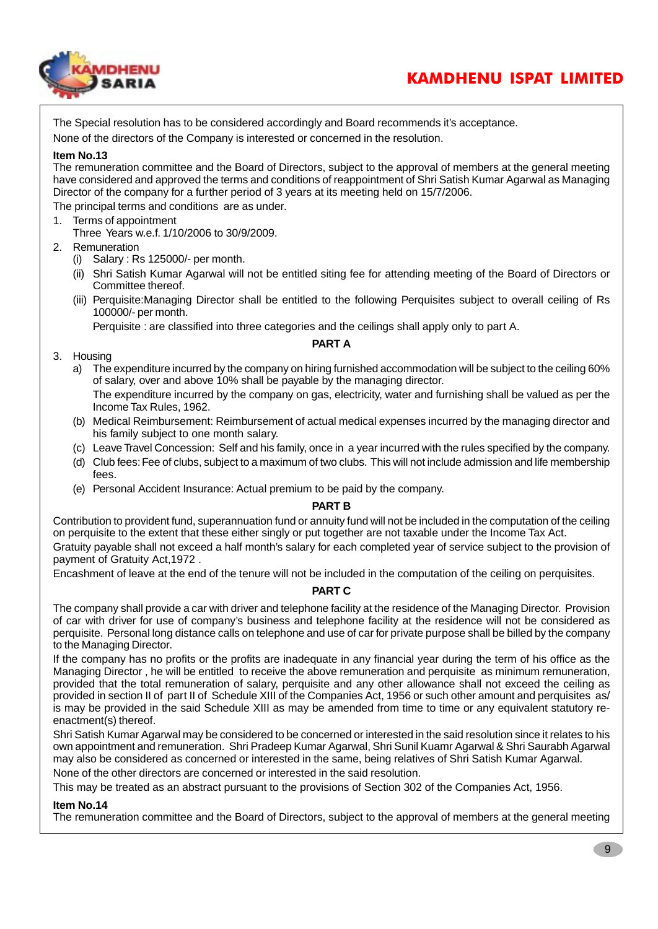

The Special resolution has to be considered accordingly and Board recommends it's acceptance.

None of the directors of the Company is interested or concerned in the resolution.

#### **Item No.13**

The remuneration committee and the Board of Directors, subject to the approval of members at the general meeting have considered and approved the terms and conditions of reappointment of Shri Satish Kumar Agarwal as Managing Director of the company for a further period of 3 years at its meeting held on 15/7/2006.

The principal terms and conditions are as under.

1. Terms of appointment

Three Years w.e.f. 1/10/2006 to 30/9/2009.

#### 2. Remuneration

- (i) Salary : Rs 125000/- per month.
- (ii) Shri Satish Kumar Agarwal will not be entitled siting fee for attending meeting of the Board of Directors or Committee thereof.
- (iii) Perquisite:Managing Director shall be entitled to the following Perquisites subject to overall ceiling of Rs 100000/- per month.

Perquisite : are classified into three categories and the ceilings shall apply only to part A.

#### **PART A**

- 3. Housing
	- a) The expenditure incurred by the company on hiring furnished accommodation will be subject to the ceiling 60% of salary, over and above 10% shall be payable by the managing director. The expenditure incurred by the company on gas, electricity, water and furnishing shall be valued as per the Income Tax Rules, 1962.
	- (b) Medical Reimbursement: Reimbursement of actual medical expenses incurred by the managing director and his family subject to one month salary.
	- (c) Leave Travel Concession: Self and his family, once in a year incurred with the rules specified by the company.
	- (d) Club fees: Fee of clubs, subject to a maximum of two clubs. This will not include admission and life membership fees.
	- (e) Personal Accident Insurance: Actual premium to be paid by the company.

### **PART B**

Contribution to provident fund, superannuation fund or annuity fund will not be included in the computation of the ceiling on perquisite to the extent that these either singly or put together are not taxable under the Income Tax Act.

Gratuity payable shall not exceed a half month's salary for each completed year of service subject to the provision of payment of Gratuity Act,1972 .

Encashment of leave at the end of the tenure will not be included in the computation of the ceiling on perquisites.

#### **PART C**

The company shall provide a car with driver and telephone facility at the residence of the Managing Director. Provision of car with driver for use of company's business and telephone facility at the residence will not be considered as perquisite. Personal long distance calls on telephone and use of car for private purpose shall be billed by the company to the Managing Director.

If the company has no profits or the profits are inadequate in any financial year during the term of his office as the Managing Director , he will be entitled to receive the above remuneration and perquisite as minimum remuneration, provided that the total remuneration of salary, perquisite and any other allowance shall not exceed the ceiling as provided in section II of part II of Schedule XIII of the Companies Act, 1956 or such other amount and perquisites as/ is may be provided in the said Schedule XIII as may be amended from time to time or any equivalent statutory reenactment(s) thereof.

Shri Satish Kumar Agarwal may be considered to be concerned or interested in the said resolution since it relates to his own appointment and remuneration. Shri Pradeep Kumar Agarwal, Shri Sunil Kuamr Agarwal & Shri Saurabh Agarwal may also be considered as concerned or interested in the same, being relatives of Shri Satish Kumar Agarwal.

None of the other directors are concerned or interested in the said resolution.

This may be treated as an abstract pursuant to the provisions of Section 302 of the Companies Act, 1956.

#### **Item No.14**

The remuneration committee and the Board of Directors, subject to the approval of members at the general meeting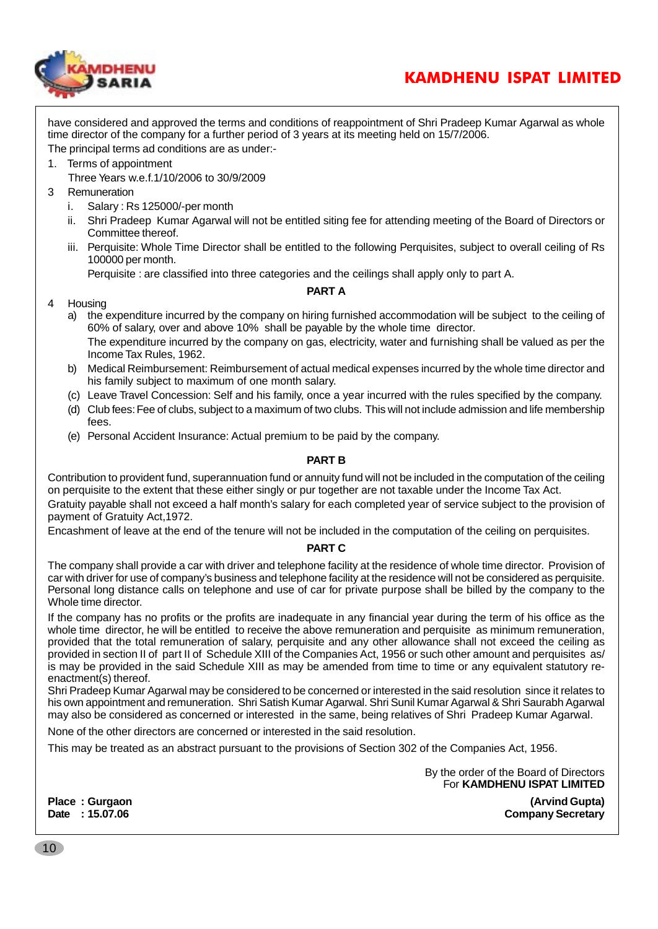

have considered and approved the terms and conditions of reappointment of Shri Pradeep Kumar Agarwal as whole time director of the company for a further period of 3 years at its meeting held on 15/7/2006.

The principal terms ad conditions are as under:-

1. Terms of appointment

Three Years w.e.f.1/10/2006 to 30/9/2009

- 3 Remuneration
	- i. Salary : Rs 125000/-per month
	- ii. Shri Pradeep Kumar Agarwal will not be entitled siting fee for attending meeting of the Board of Directors or Committee thereof.
	- iii. Perquisite: Whole Time Director shall be entitled to the following Perquisites, subject to overall ceiling of Rs 100000 per month.

Perquisite : are classified into three categories and the ceilings shall apply only to part A.

## **PART A**

- 4 Housing
	- a) the expenditure incurred by the company on hiring furnished accommodation will be subject to the ceiling of 60% of salary, over and above 10% shall be payable by the whole time director. The expenditure incurred by the company on gas, electricity, water and furnishing shall be valued as per the Income Tax Rules, 1962.
	- b) Medical Reimbursement: Reimbursement of actual medical expenses incurred by the whole time director and his family subject to maximum of one month salary.
	- (c) Leave Travel Concession: Self and his family, once a year incurred with the rules specified by the company.
	- (d) Club fees: Fee of clubs, subject to a maximum of two clubs. This will not include admission and life membership fees.
	- (e) Personal Accident Insurance: Actual premium to be paid by the company.

## **PART B**

Contribution to provident fund, superannuation fund or annuity fund will not be included in the computation of the ceiling on perquisite to the extent that these either singly or pur together are not taxable under the Income Tax Act.

Gratuity payable shall not exceed a half month's salary for each completed year of service subject to the provision of payment of Gratuity Act,1972.

Encashment of leave at the end of the tenure will not be included in the computation of the ceiling on perquisites.

### **PART C**

The company shall provide a car with driver and telephone facility at the residence of whole time director. Provision of car with driver for use of company's business and telephone facility at the residence will not be considered as perquisite. Personal long distance calls on telephone and use of car for private purpose shall be billed by the company to the Whole time director.

If the company has no profits or the profits are inadequate in any financial year during the term of his office as the whole time director, he will be entitled to receive the above remuneration and perquisite as minimum remuneration, provided that the total remuneration of salary, perquisite and any other allowance shall not exceed the ceiling as provided in section II of part II of Schedule XIII of the Companies Act, 1956 or such other amount and perquisites as/ is may be provided in the said Schedule XIII as may be amended from time to time or any equivalent statutory reenactment(s) thereof.

Shri Pradeep Kumar Agarwal may be considered to be concerned or interested in the said resolution since it relates to his own appointment and remuneration. Shri Satish Kumar Agarwal. Shri Sunil Kumar Agarwal & Shri Saurabh Agarwal may also be considered as concerned or interested in the same, being relatives of Shri Pradeep Kumar Agarwal.

None of the other directors are concerned or interested in the said resolution.

This may be treated as an abstract pursuant to the provisions of Section 302 of the Companies Act, 1956.

By the order of the Board of Directors For **KAMDHENU ISPAT LIMITED**

**Place : Gurgaon (Arvind Gupta) Date : 15.07.06 Company Secretary**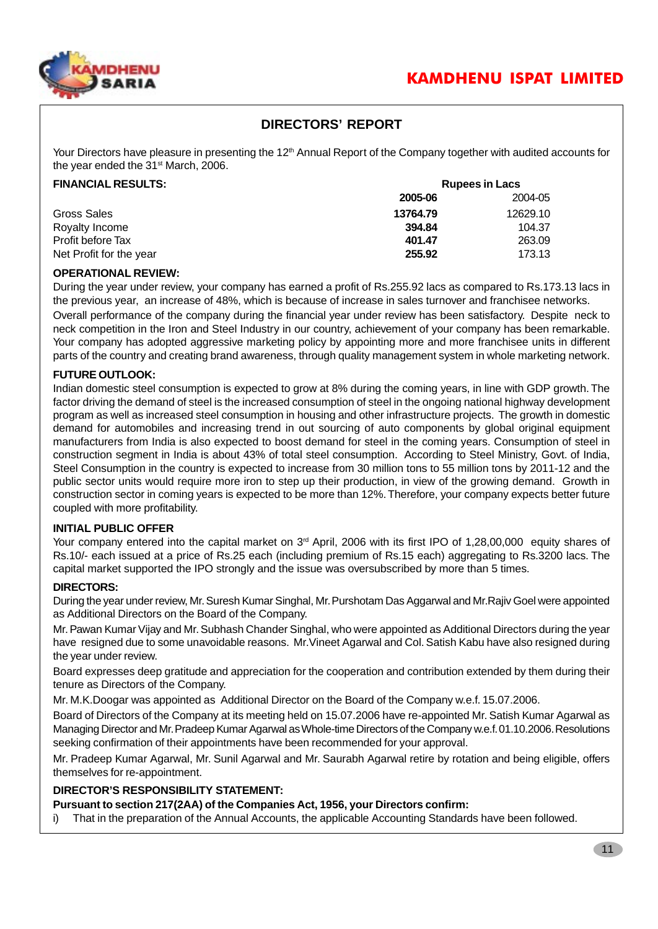

## **DIRECTORS' REPORT**

Your Directors have pleasure in presenting the 12<sup>th</sup> Annual Report of the Company together with audited accounts for the year ended the 31<sup>st</sup> March, 2006.

| <b>FINANCIAL RESULTS:</b> | <b>Rupees in Lacs</b> |          |
|---------------------------|-----------------------|----------|
|                           | 2005-06               | 2004-05  |
| Gross Sales               | 13764.79              | 12629.10 |
| Royalty Income            | 394.84                | 104.37   |
| Profit before Tax         | 401.47                | 263.09   |
| Net Profit for the year   | 255.92                | 173.13   |

### **OPERATIONAL REVIEW:**

During the year under review, your company has earned a profit of Rs.255.92 lacs as compared to Rs.173.13 lacs in the previous year, an increase of 48%, which is because of increase in sales turnover and franchisee networks.

Overall performance of the company during the financial year under review has been satisfactory. Despite neck to neck competition in the Iron and Steel Industry in our country, achievement of your company has been remarkable. Your company has adopted aggressive marketing policy by appointing more and more franchisee units in different parts of the country and creating brand awareness, through quality management system in whole marketing network.

#### **FUTURE OUTLOOK:**

Indian domestic steel consumption is expected to grow at 8% during the coming years, in line with GDP growth. The factor driving the demand of steel is the increased consumption of steel in the ongoing national highway development program as well as increased steel consumption in housing and other infrastructure projects. The growth in domestic demand for automobiles and increasing trend in out sourcing of auto components by global original equipment manufacturers from India is also expected to boost demand for steel in the coming years. Consumption of steel in construction segment in India is about 43% of total steel consumption. According to Steel Ministry, Govt. of India, Steel Consumption in the country is expected to increase from 30 million tons to 55 million tons by 2011-12 and the public sector units would require more iron to step up their production, in view of the growing demand. Growth in construction sector in coming years is expected to be more than 12%. Therefore, your company expects better future coupled with more profitability.

#### **INITIAL PUBLIC OFFER**

Your company entered into the capital market on 3<sup>rd</sup> April, 2006 with its first IPO of 1,28,00,000 equity shares of Rs.10/- each issued at a price of Rs.25 each (including premium of Rs.15 each) aggregating to Rs.3200 lacs. The capital market supported the IPO strongly and the issue was oversubscribed by more than 5 times.

#### **DIRECTORS:**

During the year under review, Mr. Suresh Kumar Singhal, Mr. Purshotam Das Aggarwal and Mr.Rajiv Goel were appointed as Additional Directors on the Board of the Company.

Mr. Pawan Kumar Vijay and Mr. Subhash Chander Singhal, who were appointed as Additional Directors during the year have resigned due to some unavoidable reasons. Mr.Vineet Agarwal and Col. Satish Kabu have also resigned during the year under review.

Board expresses deep gratitude and appreciation for the cooperation and contribution extended by them during their tenure as Directors of the Company.

Mr. M.K.Doogar was appointed as Additional Director on the Board of the Company w.e.f. 15.07.2006.

Board of Directors of the Company at its meeting held on 15.07.2006 have re-appointed Mr. Satish Kumar Agarwal as Managing Director and Mr. Pradeep Kumar Agarwal as Whole-time Directors of the Company w.e.f. 01.10.2006. Resolutions seeking confirmation of their appointments have been recommended for your approval.

Mr. Pradeep Kumar Agarwal, Mr. Sunil Agarwal and Mr. Saurabh Agarwal retire by rotation and being eligible, offers themselves for re-appointment.

### **DIRECTOR'S RESPONSIBILITY STATEMENT:**

**Pursuant to section 217(2AA) of the Companies Act, 1956, your Directors confirm:**

i) That in the preparation of the Annual Accounts, the applicable Accounting Standards have been followed.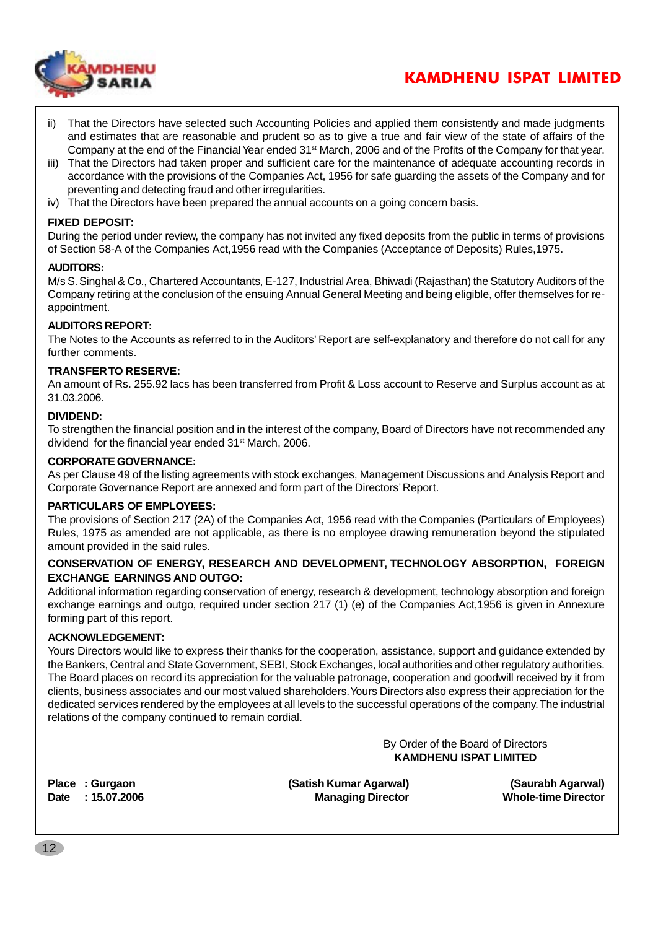

- ii) That the Directors have selected such Accounting Policies and applied them consistently and made judgments and estimates that are reasonable and prudent so as to give a true and fair view of the state of affairs of the Company at the end of the Financial Year ended 31<sup>st</sup> March, 2006 and of the Profits of the Company for that year.
- iii) That the Directors had taken proper and sufficient care for the maintenance of adequate accounting records in accordance with the provisions of the Companies Act, 1956 for safe guarding the assets of the Company and for preventing and detecting fraud and other irregularities.
- iv) That the Directors have been prepared the annual accounts on a going concern basis.

### **FIXED DEPOSIT:**

During the period under review, the company has not invited any fixed deposits from the public in terms of provisions of Section 58-A of the Companies Act,1956 read with the Companies (Acceptance of Deposits) Rules,1975.

#### **AUDITORS:**

M/s S. Singhal & Co., Chartered Accountants, E-127, Industrial Area, Bhiwadi (Rajasthan) the Statutory Auditors of the Company retiring at the conclusion of the ensuing Annual General Meeting and being eligible, offer themselves for reappointment.

#### **AUDITORS REPORT:**

The Notes to the Accounts as referred to in the Auditors' Report are self-explanatory and therefore do not call for any further comments.

#### **TRANSFER TO RESERVE:**

An amount of Rs. 255.92 lacs has been transferred from Profit & Loss account to Reserve and Surplus account as at 31.03.2006.

#### **DIVIDEND:**

To strengthen the financial position and in the interest of the company, Board of Directors have not recommended any dividend for the financial year ended 31<sup>st</sup> March, 2006.

#### **CORPORATE GOVERNANCE:**

As per Clause 49 of the listing agreements with stock exchanges, Management Discussions and Analysis Report and Corporate Governance Report are annexed and form part of the Directors' Report.

#### **PARTICULARS OF EMPLOYEES:**

The provisions of Section 217 (2A) of the Companies Act, 1956 read with the Companies (Particulars of Employees) Rules, 1975 as amended are not applicable, as there is no employee drawing remuneration beyond the stipulated amount provided in the said rules.

#### **CONSERVATION OF ENERGY, RESEARCH AND DEVELOPMENT, TECHNOLOGY ABSORPTION, FOREIGN EXCHANGE EARNINGS AND OUTGO:**

Additional information regarding conservation of energy, research & development, technology absorption and foreign exchange earnings and outgo, required under section 217 (1) (e) of the Companies Act,1956 is given in Annexure forming part of this report.

### **ACKNOWLEDGEMENT:**

Yours Directors would like to express their thanks for the cooperation, assistance, support and guidance extended by the Bankers, Central and State Government, SEBI, Stock Exchanges, local authorities and other regulatory authorities. The Board places on record its appreciation for the valuable patronage, cooperation and goodwill received by it from clients, business associates and our most valued shareholders. Yours Directors also express their appreciation for the dedicated services rendered by the employees at all levels to the successful operations of the company. The industrial relations of the company continued to remain cordial.

> By Order of the Board of Directors **KAMDHENU ISPAT LIMITED**

**Place : Gurgaon (Satish Kumar Agarwal) (Saurabh Agarwal) Date : 15.07.2006 Managing Director Whole-time Director**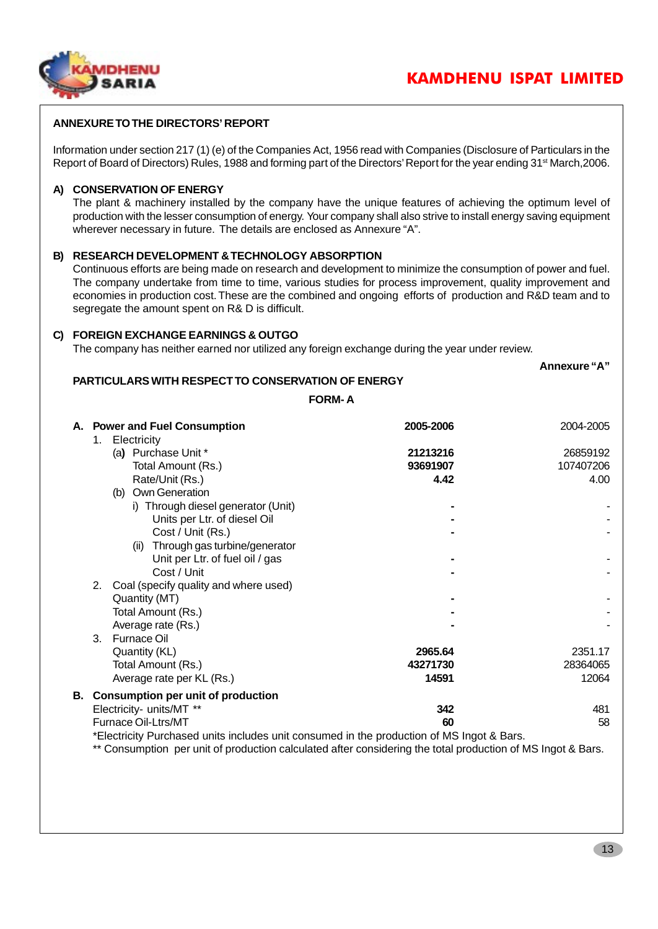

#### **ANNEXURE TO THE DIRECTORS' REPORT**

Information under section 217 (1) (e) of the Companies Act, 1956 read with Companies (Disclosure of Particulars in the Report of Board of Directors) Rules, 1988 and forming part of the Directors' Report for the year ending 31<sup>st</sup> March, 2006.

#### **A) CONSERVATION OF ENERGY**

The plant & machinery installed by the company have the unique features of achieving the optimum level of production with the lesser consumption of energy. Your company shall also strive to install energy saving equipment wherever necessary in future. The details are enclosed as Annexure "A".

### **B) RESEARCH DEVELOPMENT & TECHNOLOGY ABSORPTION**

Continuous efforts are being made on research and development to minimize the consumption of power and fuel. The company undertake from time to time, various studies for process improvement, quality improvement and economies in production cost. These are the combined and ongoing efforts of production and R&D team and to segregate the amount spent on R& D is difficult.

#### **C) FOREIGN EXCHANGE EARNINGS & OUTGO**

The company has neither earned nor utilized any foreign exchange during the year under review.

**Annexure "A"**

#### **PARTICULARS WITH RESPECT TO CONSERVATION OF ENERGY**

**FORM- A**

|    | A. Power and Fuel Consumption<br>Electricity<br>1. | 2005-2006 | 2004-2005 |
|----|----------------------------------------------------|-----------|-----------|
|    | (a) Purchase Unit *                                | 21213216  | 26859192  |
|    | Total Amount (Rs.)                                 | 93691907  | 107407206 |
|    | Rate/Unit (Rs.)                                    | 4.42      | 4.00      |
|    | Own Generation<br>(b)                              |           |           |
|    | i) Through diesel generator (Unit)                 |           |           |
|    | Units per Ltr. of diesel Oil                       |           |           |
|    | Cost / Unit (Rs.)                                  |           |           |
|    | (ii) Through gas turbine/generator                 |           |           |
|    | Unit per Ltr. of fuel oil / gas                    |           |           |
|    | Cost / Unit                                        |           |           |
|    | 2.<br>Coal (specify quality and where used)        |           |           |
|    | Quantity (MT)                                      |           |           |
|    | Total Amount (Rs.)                                 |           |           |
|    | Average rate (Rs.)                                 |           |           |
|    | Furnace Oil<br>3.                                  |           |           |
|    | Quantity (KL)                                      | 2965.64   | 2351.17   |
|    | Total Amount (Rs.)                                 | 43271730  | 28364065  |
|    | Average rate per KL (Rs.)                          | 14591     | 12064     |
| В. | Consumption per unit of production                 |           |           |
|    | Electricity- units/MT **                           | 342       | 481       |
|    | Furnace Oil-Ltrs/MT                                | 60        | 58        |

\*Electricity Purchased units includes unit consumed in the production of MS Ingot & Bars.

\*\* Consumption per unit of production calculated after considering the total production of MS Ingot & Bars.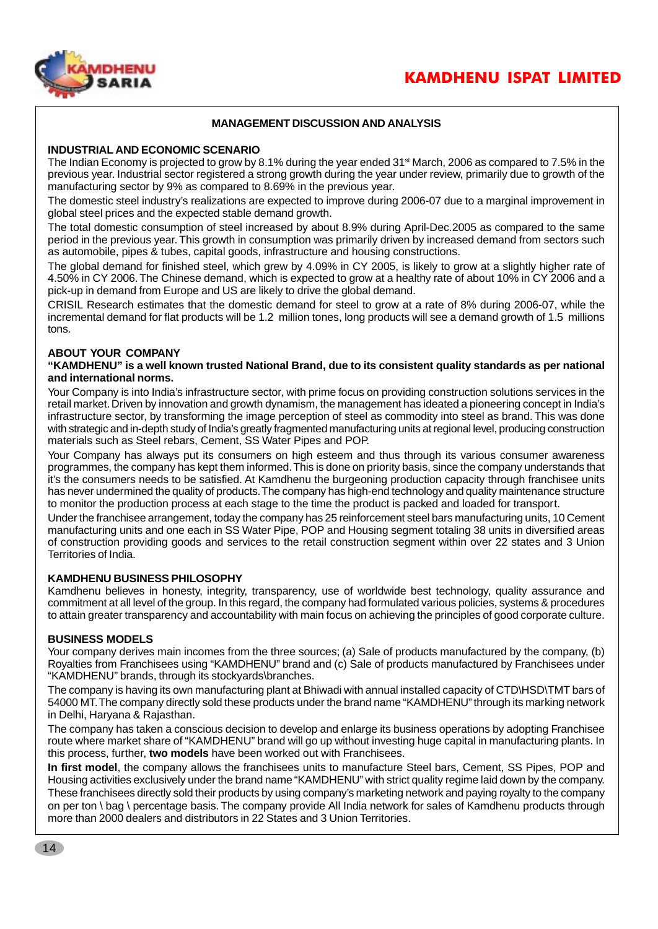



#### **MANAGEMENT DISCUSSION AND ANALYSIS**

#### **INDUSTRIAL AND ECONOMIC SCENARIO**

The Indian Economy is projected to grow by 8.1% during the year ended 31<sup>st</sup> March, 2006 as compared to 7.5% in the previous year. Industrial sector registered a strong growth during the year under review, primarily due to growth of the manufacturing sector by 9% as compared to 8.69% in the previous year.

The domestic steel industry's realizations are expected to improve during 2006-07 due to a marginal improvement in global steel prices and the expected stable demand growth.

The total domestic consumption of steel increased by about 8.9% during April-Dec.2005 as compared to the same period in the previous year. This growth in consumption was primarily driven by increased demand from sectors such as automobile, pipes & tubes, capital goods, infrastructure and housing constructions.

The global demand for finished steel, which grew by 4.09% in CY 2005, is likely to grow at a slightly higher rate of 4.50% in CY 2006. The Chinese demand, which is expected to grow at a healthy rate of about 10% in CY 2006 and a pick-up in demand from Europe and US are likely to drive the global demand.

CRISIL Research estimates that the domestic demand for steel to grow at a rate of 8% during 2006-07, while the incremental demand for flat products will be 1.2 million tones, long products will see a demand growth of 1.5 millions tons.

### **ABOUT YOUR COMPANY**

#### **"KAMDHENU" is a well known trusted National Brand, due to its consistent quality standards as per national and international norms.**

Your Company is into India's infrastructure sector, with prime focus on providing construction solutions services in the retail market. Driven by innovation and growth dynamism, the management has ideated a pioneering concept in India's infrastructure sector, by transforming the image perception of steel as commodity into steel as brand. This was done with strategic and in-depth study of India's greatly fragmented manufacturing units at regional level, producing construction materials such as Steel rebars, Cement, SS Water Pipes and POP.

Your Company has always put its consumers on high esteem and thus through its various consumer awareness programmes, the company has kept them informed. This is done on priority basis, since the company understands that it's the consumers needs to be satisfied. At Kamdhenu the burgeoning production capacity through franchisee units has never undermined the quality of products. The company has high-end technology and quality maintenance structure to monitor the production process at each stage to the time the product is packed and loaded for transport.

Under the franchisee arrangement, today the company has 25 reinforcement steel bars manufacturing units, 10 Cement manufacturing units and one each in SS Water Pipe, POP and Housing segment totaling 38 units in diversified areas of construction providing goods and services to the retail construction segment within over 22 states and 3 Union Territories of India.

#### **KAMDHENU BUSINESS PHILOSOPHY**

Kamdhenu believes in honesty, integrity, transparency, use of worldwide best technology, quality assurance and commitment at all level of the group. In this regard, the company had formulated various policies, systems & procedures to attain greater transparency and accountability with main focus on achieving the principles of good corporate culture.

#### **BUSINESS MODELS**

Your company derives main incomes from the three sources; (a) Sale of products manufactured by the company, (b) Royalties from Franchisees using "KAMDHENU" brand and (c) Sale of products manufactured by Franchisees under "KAMDHENU" brands, through its stockyards\branches.

The company is having its own manufacturing plant at Bhiwadi with annual installed capacity of CTD\HSD\TMT bars of 54000 MT. The company directly sold these products under the brand name "KAMDHENU" through its marking network in Delhi, Haryana & Rajasthan.

The company has taken a conscious decision to develop and enlarge its business operations by adopting Franchisee route where market share of "KAMDHENU" brand will go up without investing huge capital in manufacturing plants. In this process, further, **two models** have been worked out with Franchisees.

**In first model**, the company allows the franchisees units to manufacture Steel bars, Cement, SS Pipes, POP and Housing activities exclusively under the brand name "KAMDHENU" with strict quality regime laid down by the company. These franchisees directly sold their products by using company's marketing network and paying royalty to the company on per ton \ bag \ percentage basis. The company provide All India network for sales of Kamdhenu products through more than 2000 dealers and distributors in 22 States and 3 Union Territories.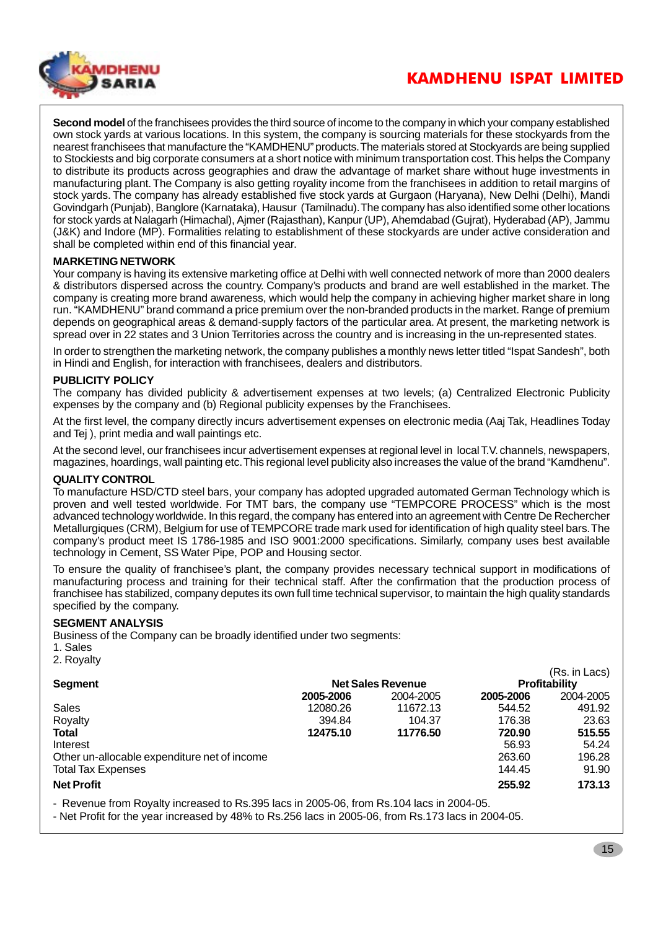

**Second model** of the franchisees provides the third source of income to the company in which your company established own stock yards at various locations. In this system, the company is sourcing materials for these stockyards from the nearest franchisees that manufacture the "KAMDHENU" products. The materials stored at Stockyards are being supplied to Stockiests and big corporate consumers at a short notice with minimum transportation cost. This helps the Company to distribute its products across geographies and draw the advantage of market share without huge investments in manufacturing plant. The Company is also getting royality income from the franchisees in addition to retail margins of stock yards. The company has already established five stock yards at Gurgaon (Haryana), New Delhi (Delhi), Mandi Govindgarh (Punjab), Banglore (Karnataka), Hausur (Tamilnadu). The company has also identified some other locations for stock yards at Nalagarh (Himachal), Ajmer (Rajasthan), Kanpur (UP), Ahemdabad (Gujrat), Hyderabad (AP), Jammu (J&K) and Indore (MP). Formalities relating to establishment of these stockyards are under active consideration and shall be completed within end of this financial year.

#### **MARKETING NETWORK**

Your company is having its extensive marketing office at Delhi with well connected network of more than 2000 dealers & distributors dispersed across the country. Company's products and brand are well established in the market. The company is creating more brand awareness, which would help the company in achieving higher market share in long run. "KAMDHENU" brand command a price premium over the non-branded products in the market. Range of premium depends on geographical areas & demand-supply factors of the particular area. At present, the marketing network is spread over in 22 states and 3 Union Territories across the country and is increasing in the un-represented states.

In order to strengthen the marketing network, the company publishes a monthly news letter titled "Ispat Sandesh", both in Hindi and English, for interaction with franchisees, dealers and distributors.

#### **PUBLICITY POLICY**

The company has divided publicity & advertisement expenses at two levels; (a) Centralized Electronic Publicity expenses by the company and (b) Regional publicity expenses by the Franchisees.

At the first level, the company directly incurs advertisement expenses on electronic media (Aaj Tak, Headlines Today and Tej ), print media and wall paintings etc.

At the second level, our franchisees incur advertisement expenses at regional level in local T.V. channels, newspapers, magazines, hoardings, wall painting etc. This regional level publicity also increases the value of the brand "Kamdhenu".

#### **QUALITY CONTROL**

To manufacture HSD/CTD steel bars, your company has adopted upgraded automated German Technology which is proven and well tested worldwide. For TMT bars, the company use "TEMPCORE PROCESS" which is the most advanced technology worldwide. In this regard, the company has entered into an agreement with Centre De Rechercher Metallurgiques (CRM), Belgium for use of TEMPCORE trade mark used for identification of high quality steel bars. The company's product meet IS 1786-1985 and ISO 9001:2000 specifications. Similarly, company uses best available technology in Cement, SS Water Pipe, POP and Housing sector.

To ensure the quality of franchisee's plant, the company provides necessary technical support in modifications of manufacturing process and training for their technical staff. After the confirmation that the production process of franchisee has stabilized, company deputes its own full time technical supervisor, to maintain the high quality standards specified by the company.

#### **SEGMENT ANALYSIS**

Business of the Company can be broadly identified under two segments:

- 1. Sales
- 2. Royalty

|                                              |           |                          |           | (Rs. in Lacs)        |
|----------------------------------------------|-----------|--------------------------|-----------|----------------------|
| Segment                                      |           | <b>Net Sales Revenue</b> |           | <b>Profitability</b> |
|                                              | 2005-2006 | 2004-2005                | 2005-2006 | 2004-2005            |
| Sales                                        | 12080.26  | 11672.13                 | 544.52    | 491.92               |
| Royalty                                      | 394.84    | 104.37                   | 176.38    | 23.63                |
| <b>Total</b>                                 | 12475.10  | 11776.50                 | 720.90    | 515.55               |
| Interest                                     |           |                          | 56.93     | 54.24                |
| Other un-allocable expenditure net of income |           |                          | 263.60    | 196.28               |
| <b>Total Tax Expenses</b>                    |           |                          | 144.45    | 91.90                |
| <b>Net Profit</b>                            |           |                          | 255.92    | 173.13               |

- Revenue from Royalty increased to Rs.395 lacs in 2005-06, from Rs.104 lacs in 2004-05.

- Net Profit for the year increased by 48% to Rs.256 lacs in 2005-06, from Rs.173 lacs in 2004-05.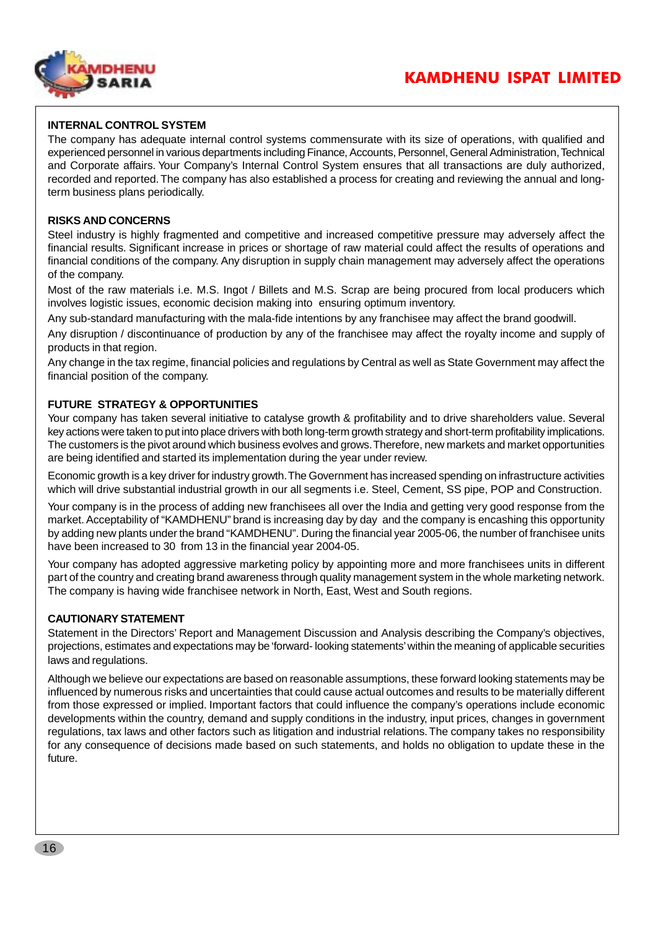

### **INTERNAL CONTROL SYSTEM**

The company has adequate internal control systems commensurate with its size of operations, with qualified and experienced personnel in various departments including Finance, Accounts, Personnel, General Administration, Technical and Corporate affairs. Your Company's Internal Control System ensures that all transactions are duly authorized, recorded and reported. The company has also established a process for creating and reviewing the annual and longterm business plans periodically.

#### **RISKS AND CONCERNS**

Steel industry is highly fragmented and competitive and increased competitive pressure may adversely affect the financial results. Significant increase in prices or shortage of raw material could affect the results of operations and financial conditions of the company. Any disruption in supply chain management may adversely affect the operations of the company.

Most of the raw materials i.e. M.S. Ingot / Billets and M.S. Scrap are being procured from local producers which involves logistic issues, economic decision making into ensuring optimum inventory.

Any sub-standard manufacturing with the mala-fide intentions by any franchisee may affect the brand goodwill.

Any disruption / discontinuance of production by any of the franchisee may affect the royalty income and supply of products in that region.

Any change in the tax regime, financial policies and regulations by Central as well as State Government may affect the financial position of the company.

### **FUTURE STRATEGY & OPPORTUNITIES**

Your company has taken several initiative to catalyse growth & profitability and to drive shareholders value. Several key actions were taken to put into place drivers with both long-term growth strategy and short-term profitability implications. The customers is the pivot around which business evolves and grows. Therefore, new markets and market opportunities are being identified and started its implementation during the year under review.

Economic growth is a key driver for industry growth. The Government has increased spending on infrastructure activities which will drive substantial industrial growth in our all segments i.e. Steel, Cement, SS pipe, POP and Construction.

Your company is in the process of adding new franchisees all over the India and getting very good response from the market. Acceptability of "KAMDHENU" brand is increasing day by day and the company is encashing this opportunity by adding new plants under the brand "KAMDHENU". During the financial year 2005-06, the number of franchisee units have been increased to 30 from 13 in the financial year 2004-05.

Your company has adopted aggressive marketing policy by appointing more and more franchisees units in different part of the country and creating brand awareness through quality management system in the whole marketing network. The company is having wide franchisee network in North, East, West and South regions.

### **CAUTIONARY STATEMENT**

Statement in the Directors' Report and Management Discussion and Analysis describing the Company's objectives, projections, estimates and expectations may be 'forward- looking statements' within the meaning of applicable securities laws and regulations.

Although we believe our expectations are based on reasonable assumptions, these forward looking statements may be influenced by numerous risks and uncertainties that could cause actual outcomes and results to be materially different from those expressed or implied. Important factors that could influence the company's operations include economic developments within the country, demand and supply conditions in the industry, input prices, changes in government regulations, tax laws and other factors such as litigation and industrial relations. The company takes no responsibility for any consequence of decisions made based on such statements, and holds no obligation to update these in the future.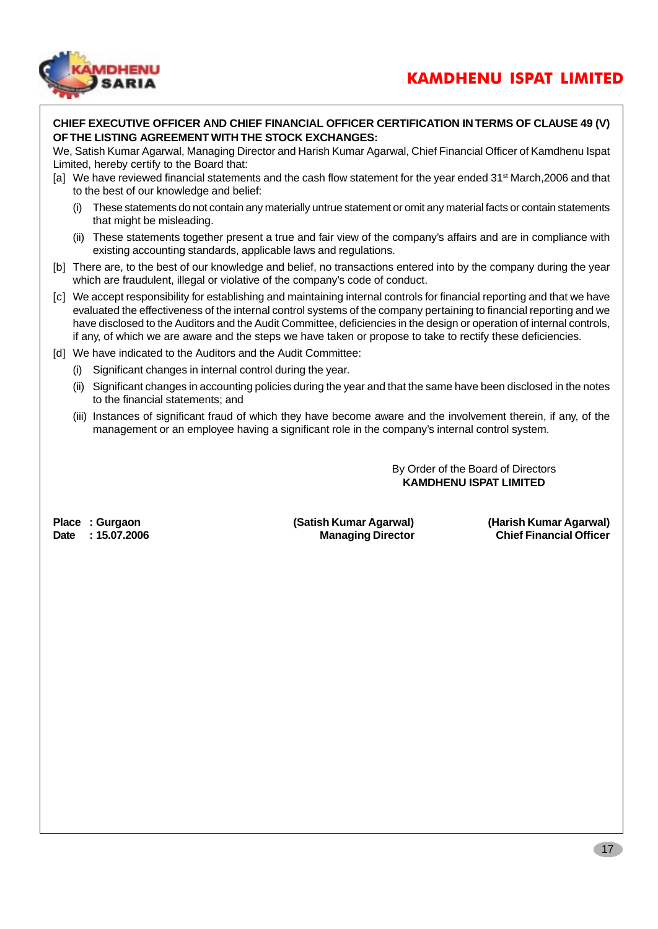

**CHIEF EXECUTIVE OFFICER AND CHIEF FINANCIAL OFFICER CERTIFICATION IN TERMS OF CLAUSE 49 (V) OF THE LISTING AGREEMENT WITH THE STOCK EXCHANGES:**

We, Satish Kumar Agarwal, Managing Director and Harish Kumar Agarwal, Chief Financial Officer of Kamdhenu Ispat Limited, hereby certify to the Board that:

- [a] We have reviewed financial statements and the cash flow statement for the year ended 31<sup>st</sup> March,2006 and that to the best of our knowledge and belief:
	- (i) These statements do not contain any materially untrue statement or omit any material facts or contain statements that might be misleading.
	- (ii) These statements together present a true and fair view of the company's affairs and are in compliance with existing accounting standards, applicable laws and regulations.
- [b] There are, to the best of our knowledge and belief, no transactions entered into by the company during the year which are fraudulent, illegal or violative of the company's code of conduct.
- [c] We accept responsibility for establishing and maintaining internal controls for financial reporting and that we have evaluated the effectiveness of the internal control systems of the company pertaining to financial reporting and we have disclosed to the Auditors and the Audit Committee, deficiencies in the design or operation of internal controls, if any, of which we are aware and the steps we have taken or propose to take to rectify these deficiencies.
- [d] We have indicated to the Auditors and the Audit Committee:
	- (i) Significant changes in internal control during the year.
	- (ii) Significant changes in accounting policies during the year and that the same have been disclosed in the notes to the financial statements; and
	- (iii) Instances of significant fraud of which they have become aware and the involvement therein, if any, of the management or an employee having a significant role in the company's internal control system.

By Order of the Board of Directors **KAMDHENU ISPAT LIMITED**

**Place : Gurgaon (Satish Kumar Agarwal) (Harish Kumar Agarwal) Date : 15.07.2006 Managing Director Chief Financial Officer**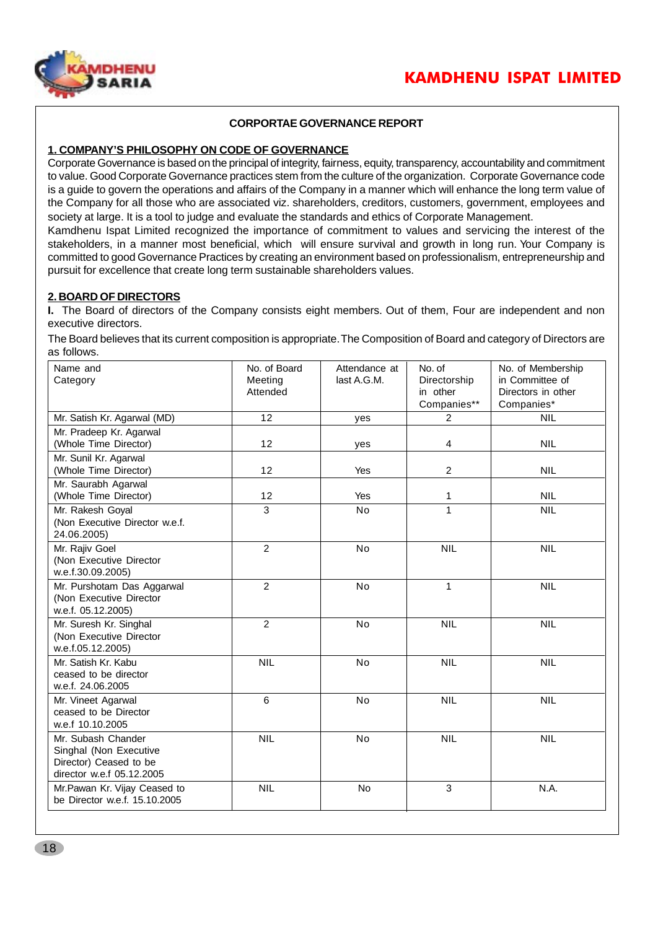



### **CORPORTAE GOVERNANCE REPORT**

## **1. COMPANY'S PHILOSOPHY ON CODE OF GOVERNANCE**

Corporate Governance is based on the principal of integrity, fairness, equity, transparency, accountability and commitment to value. Good Corporate Governance practices stem from the culture of the organization. Corporate Governance code is a guide to govern the operations and affairs of the Company in a manner which will enhance the long term value of the Company for all those who are associated viz. shareholders, creditors, customers, government, employees and society at large. It is a tool to judge and evaluate the standards and ethics of Corporate Management.

Kamdhenu Ispat Limited recognized the importance of commitment to values and servicing the interest of the stakeholders, in a manner most beneficial, which will ensure survival and growth in long run. Your Company is committed to good Governance Practices by creating an environment based on professionalism, entrepreneurship and pursuit for excellence that create long term sustainable shareholders values.

## **2. BOARD OF DIRECTORS**

**I.** The Board of directors of the Company consists eight members. Out of them, Four are independent and non executive directors.

The Board believes that its current composition is appropriate. The Composition of Board and category of Directors are as follows.

| Name and<br>Category                                                                                | No. of Board<br>Meeting<br>Attended | Attendance at<br>last A.G.M. | No. of<br>Directorship<br>in other<br>Companies** | No. of Membership<br>in Committee of<br>Directors in other<br>Companies* |
|-----------------------------------------------------------------------------------------------------|-------------------------------------|------------------------------|---------------------------------------------------|--------------------------------------------------------------------------|
| Mr. Satish Kr. Agarwal (MD)                                                                         | 12                                  | yes                          | $\overline{2}$                                    | <b>NIL</b>                                                               |
| Mr. Pradeep Kr. Agarwal<br>(Whole Time Director)                                                    | 12                                  | yes                          | 4                                                 | <b>NIL</b>                                                               |
| Mr. Sunil Kr. Agarwal<br>(Whole Time Director)                                                      | 12                                  | Yes                          | $\boldsymbol{2}$                                  | <b>NIL</b>                                                               |
| Mr. Saurabh Agarwal<br>(Whole Time Director)                                                        | 12                                  | Yes                          | 1                                                 | <b>NIL</b>                                                               |
| Mr. Rakesh Goyal<br>(Non Executive Director w.e.f.<br>24.06.2005)                                   | $\overline{3}$                      | No                           | $\mathbf{1}$                                      | <b>NIL</b>                                                               |
| Mr. Rajiv Goel<br>(Non Executive Director<br>w.e.f.30.09.2005)                                      | $\overline{2}$                      | <b>No</b>                    | <b>NIL</b>                                        | <b>NIL</b>                                                               |
| Mr. Purshotam Das Aggarwal<br>(Non Executive Director<br>w.e.f. 05.12.2005)                         | $\overline{2}$                      | No                           | 1                                                 | <b>NIL</b>                                                               |
| Mr. Suresh Kr. Singhal<br>(Non Executive Director<br>w.e.f.05.12.2005)                              | $\overline{2}$                      | No                           | <b>NIL</b>                                        | <b>NIL</b>                                                               |
| Mr. Satish Kr. Kabu<br>ceased to be director<br>w.e.f. 24.06.2005                                   | <b>NIL</b>                          | No                           | <b>NIL</b>                                        | <b>NIL</b>                                                               |
| Mr. Vineet Agarwal<br>ceased to be Director<br>w.e.f 10.10.2005                                     | 6                                   | No                           | <b>NIL</b>                                        | <b>NIL</b>                                                               |
| Mr. Subash Chander<br>Singhal (Non Executive<br>Director) Ceased to be<br>director w.e.f 05.12.2005 | <b>NIL</b>                          | No                           | <b>NIL</b>                                        | <b>NIL</b>                                                               |
| Mr.Pawan Kr. Vijay Ceased to<br>be Director w.e.f. 15.10.2005                                       | <b>NIL</b>                          | No                           | 3                                                 | N.A.                                                                     |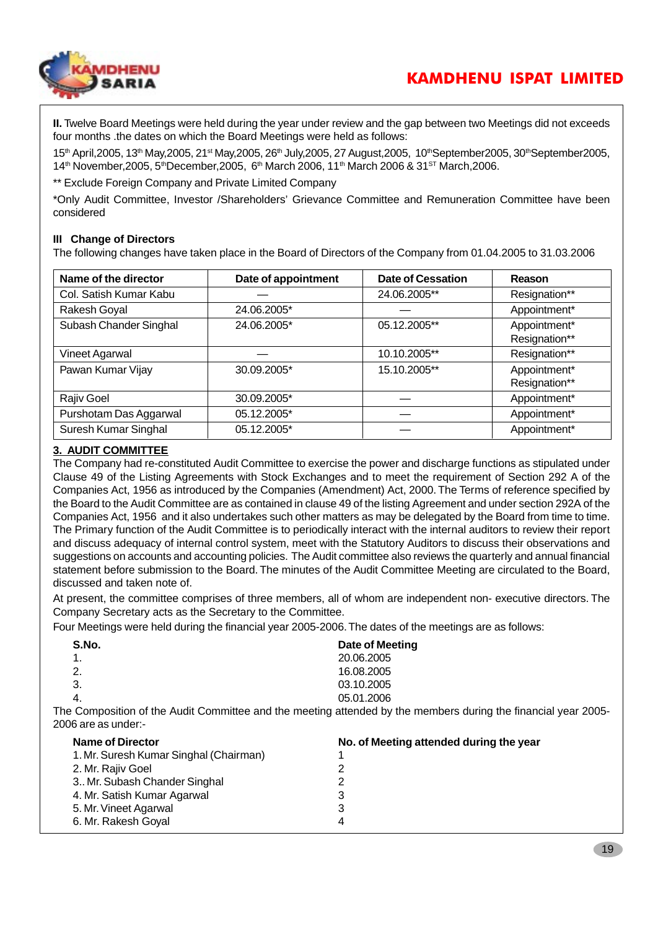

**II.** Twelve Board Meetings were held during the year under review and the gap between two Meetings did not exceeds four months .the dates on which the Board Meetings were held as follows:

15<sup>th</sup> April,2005, 13<sup>th</sup> May,2005, 21<sup>st</sup> May,2005, 26<sup>th</sup> July,2005, 27 August,2005, 10<sup>th</sup>September2005, 30<sup>th</sup>September2005,  $14<sup>th</sup>$  November, 2005, 5<sup>th</sup> December, 2005, 6<sup>th</sup> March 2006, 11<sup>th</sup> March 2006 & 31<sup>ST</sup> March, 2006.

\*\* Exclude Foreign Company and Private Limited Company

\*Only Audit Committee, Investor /Shareholders' Grievance Committee and Remuneration Committee have been considered

### **III Change of Directors**

The following changes have taken place in the Board of Directors of the Company from 01.04.2005 to 31.03.2006

| Name of the director   | Date of appointment | <b>Date of Cessation</b> | Reason                        |
|------------------------|---------------------|--------------------------|-------------------------------|
| Col. Satish Kumar Kabu |                     | 24.06.2005**             | Resignation**                 |
| Rakesh Goyal           | 24.06.2005*         |                          | Appointment*                  |
| Subash Chander Singhal | 24.06.2005*         | 05.12.2005**             | Appointment*<br>Resignation** |
| Vineet Agarwal         |                     | 10.10.2005**             | Resignation**                 |
| Pawan Kumar Vijay      | 30.09.2005*         | 15.10.2005**             | Appointment*<br>Resignation** |
| Rajiv Goel             | 30.09.2005*         |                          | Appointment*                  |
| Purshotam Das Aggarwal | 05.12.2005*         |                          | Appointment*                  |
| Suresh Kumar Singhal   | 05.12.2005*         |                          | Appointment*                  |

#### **3. AUDIT COMMITTEE**

The Company had re-constituted Audit Committee to exercise the power and discharge functions as stipulated under Clause 49 of the Listing Agreements with Stock Exchanges and to meet the requirement of Section 292 A of the Companies Act, 1956 as introduced by the Companies (Amendment) Act, 2000. The Terms of reference specified by the Board to the Audit Committee are as contained in clause 49 of the listing Agreement and under section 292A of the Companies Act, 1956 and it also undertakes such other matters as may be delegated by the Board from time to time. The Primary function of the Audit Committee is to periodically interact with the internal auditors to review their report and discuss adequacy of internal control system, meet with the Statutory Auditors to discuss their observations and suggestions on accounts and accounting policies. The Audit committee also reviews the quarterly and annual financial statement before submission to the Board. The minutes of the Audit Committee Meeting are circulated to the Board, discussed and taken note of.

At present, the committee comprises of three members, all of whom are independent non- executive directors. The Company Secretary acts as the Secretary to the Committee.

Four Meetings were held during the financial year 2005-2006. The dates of the meetings are as follows:

| S.No. | Date of Meeting |
|-------|-----------------|
|       | 20.06.2005      |
| 2.    | 16.08.2005      |
| -3.   | 03.10.2005      |
| -4.   | 05.01.2006      |

The Composition of the Audit Committee and the meeting attended by the members during the financial year 2005- 2006 are as under:-

| <b>Name of Director</b>                | No. of Meeting attended during the year |
|----------------------------------------|-----------------------------------------|
| 1. Mr. Suresh Kumar Singhal (Chairman) |                                         |
| 2. Mr. Rajiv Goel                      |                                         |
| 3. Mr. Subash Chander Singhal          |                                         |
| 4. Mr. Satish Kumar Agarwal            | 3                                       |
| 5. Mr. Vineet Agarwal                  | 3                                       |
| 6. Mr. Rakesh Goyal                    | 4                                       |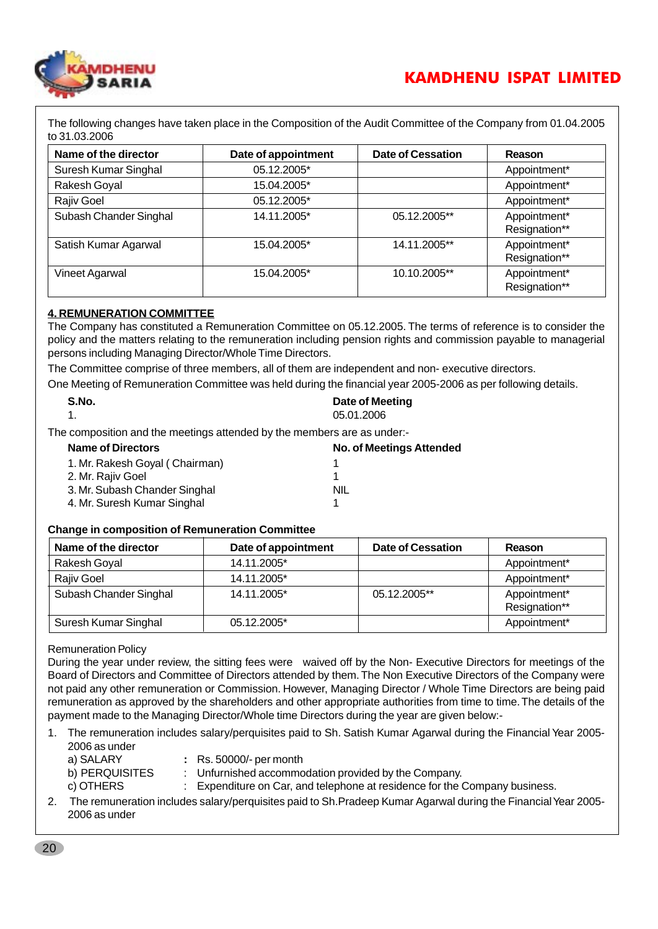

The following changes have taken place in the Composition of the Audit Committee of the Company from 01.04.2005 to 31.03.2006

| Name of the director   | Date of appointment | <b>Date of Cessation</b> | Reason                        |
|------------------------|---------------------|--------------------------|-------------------------------|
| Suresh Kumar Singhal   | 05.12.2005*         |                          | Appointment*                  |
| Rakesh Goyal           | 15.04.2005*         |                          | Appointment*                  |
| Rajiv Goel             | 05.12.2005*         |                          | Appointment*                  |
| Subash Chander Singhal | 14.11.2005*         | 05.12.2005**             | Appointment*<br>Resignation** |
| Satish Kumar Agarwal   | 15.04.2005*         | 14.11.2005**             | Appointment*<br>Resignation** |
| Vineet Agarwal         | 15.04.2005*         | 10.10.2005**             | Appointment*<br>Resignation** |

## **4. REMUNERATION COMMITTEE**

The Company has constituted a Remuneration Committee on 05.12.2005. The terms of reference is to consider the policy and the matters relating to the remuneration including pension rights and commission payable to managerial persons including Managing Director/Whole Time Directors.

The Committee comprise of three members, all of them are independent and non- executive directors.

One Meeting of Remuneration Committee was held during the financial year 2005-2006 as per following details.

| S.No. | Date of Meeting |
|-------|-----------------|
|       | 05.01.2006      |

The composition and the meetings attended by the members are as under:-

| No. of Meetings Attended |
|--------------------------|
|                          |
|                          |
| NIL                      |
|                          |
|                          |

### **Change in composition of Remuneration Committee**

| Name of the director   | Date of appointment | Date of Cessation | Reason        |
|------------------------|---------------------|-------------------|---------------|
| Rakesh Goyal           | 14.11.2005*         |                   | Appointment*  |
| Rajiv Goel             | 14.11.2005*         |                   | Appointment*  |
| Subash Chander Singhal | 14.11.2005*         | 05.12.2005**      | Appointment*  |
|                        |                     |                   | Resignation** |
| Suresh Kumar Singhal   | 05.12.2005*         |                   | Appointment*  |

#### Remuneration Policy

During the year under review, the sitting fees were waived off by the Non- Executive Directors for meetings of the Board of Directors and Committee of Directors attended by them. The Non Executive Directors of the Company were not paid any other remuneration or Commission. However, Managing Director / Whole Time Directors are being paid remuneration as approved by the shareholders and other appropriate authorities from time to time. The details of the payment made to the Managing Director/Whole time Directors during the year are given below:-

1. The remuneration includes salary/perquisites paid to Sh. Satish Kumar Agarwal during the Financial Year 2005- 2006 as under

- a) SALARY **:** Rs. 50000/- per month b) PERQUISITES : Unfurnished accommodation provided by the Company. c) OTHERS : Expenditure on Car, and telephone at residence for the Company business.
- 2. The remuneration includes salary/perquisites paid to Sh.Pradeep Kumar Agarwal during the Financial Year 2005- 2006 as under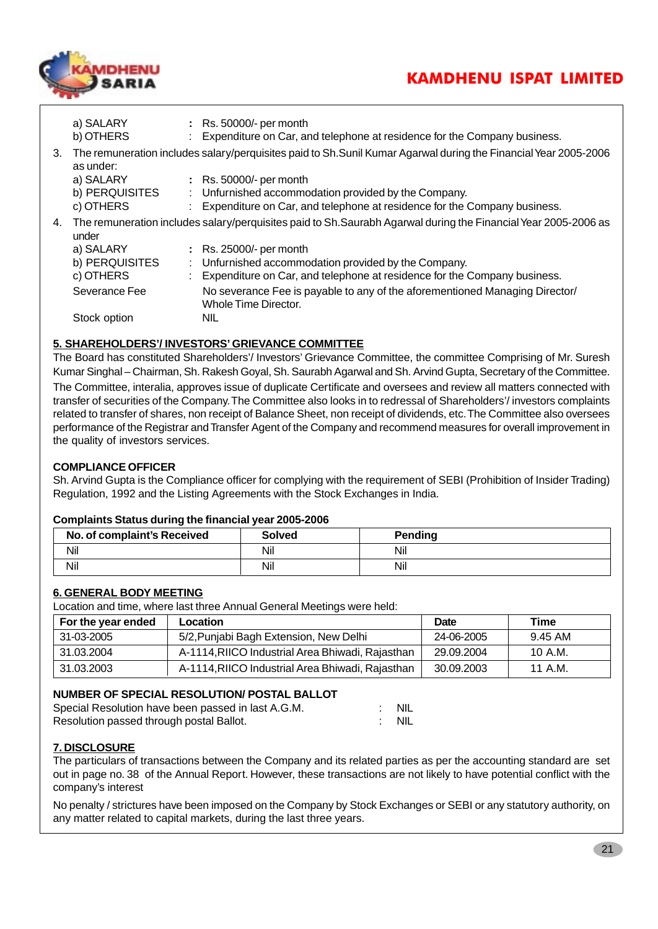

| a) SALARY<br>b) OTHERS | : Rs. 50000/- per month<br>: Expenditure on Car, and telephone at residence for the Company business.           |
|------------------------|-----------------------------------------------------------------------------------------------------------------|
| as under:              | The remuneration includes salary/perquisites paid to Sh.Sunil Kumar Agarwal during the Financial Year 2005-2006 |
| a) SALARY              | $:$ Rs. 50000/- per month                                                                                       |
| b) PERQUISITES         | : Unfurnished accommodation provided by the Company.                                                            |
| c) OTHERS              | : Expenditure on Car, and telephone at residence for the Company business.                                      |
| under                  | The remuneration includes salary/perquisites paid to Sh.Saurabh Agarwal during the Financial Year 2005-2006 as  |
| a) SALARY              | : Rs. 25000/- per month                                                                                         |
| b) PERQUISITES         | : Unfurnished accommodation provided by the Company.                                                            |
| c) OTHERS              | Expenditure on Car, and telephone at residence for the Company business.                                        |
| Severance Fee          | No severance Fee is payable to any of the aforementioned Managing Director/<br>Whole Time Director.             |
| Stock option           | NIL                                                                                                             |
|                        |                                                                                                                 |

## **5. SHAREHOLDERS'/ INVESTORS' GRIEVANCE COMMITTEE**

The Board has constituted Shareholders'/ Investors' Grievance Committee, the committee Comprising of Mr. Suresh Kumar Singhal – Chairman, Sh. Rakesh Goyal, Sh. Saurabh Agarwal and Sh. Arvind Gupta, Secretary of the Committee.

The Committee, interalia, approves issue of duplicate Certificate and oversees and review all matters connected with transfer of securities of the Company. The Committee also looks in to redressal of Shareholders'/ investors complaints related to transfer of shares, non receipt of Balance Sheet, non receipt of dividends, etc. The Committee also oversees performance of the Registrar and Transfer Agent of the Company and recommend measures for overall improvement in the quality of investors services.

### **COMPLIANCE OFFICER**

Sh. Arvind Gupta is the Compliance officer for complying with the requirement of SEBI (Prohibition of Insider Trading) Regulation, 1992 and the Listing Agreements with the Stock Exchanges in India.

### **Complaints Status during the financial year 2005-2006**

| No. of complaint's Received | <b>Solved</b> | Pending |
|-----------------------------|---------------|---------|
| Nil                         | Nil           | Nil     |
| Nil                         | Nil           | Nil     |

### **6. GENERAL BODY MEETING**

Location and time, where last three Annual General Meetings were held:

| For the year ended | Location                                         | Date       | Time    |
|--------------------|--------------------------------------------------|------------|---------|
| 31-03-2005         | 5/2, Punjabi Bagh Extension, New Delhi           | 24-06-2005 | 9.45 AM |
| 31.03.2004         | A-1114, RIICO Industrial Area Bhiwadi, Rajasthan | 29.09.2004 | 10 A.M. |
| 31.03.2003         | A-1114, RIICO Industrial Area Bhiwadi, Rajasthan | 30.09.2003 | 11 A.M. |

## **NUMBER OF SPECIAL RESOLUTION/ POSTAL BALLOT**

| Special Resolution have been passed in last A.G.M. | - NIL |
|----------------------------------------------------|-------|
| Resolution passed through postal Ballot.           | - NIL |

### **7. DISCLOSURE**

The particulars of transactions between the Company and its related parties as per the accounting standard are set out in page no. 38 of the Annual Report. However, these transactions are not likely to have potential conflict with the company's interest

No penalty / strictures have been imposed on the Company by Stock Exchanges or SEBI or any statutory authority, on any matter related to capital markets, during the last three years.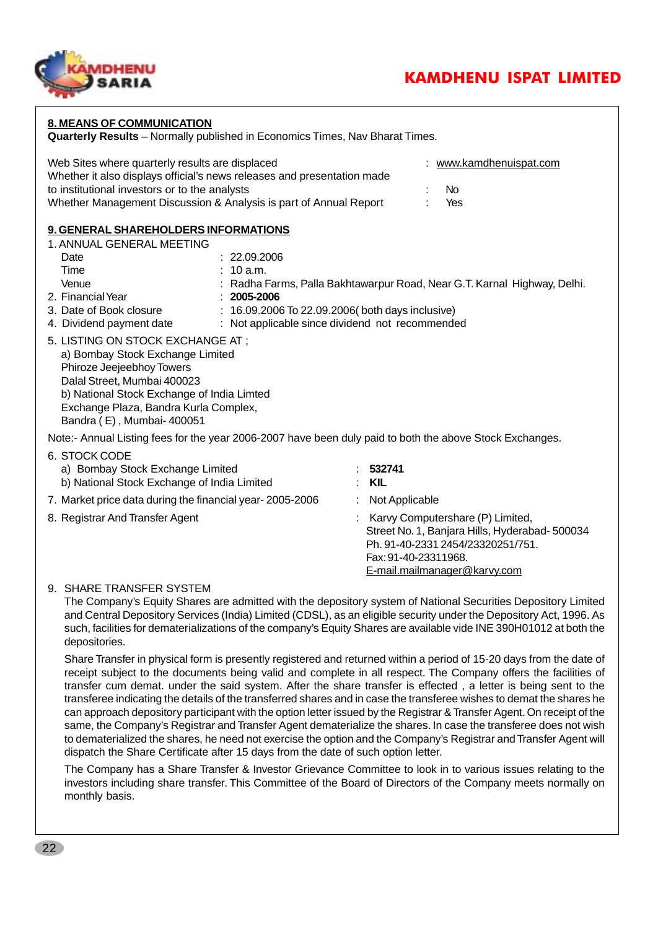

| <b>8. MEANS OF COMMUNICATION</b><br>Quarterly Results - Normally published in Economics Times, Nav Bharat Times.                                                                                                                                                                              |                                                                                                                                                                                 |  |  |  |  |  |
|-----------------------------------------------------------------------------------------------------------------------------------------------------------------------------------------------------------------------------------------------------------------------------------------------|---------------------------------------------------------------------------------------------------------------------------------------------------------------------------------|--|--|--|--|--|
| Web Sites where quarterly results are displaced<br>www.kamdhenuispat.com<br>Whether it also displays official's news releases and presentation made<br>to institutional investors or to the analysts<br><b>No</b><br>Whether Management Discussion & Analysis is part of Annual Report<br>Yes |                                                                                                                                                                                 |  |  |  |  |  |
| 9. GENERAL SHAREHOLDERS INFORMATIONS                                                                                                                                                                                                                                                          |                                                                                                                                                                                 |  |  |  |  |  |
| 1. ANNUAL GENERAL MEETING                                                                                                                                                                                                                                                                     |                                                                                                                                                                                 |  |  |  |  |  |
| : 22.09.2006<br>Date                                                                                                                                                                                                                                                                          |                                                                                                                                                                                 |  |  |  |  |  |
| Time<br>: $10 a.m.$                                                                                                                                                                                                                                                                           |                                                                                                                                                                                 |  |  |  |  |  |
| Venue                                                                                                                                                                                                                                                                                         | : Radha Farms, Palla Bakhtawarpur Road, Near G.T. Karnal Highway, Delhi.                                                                                                        |  |  |  |  |  |
| 2. Financial Year<br>$: 2005 - 2006$                                                                                                                                                                                                                                                          |                                                                                                                                                                                 |  |  |  |  |  |
| 3. Date of Book closure                                                                                                                                                                                                                                                                       | : 16.09.2006 To 22.09.2006(both days inclusive)                                                                                                                                 |  |  |  |  |  |
| 4. Dividend payment date                                                                                                                                                                                                                                                                      | : Not applicable since dividend not recommended                                                                                                                                 |  |  |  |  |  |
| 5. LISTING ON STOCK EXCHANGE AT ;<br>a) Bombay Stock Exchange Limited<br>Phiroze Jeejeebhoy Towers<br>Dalal Street, Mumbai 400023<br>b) National Stock Exchange of India Limted<br>Exchange Plaza, Bandra Kurla Complex,<br>Bandra (E), Mumbai- 400051                                        |                                                                                                                                                                                 |  |  |  |  |  |
| Note:- Annual Listing fees for the year 2006-2007 have been duly paid to both the above Stock Exchanges.                                                                                                                                                                                      |                                                                                                                                                                                 |  |  |  |  |  |
| 6. STOCK CODE<br>a) Bombay Stock Exchange Limited<br>b) National Stock Exchange of India Limited                                                                                                                                                                                              | 532741<br><b>KIL</b>                                                                                                                                                            |  |  |  |  |  |
| 7. Market price data during the financial year-2005-2006                                                                                                                                                                                                                                      | Not Applicable                                                                                                                                                                  |  |  |  |  |  |
| 8. Registrar And Transfer Agent                                                                                                                                                                                                                                                               | Karvy Computershare (P) Limited,<br>Street No. 1, Banjara Hills, Hyderabad- 500034<br>Ph. 91-40-2331 2454/23320251/751.<br>Fax: 91-40-23311968.<br>E-mail.mailmanager@karvy.com |  |  |  |  |  |
| Q CHARE TRANSEER SVSTEM                                                                                                                                                                                                                                                                       |                                                                                                                                                                                 |  |  |  |  |  |

#### 9. SHARE TRANSFER SYSTEM

The Company's Equity Shares are admitted with the depository system of National Securities Depository Limited and Central Depository Services (India) Limited (CDSL), as an eligible security under the Depository Act, 1996. As such, facilities for dematerializations of the company's Equity Shares are available vide INE 390H01012 at both the depositories.

Share Transfer in physical form is presently registered and returned within a period of 15-20 days from the date of receipt subject to the documents being valid and complete in all respect. The Company offers the facilities of transfer cum demat. under the said system. After the share transfer is effected , a letter is being sent to the transferee indicating the details of the transferred shares and in case the transferee wishes to demat the shares he can approach depository participant with the option letter issued by the Registrar & Transfer Agent. On receipt of the same, the Company's Registrar and Transfer Agent dematerialize the shares. In case the transferee does not wish to dematerialized the shares, he need not exercise the option and the Company's Registrar and Transfer Agent will dispatch the Share Certificate after 15 days from the date of such option letter.

The Company has a Share Transfer & Investor Grievance Committee to look in to various issues relating to the investors including share transfer. This Committee of the Board of Directors of the Company meets normally on monthly basis.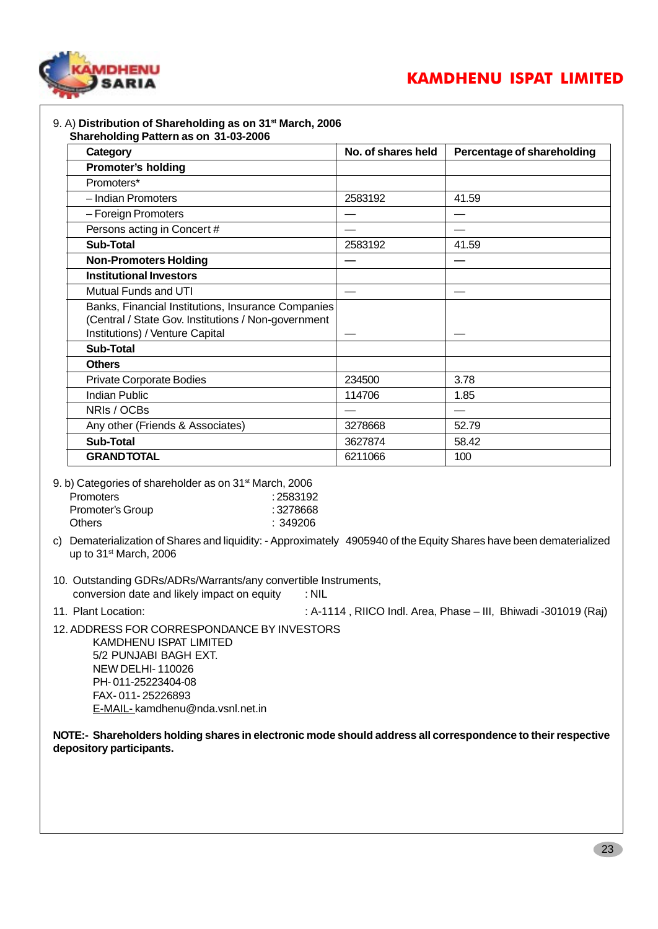

| Category                                            | No. of shares held | Percentage of shareholding |
|-----------------------------------------------------|--------------------|----------------------------|
| <b>Promoter's holding</b>                           |                    |                            |
| Promoters*                                          |                    |                            |
| - Indian Promoters                                  | 2583192            | 41.59                      |
| - Foreign Promoters                                 |                    |                            |
| Persons acting in Concert #                         |                    |                            |
| <b>Sub-Total</b>                                    | 2583192            | 41.59                      |
| <b>Non-Promoters Holding</b>                        |                    |                            |
| <b>Institutional Investors</b>                      |                    |                            |
| Mutual Funds and UTI                                |                    |                            |
| Banks, Financial Institutions, Insurance Companies  |                    |                            |
| (Central / State Gov. Institutions / Non-government |                    |                            |
| Institutions) / Venture Capital                     |                    |                            |
| <b>Sub-Total</b>                                    |                    |                            |
| <b>Others</b>                                       |                    |                            |
| <b>Private Corporate Bodies</b>                     | 234500             | 3.78                       |
| <b>Indian Public</b>                                | 114706             | 1.85                       |
| NRIs / OCBs                                         |                    |                            |
| Any other (Friends & Associates)                    | 3278668            | 52.79                      |
| <b>Sub-Total</b>                                    | 3627874            | 58.42                      |
| <b>GRANDTOTAL</b>                                   | 6211066            | 100                        |

9. b) Categories of shareholder as on 31<sup>st</sup> March, 2006 Promoters : 2583192

| Promoter's Group | : 3278668 |
|------------------|-----------|
| Others           | :349206   |

- c) Dematerialization of Shares and liquidity: Approximately 4905940 of the Equity Shares have been dematerialized up to 31<sup>st</sup> March, 2006
- 10. Outstanding GDRs/ADRs/Warrants/any convertible Instruments, conversion date and likely impact on equity : NIL
- 

11. Plant Location: : A-1114 , RIICO Indl. Area, Phase – III, Bhiwadi -301019 (Raj)

12. ADDRESS FOR CORRESPONDANCE BY INVESTORS KAMDHENU ISPAT LIMITED 5/2 PUNJABI BAGH EXT. NEW DELHI- 110026 PH- 011-25223404-08 FAX- 011- 25226893 E-MAIL- kamdhenu@nda.vsnl.net.in

**NOTE:- Shareholders holding shares in electronic mode should address all correspondence to their respective depository participants.**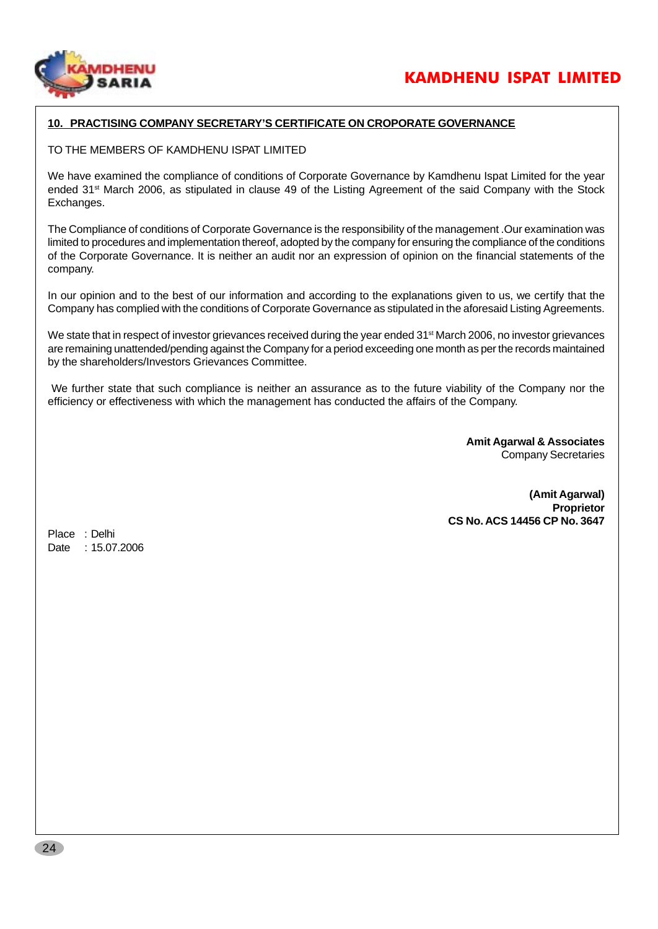

#### **10. PRACTISING COMPANY SECRETARY'S CERTIFICATE ON CROPORATE GOVERNANCE**

#### TO THE MEMBERS OF KAMDHENU ISPAT LIMITED

We have examined the compliance of conditions of Corporate Governance by Kamdhenu Ispat Limited for the year ended 31<sup>st</sup> March 2006, as stipulated in clause 49 of the Listing Agreement of the said Company with the Stock Exchanges.

The Compliance of conditions of Corporate Governance is the responsibility of the management .Our examination was limited to procedures and implementation thereof, adopted by the company for ensuring the compliance of the conditions of the Corporate Governance. It is neither an audit nor an expression of opinion on the financial statements of the company.

In our opinion and to the best of our information and according to the explanations given to us, we certify that the Company has complied with the conditions of Corporate Governance as stipulated in the aforesaid Listing Agreements.

We state that in respect of investor grievances received during the year ended 31<sup>st</sup> March 2006, no investor grievances are remaining unattended/pending against the Company for a period exceeding one month as per the records maintained by the shareholders/Investors Grievances Committee.

 We further state that such compliance is neither an assurance as to the future viability of the Company nor the efficiency or effectiveness with which the management has conducted the affairs of the Company.

> **Amit Agarwal & Associates** Company Secretaries

**(Amit Agarwal) Proprietor CS No. ACS 14456 CP No. 3647**

Place : Delhi Date : 15.07.2006

24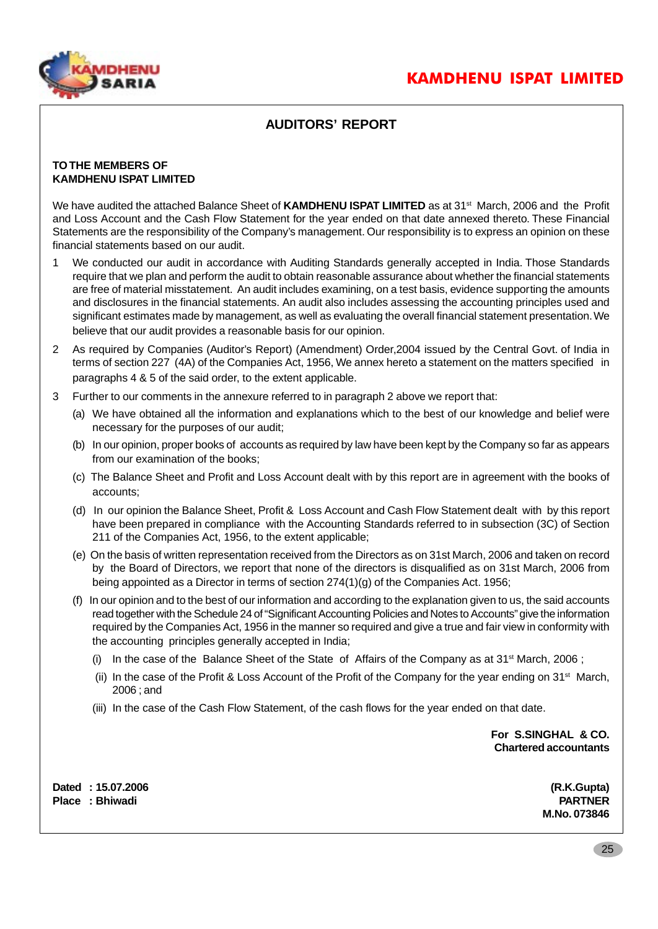



## **AUDITORS' REPORT**

#### **TO THE MEMBERS OF KAMDHENU ISPAT LIMITED**

We have audited the attached Balance Sheet of **KAMDHENU ISPAT LIMITED** as at 31<sup>st</sup> March, 2006 and the Profit and Loss Account and the Cash Flow Statement for the year ended on that date annexed thereto. These Financial Statements are the responsibility of the Company's management. Our responsibility is to express an opinion on these financial statements based on our audit.

- 1 We conducted our audit in accordance with Auditing Standards generally accepted in India. Those Standards require that we plan and perform the audit to obtain reasonable assurance about whether the financial statements are free of material misstatement. An audit includes examining, on a test basis, evidence supporting the amounts and disclosures in the financial statements. An audit also includes assessing the accounting principles used and significant estimates made by management, as well as evaluating the overall financial statement presentation. We believe that our audit provides a reasonable basis for our opinion.
- 2 As required by Companies (Auditor's Report) (Amendment) Order,2004 issued by the Central Govt. of India in terms of section 227 (4A) of the Companies Act, 1956, We annex hereto a statement on the matters specified in paragraphs 4 & 5 of the said order, to the extent applicable.
- 3 Further to our comments in the annexure referred to in paragraph 2 above we report that:
	- (a) We have obtained all the information and explanations which to the best of our knowledge and belief were necessary for the purposes of our audit;
	- (b) In our opinion, proper books of accounts as required by law have been kept by the Company so far as appears from our examination of the books;
	- (c) The Balance Sheet and Profit and Loss Account dealt with by this report are in agreement with the books of accounts;
	- (d) In our opinion the Balance Sheet, Profit & Loss Account and Cash Flow Statement dealt with by this report have been prepared in compliance with the Accounting Standards referred to in subsection (3C) of Section 211 of the Companies Act, 1956, to the extent applicable;
	- (e) On the basis of written representation received from the Directors as on 31st March, 2006 and taken on record by the Board of Directors, we report that none of the directors is disqualified as on 31st March, 2006 from being appointed as a Director in terms of section 274(1)(g) of the Companies Act. 1956;
	- (f) In our opinion and to the best of our information and according to the explanation given to us, the said accounts read together with the Schedule 24 of "Significant Accounting Policies and Notes to Accounts" give the information required by the Companies Act, 1956 in the manner so required and give a true and fair view in conformity with the accounting principles generally accepted in India;
		- (i) In the case of the Balance Sheet of the State of Affairs of the Company as at  $31<sup>st</sup>$  March, 2006;
		- (ii) In the case of the Profit & Loss Account of the Profit of the Company for the year ending on  $31^{st}$  March, 2006 ; and
		- (iii) In the case of the Cash Flow Statement, of the cash flows for the year ended on that date.

**For S.SINGHAL & CO. Chartered accountants**

**Dated : 15.07.2006 (R.K.Gupta) Place : Bhiwadi PARTNER**

**M.No. 073846**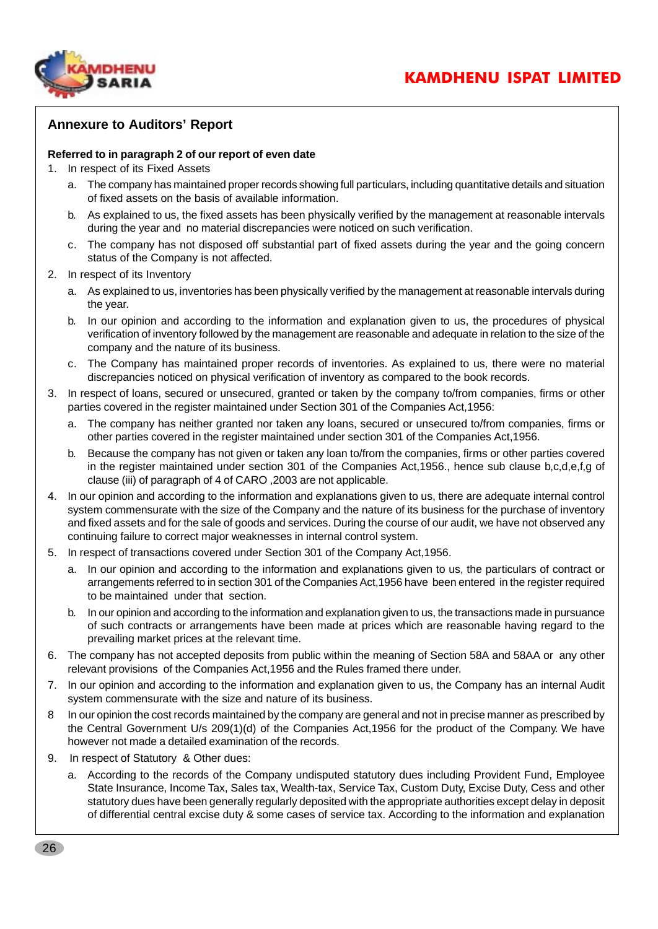



## **Annexure to Auditors' Report**

#### **Referred to in paragraph 2 of our report of even date**

- 1. In respect of its Fixed Assets
	- a. The company has maintained proper records showing full particulars, including quantitative details and situation of fixed assets on the basis of available information.
	- b. As explained to us, the fixed assets has been physically verified by the management at reasonable intervals during the year and no material discrepancies were noticed on such verification.
	- c. The company has not disposed off substantial part of fixed assets during the year and the going concern status of the Company is not affected.
- 2. In respect of its Inventory
	- a. As explained to us, inventories has been physically verified by the management at reasonable intervals during the year.
	- b. In our opinion and according to the information and explanation given to us, the procedures of physical verification of inventory followed by the management are reasonable and adequate in relation to the size of the company and the nature of its business.
	- c. The Company has maintained proper records of inventories. As explained to us, there were no material discrepancies noticed on physical verification of inventory as compared to the book records.
- 3. In respect of loans, secured or unsecured, granted or taken by the company to/from companies, firms or other parties covered in the register maintained under Section 301 of the Companies Act,1956:
	- a. The company has neither granted nor taken any loans, secured or unsecured to/from companies, firms or other parties covered in the register maintained under section 301 of the Companies Act,1956.
	- b. Because the company has not given or taken any loan to/from the companies, firms or other parties covered in the register maintained under section 301 of the Companies Act,1956., hence sub clause b,c,d,e,f,g of clause (iii) of paragraph of 4 of CARO ,2003 are not applicable.
- 4. In our opinion and according to the information and explanations given to us, there are adequate internal control system commensurate with the size of the Company and the nature of its business for the purchase of inventory and fixed assets and for the sale of goods and services. During the course of our audit, we have not observed any continuing failure to correct major weaknesses in internal control system.
- 5. In respect of transactions covered under Section 301 of the Company Act,1956.
	- a. In our opinion and according to the information and explanations given to us, the particulars of contract or arrangements referred to in section 301 of the Companies Act,1956 have been entered in the register required to be maintained under that section.
	- b. In our opinion and according to the information and explanation given to us, the transactions made in pursuance of such contracts or arrangements have been made at prices which are reasonable having regard to the prevailing market prices at the relevant time.
- 6. The company has not accepted deposits from public within the meaning of Section 58A and 58AA or any other relevant provisions of the Companies Act,1956 and the Rules framed there under.
- 7. In our opinion and according to the information and explanation given to us, the Company has an internal Audit system commensurate with the size and nature of its business.
- 8 In our opinion the cost records maintained by the company are general and not in precise manner as prescribed by the Central Government U/s 209(1)(d) of the Companies Act,1956 for the product of the Company. We have however not made a detailed examination of the records.
- 9. In respect of Statutory & Other dues:
	- a. According to the records of the Company undisputed statutory dues including Provident Fund, Employee State Insurance, Income Tax, Sales tax, Wealth-tax, Service Tax, Custom Duty, Excise Duty, Cess and other statutory dues have been generally regularly deposited with the appropriate authorities except delay in deposit of differential central excise duty & some cases of service tax. According to the information and explanation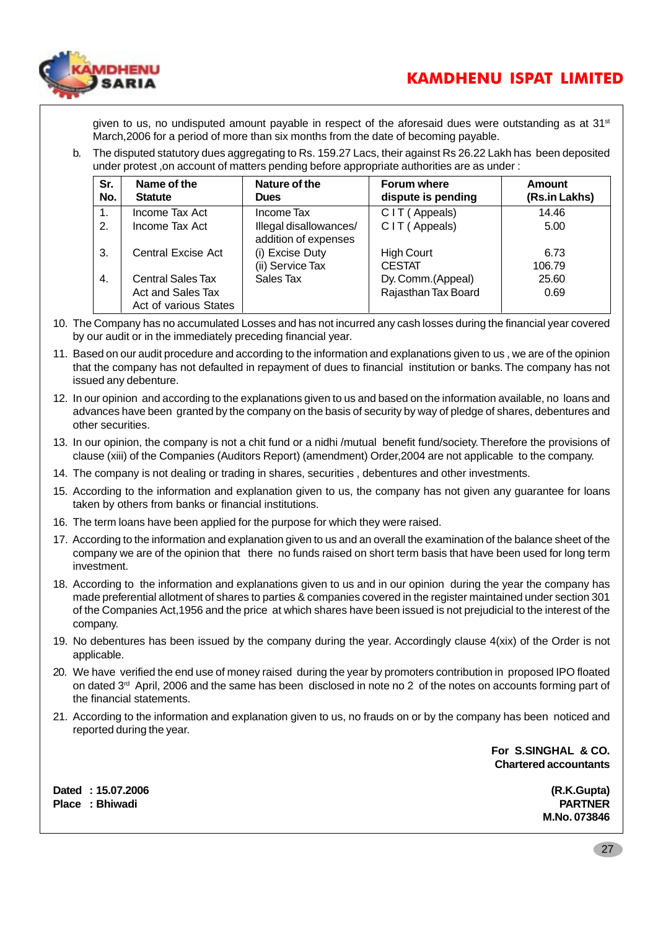

given to us, no undisputed amount payable in respect of the aforesaid dues were outstanding as at  $31<sup>st</sup>$ March,2006 for a period of more than six months from the date of becoming payable.

b. The disputed statutory dues aggregating to Rs. 159.27 Lacs, their against Rs 26.22 Lakh has been deposited under protest ,on account of matters pending before appropriate authorities are as under :

| Sr.<br>No.     | Name of the<br><b>Statute</b>                                          | Nature of the<br><b>Dues</b>                   | Forum where<br>dispute is pending         | <b>Amount</b><br>(Rs.in Lakhs) |
|----------------|------------------------------------------------------------------------|------------------------------------------------|-------------------------------------------|--------------------------------|
| 1.             | Income Tax Act                                                         | Income Tax                                     | CIT (Appeals)                             | 14.46                          |
| 2.             | Income Tax Act                                                         | Illegal disallowances/<br>addition of expenses | CIT (Appeals)                             | 5.00                           |
| 3.             | <b>Central Excise Act</b>                                              | (i) Excise Duty<br>(ii) Service Tax            | <b>High Court</b><br><b>CESTAT</b>        | 6.73<br>106.79                 |
| $\mathbf{4}$ . | <b>Central Sales Tax</b><br>Act and Sales Tax<br>Act of various States | Sales Tax                                      | Dy. Comm. (Appeal)<br>Rajasthan Tax Board | 25.60<br>0.69                  |

- 10. The Company has no accumulated Losses and has not incurred any cash losses during the financial year covered by our audit or in the immediately preceding financial year.
- 11. Based on our audit procedure and according to the information and explanations given to us , we are of the opinion that the company has not defaulted in repayment of dues to financial institution or banks. The company has not issued any debenture.
- 12. In our opinion and according to the explanations given to us and based on the information available, no loans and advances have been granted by the company on the basis of security by way of pledge of shares, debentures and other securities.
- 13. In our opinion, the company is not a chit fund or a nidhi /mutual benefit fund/society. Therefore the provisions of clause (xiii) of the Companies (Auditors Report) (amendment) Order,2004 are not applicable to the company.
- 14. The company is not dealing or trading in shares, securities , debentures and other investments.
- 15. According to the information and explanation given to us, the company has not given any guarantee for loans taken by others from banks or financial institutions.
- 16. The term loans have been applied for the purpose for which they were raised.
- 17. According to the information and explanation given to us and an overall the examination of the balance sheet of the company we are of the opinion that there no funds raised on short term basis that have been used for long term investment.
- 18. According to the information and explanations given to us and in our opinion during the year the company has made preferential allotment of shares to parties & companies covered in the register maintained under section 301 of the Companies Act,1956 and the price at which shares have been issued is not prejudicial to the interest of the company.
- 19. No debentures has been issued by the company during the year. Accordingly clause 4(xix) of the Order is not applicable.
- 20. We have verified the end use of money raised during the year by promoters contribution in proposed IPO floated on dated  $3<sup>rd</sup>$  April, 2006 and the same has been disclosed in note no 2 of the notes on accounts forming part of the financial statements.
- 21. According to the information and explanation given to us, no frauds on or by the company has been noticed and reported during the year.

**For S.SINGHAL & CO. Chartered accountants**

**Dated : 15.07.2006 (R.K.Gupta) Place : Bhiwadi PARTNER**

**M.No. 073846**

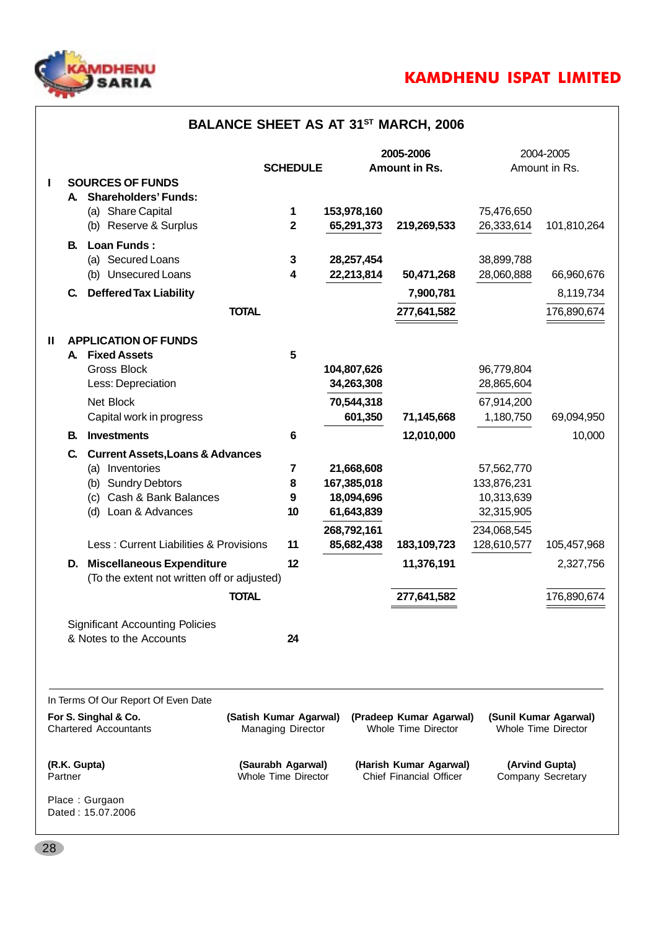

## **BALANCE SHEET AS AT 31ST MARCH, 2006**

|   |                                                                                                             |                                             |                                                       | 2005-2006<br>Amount in Rs.                               |                                                       | 2004-2005                                           |
|---|-------------------------------------------------------------------------------------------------------------|---------------------------------------------|-------------------------------------------------------|----------------------------------------------------------|-------------------------------------------------------|-----------------------------------------------------|
|   | <b>SOURCES OF FUNDS</b><br><b>Shareholders' Funds:</b><br>А.                                                | <b>SCHEDULE</b>                             |                                                       |                                                          |                                                       | Amount in Rs.                                       |
|   | <b>Share Capital</b><br>(a)<br>(b) Reserve & Surplus                                                        | 1<br>2                                      | 153,978,160<br>65,291,373                             | 219,269,533                                              | 75,476,650<br>26,333,614                              | 101,810,264                                         |
|   | <b>Loan Funds:</b><br>В.<br>(a) Secured Loans                                                               | 3                                           | 28,257,454                                            |                                                          | 38,899,788                                            |                                                     |
|   | (b) Unsecured Loans                                                                                         | 4                                           | 22,213,814                                            | 50,471,268                                               | 28,060,888                                            | 66,960,676                                          |
|   | <b>Deffered Tax Liability</b><br>C.                                                                         |                                             |                                                       | 7,900,781                                                |                                                       | 8,119,734                                           |
|   |                                                                                                             | <b>TOTAL</b>                                |                                                       | 277,641,582                                              |                                                       | 176,890,674                                         |
| Ш | <b>APPLICATION OF FUNDS</b><br><b>Fixed Assets</b><br>А.<br><b>Gross Block</b><br>Less: Depreciation        | 5                                           | 104,807,626<br>34,263,308                             |                                                          | 96,779,804<br>28,865,604                              |                                                     |
|   | <b>Net Block</b>                                                                                            |                                             | 70,544,318                                            |                                                          | 67,914,200                                            |                                                     |
|   | Capital work in progress                                                                                    |                                             | 601,350                                               | 71,145,668                                               | 1,180,750                                             | 69,094,950                                          |
|   | <b>Investments</b><br>В.                                                                                    | 6                                           |                                                       | 12,010,000                                               |                                                       | 10,000                                              |
|   | C.<br><b>Current Assets, Loans &amp; Advances</b>                                                           |                                             |                                                       |                                                          |                                                       |                                                     |
|   | Inventories<br>(a)<br><b>Sundry Debtors</b><br>(b)<br>Cash & Bank Balances<br>(c)<br>(d)<br>Loan & Advances | 7<br>8<br>9<br>10                           | 21,668,608<br>167,385,018<br>18,094,696<br>61,643,839 |                                                          | 57,562,770<br>133,876,231<br>10,313,639<br>32,315,905 |                                                     |
|   |                                                                                                             |                                             | 268,792,161                                           |                                                          | 234,068,545                                           |                                                     |
|   | Less: Current Liabilities & Provisions                                                                      | 11                                          | 85,682,438                                            | 183,109,723                                              | 128,610,577                                           | 105,457,968                                         |
|   | D. Miscellaneous Expenditure<br>(To the extent not written off or adjusted)                                 | 12                                          |                                                       | 11,376,191                                               |                                                       | 2,327,756                                           |
|   |                                                                                                             | <b>TOTAL</b>                                |                                                       | 277,641,582                                              |                                                       | 176,890,674                                         |
|   | <b>Significant Accounting Policies</b><br>& Notes to the Accounts                                           | 24                                          |                                                       |                                                          |                                                       |                                                     |
|   | In Terms Of Our Report Of Even Date<br>For S. Singhal & Co.<br><b>Chartered Accountants</b>                 | (Satish Kumar Agarwal)<br>Managing Director |                                                       | (Pradeep Kumar Agarwal)<br><b>Whole Time Director</b>    |                                                       | (Sunil Kumar Agarwal)<br><b>Whole Time Director</b> |
|   |                                                                                                             |                                             |                                                       |                                                          |                                                       |                                                     |
|   | (R.K. Gupta)<br>Partner                                                                                     | (Saurabh Agarwal)<br>Whole Time Director    |                                                       | (Harish Kumar Agarwal)<br><b>Chief Financial Officer</b> |                                                       | (Arvind Gupta)<br><b>Company Secretary</b>          |
|   | Place: Gurgaon<br>Dated: 15.07.2006                                                                         |                                             |                                                       |                                                          |                                                       |                                                     |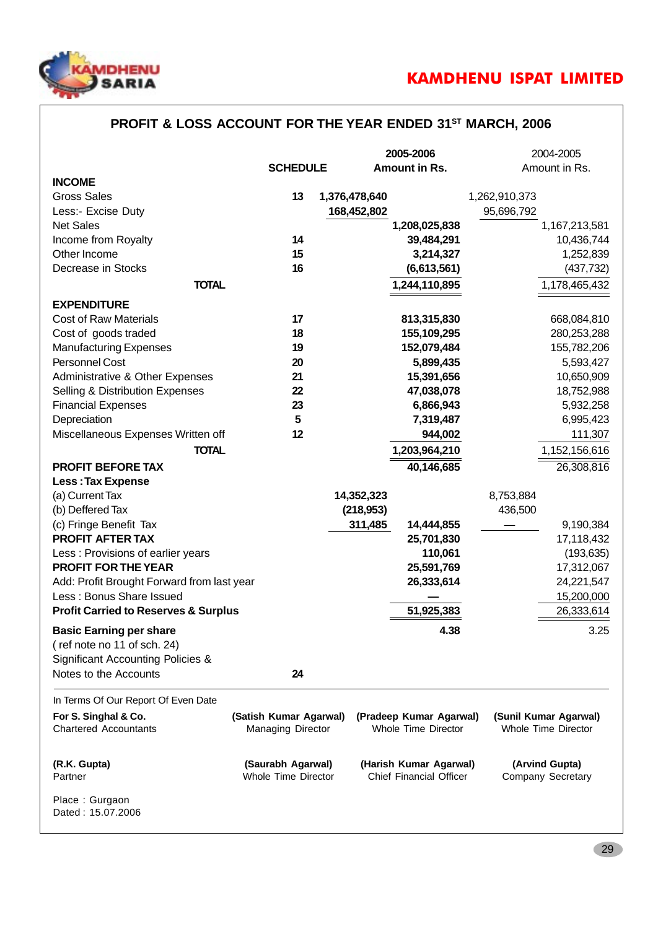

## PROFIT & LOSS ACCOUNT FOR THE YEAR ENDED 31<sup>ST</sup> MARCH, 2006

|                                                 |                                                 | 2005-2006       |               | 2004-2005                                                |               |                                     |
|-------------------------------------------------|-------------------------------------------------|-----------------|---------------|----------------------------------------------------------|---------------|-------------------------------------|
|                                                 |                                                 | <b>SCHEDULE</b> |               | <b>Amount in Rs.</b>                                     |               | Amount in Rs.                       |
| <b>INCOME</b>                                   |                                                 |                 |               |                                                          |               |                                     |
| <b>Gross Sales</b>                              | 13                                              |                 | 1,376,478,640 |                                                          | 1,262,910,373 |                                     |
| Less:- Excise Duty                              |                                                 |                 | 168,452,802   |                                                          | 95,696,792    |                                     |
| <b>Net Sales</b>                                |                                                 |                 |               | 1,208,025,838                                            |               | 1,167,213,581                       |
| Income from Royalty                             | 14                                              |                 |               | 39,484,291                                               |               | 10,436,744                          |
| Other Income                                    | 15                                              |                 |               | 3,214,327                                                |               | 1,252,839                           |
| Decrease in Stocks                              | 16                                              |                 |               | (6,613,561)                                              |               | (437, 732)                          |
| <b>TOTAL</b>                                    |                                                 |                 |               | 1,244,110,895                                            |               | 1,178,465,432                       |
|                                                 |                                                 |                 |               |                                                          |               |                                     |
| <b>EXPENDITURE</b>                              |                                                 |                 |               |                                                          |               |                                     |
| <b>Cost of Raw Materials</b>                    | 17                                              |                 |               | 813,315,830                                              |               | 668,084,810                         |
| Cost of goods traded                            | 18                                              |                 |               | 155,109,295                                              |               | 280,253,288                         |
| <b>Manufacturing Expenses</b>                   | 19                                              |                 |               | 152,079,484                                              |               | 155,782,206                         |
| Personnel Cost                                  | 20                                              |                 |               | 5,899,435                                                |               | 5,593,427                           |
| Administrative & Other Expenses                 | 21                                              |                 |               | 15,391,656                                               |               | 10,650,909                          |
| <b>Selling &amp; Distribution Expenses</b>      | 22                                              |                 |               | 47,038,078                                               |               | 18,752,988                          |
| <b>Financial Expenses</b>                       | 23                                              |                 |               | 6,866,943                                                |               | 5,932,258                           |
| Depreciation                                    | 5                                               |                 |               | 7,319,487                                                |               | 6,995,423                           |
| Miscellaneous Expenses Written off              | 12                                              |                 |               | 944,002                                                  |               | 111,307                             |
| <b>TOTAL</b>                                    |                                                 |                 |               | 1,203,964,210                                            |               | 1,152,156,616                       |
| <b>PROFIT BEFORE TAX</b>                        |                                                 |                 |               | 40,146,685                                               |               | 26,308,816                          |
| <b>Less: Tax Expense</b>                        |                                                 |                 |               |                                                          |               |                                     |
| (a) Current Tax                                 |                                                 |                 | 14,352,323    |                                                          | 8,753,884     |                                     |
| (b) Deffered Tax                                |                                                 |                 | (218, 953)    |                                                          | 436,500       |                                     |
| (c) Fringe Benefit Tax                          |                                                 |                 | 311,485       | 14,444,855                                               |               | 9,190,384                           |
| <b>PROFIT AFTER TAX</b>                         |                                                 |                 |               | 25,701,830                                               |               | 17,118,432                          |
| Less: Provisions of earlier years               |                                                 |                 |               | 110,061                                                  |               | (193, 635)                          |
| <b>PROFIT FOR THE YEAR</b>                      |                                                 |                 |               | 25,591,769                                               |               | 17,312,067                          |
| Add: Profit Brought Forward from last year      |                                                 |                 |               | 26,333,614                                               |               | 24,221,547                          |
| Less: Bonus Share Issued                        |                                                 |                 |               |                                                          |               | 15,200,000                          |
| <b>Profit Carried to Reserves &amp; Surplus</b> |                                                 |                 |               | 51,925,383                                               |               | 26,333,614                          |
| <b>Basic Earning per share</b>                  |                                                 |                 |               | 4.38                                                     |               | 3.25                                |
| (ref note no 11 of sch. 24)                     |                                                 |                 |               |                                                          |               |                                     |
| <b>Significant Accounting Policies &amp;</b>    |                                                 |                 |               |                                                          |               |                                     |
| Notes to the Accounts                           | 24                                              |                 |               |                                                          |               |                                     |
|                                                 |                                                 |                 |               |                                                          |               |                                     |
| In Terms Of Our Report Of Even Date             |                                                 |                 |               |                                                          |               |                                     |
| For S. Singhal & Co.                            | (Satish Kumar Agarwal)                          |                 |               | (Pradeep Kumar Agarwal)                                  |               | (Sunil Kumar Agarwal)               |
| <b>Chartered Accountants</b>                    | Managing Director                               |                 |               | Whole Time Director                                      |               | <b>Whole Time Director</b>          |
| (R.K. Gupta)<br>Partner                         | (Saurabh Agarwal)<br><b>Whole Time Director</b> |                 |               | (Harish Kumar Agarwal)<br><b>Chief Financial Officer</b> |               | (Arvind Gupta)<br>Company Secretary |
| Place: Gurgaon<br>Dated: 15.07.2006             |                                                 |                 |               |                                                          |               |                                     |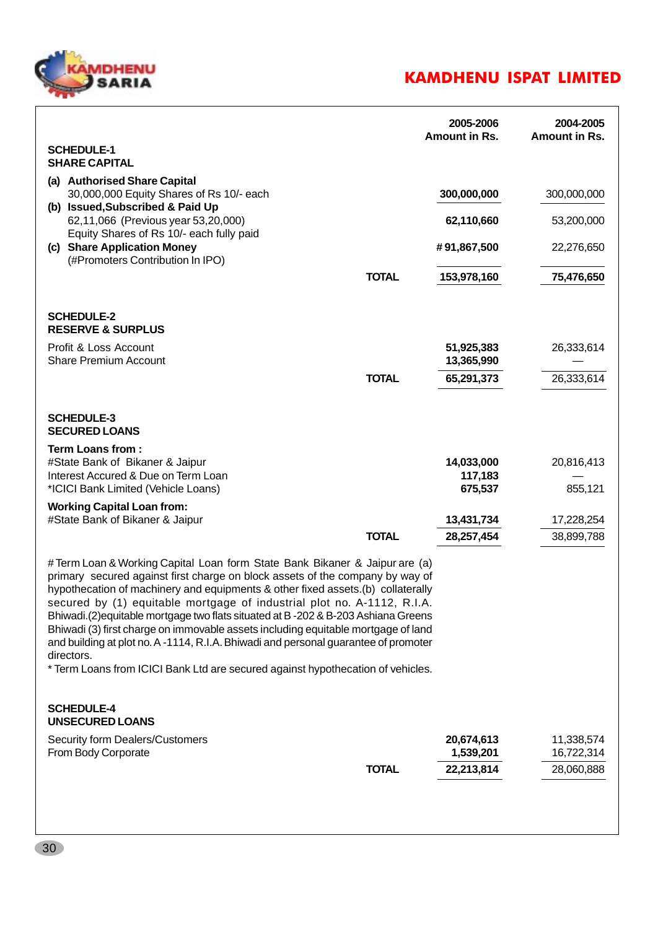

|                                                                                                                                                                                                                                                                                                                                                                                                                                                                                                                                                                                                                                                                                            |              | 2005-2006<br>Amount in Rs.       | 2004-2005<br>Amount in Rs. |
|--------------------------------------------------------------------------------------------------------------------------------------------------------------------------------------------------------------------------------------------------------------------------------------------------------------------------------------------------------------------------------------------------------------------------------------------------------------------------------------------------------------------------------------------------------------------------------------------------------------------------------------------------------------------------------------------|--------------|----------------------------------|----------------------------|
| <b>SCHEDULE-1</b><br><b>SHARE CAPITAL</b>                                                                                                                                                                                                                                                                                                                                                                                                                                                                                                                                                                                                                                                  |              |                                  |                            |
| (a) Authorised Share Capital<br>30,000,000 Equity Shares of Rs 10/- each                                                                                                                                                                                                                                                                                                                                                                                                                                                                                                                                                                                                                   |              | 300,000,000                      | 300,000,000                |
| (b) Issued, Subscribed & Paid Up<br>62,11,066 (Previous year 53,20,000)<br>Equity Shares of Rs 10/- each fully paid                                                                                                                                                                                                                                                                                                                                                                                                                                                                                                                                                                        |              | 62,110,660                       | 53,200,000                 |
| (c) Share Application Money<br>(#Promoters Contribution In IPO)                                                                                                                                                                                                                                                                                                                                                                                                                                                                                                                                                                                                                            |              | #91,867,500                      | 22,276,650                 |
|                                                                                                                                                                                                                                                                                                                                                                                                                                                                                                                                                                                                                                                                                            | <b>TOTAL</b> | 153,978,160                      | 75,476,650                 |
| <b>SCHEDULE-2</b><br><b>RESERVE &amp; SURPLUS</b>                                                                                                                                                                                                                                                                                                                                                                                                                                                                                                                                                                                                                                          |              |                                  |                            |
| Profit & Loss Account<br><b>Share Premium Account</b>                                                                                                                                                                                                                                                                                                                                                                                                                                                                                                                                                                                                                                      |              | 51,925,383<br>13,365,990         | 26,333,614                 |
|                                                                                                                                                                                                                                                                                                                                                                                                                                                                                                                                                                                                                                                                                            | <b>TOTAL</b> | 65,291,373                       | 26,333,614                 |
| <b>SCHEDULE-3</b><br><b>SECURED LOANS</b>                                                                                                                                                                                                                                                                                                                                                                                                                                                                                                                                                                                                                                                  |              |                                  |                            |
| Term Loans from:<br>#State Bank of Bikaner & Jaipur<br>Interest Accured & Due on Term Loan<br>*ICICI Bank Limited (Vehicle Loans)                                                                                                                                                                                                                                                                                                                                                                                                                                                                                                                                                          |              | 14,033,000<br>117,183<br>675,537 | 20,816,413<br>855,121      |
| <b>Working Capital Loan from:</b>                                                                                                                                                                                                                                                                                                                                                                                                                                                                                                                                                                                                                                                          |              |                                  |                            |
| #State Bank of Bikaner & Jaipur                                                                                                                                                                                                                                                                                                                                                                                                                                                                                                                                                                                                                                                            | <b>TOTAL</b> | 13,431,734<br>28,257,454         | 17,228,254<br>38,899,788   |
| #Term Loan & Working Capital Loan form State Bank Bikaner & Jaipur are (a)<br>primary secured against first charge on block assets of the company by way of<br>hypothecation of machinery and equipments & other fixed assets.(b) collaterally<br>secured by (1) equitable mortgage of industrial plot no. A-1112, R.I.A.<br>Bhiwadi.(2) equitable mortgage two flats situated at B-202 & B-203 Ashiana Greens<br>Bhiwadi (3) first charge on immovable assets including equitable mortgage of land<br>and building at plot no. A-1114, R.I.A. Bhiwadi and personal guarantee of promoter<br>directors.<br>* Term Loans from ICICI Bank Ltd are secured against hypothecation of vehicles. |              |                                  |                            |
| <b>SCHEDULE-4</b><br><b>UNSECURED LOANS</b>                                                                                                                                                                                                                                                                                                                                                                                                                                                                                                                                                                                                                                                |              |                                  |                            |
| Security form Dealers/Customers<br>From Body Corporate                                                                                                                                                                                                                                                                                                                                                                                                                                                                                                                                                                                                                                     |              | 20,674,613<br>1,539,201          | 11,338,574<br>16,722,314   |
|                                                                                                                                                                                                                                                                                                                                                                                                                                                                                                                                                                                                                                                                                            | <b>TOTAL</b> | 22,213,814                       | 28,060,888                 |
|                                                                                                                                                                                                                                                                                                                                                                                                                                                                                                                                                                                                                                                                                            |              |                                  |                            |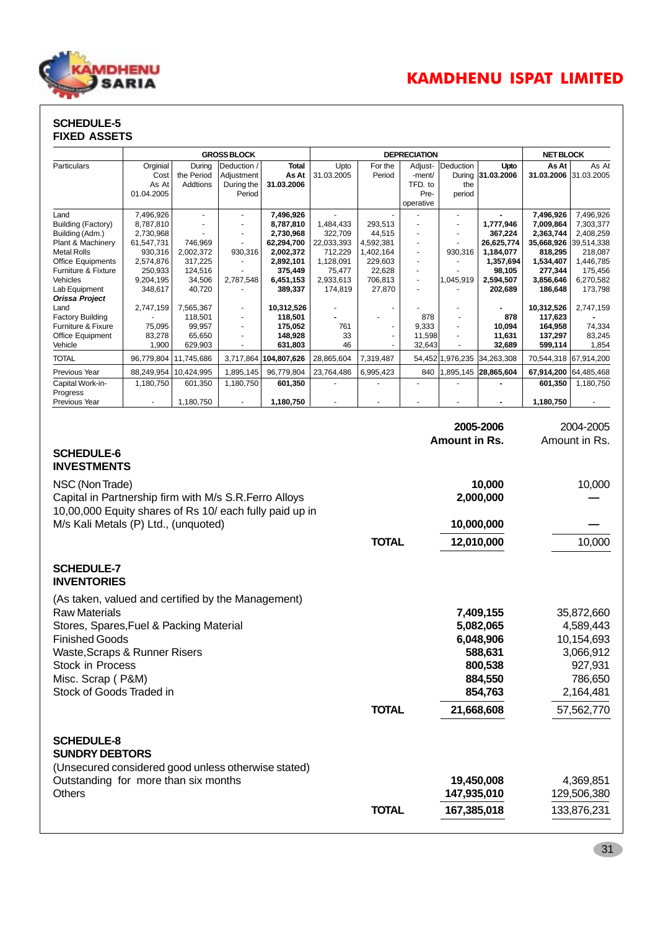

### **SCHEDULE-5 FIXED ASSETS**

|                         |                        |                | <b>GROSS BLOCK</b> |                       |            | <b>DEPRECIATION</b> |                |                          | <b>NET BLOCK</b>            |                       |            |
|-------------------------|------------------------|----------------|--------------------|-----------------------|------------|---------------------|----------------|--------------------------|-----------------------------|-----------------------|------------|
| Particulars             | Orginial               | During         | Deduction /        | <b>Total</b>          | Upto       | For the             | Adjust-        | Deduction                | Upto                        | As At                 | As At      |
|                         | Cost                   | the Period     | Adjustment         | As At                 | 31.03.2005 | Period              | -ment/         | During                   | 31.03.2006                  | 31.03.2006            | 31.03.2005 |
|                         | As At                  | Addtions       | During the         | 31.03.2006            |            |                     | TFD. to        | the                      |                             |                       |            |
|                         | 01.04.2005             |                | Period             |                       |            |                     | Pre-           | period                   |                             |                       |            |
|                         |                        |                |                    |                       |            |                     | operative      |                          |                             |                       |            |
| Land                    | 7,496,926              | $\blacksquare$ | $\blacksquare$     | 7,496,926             |            |                     |                |                          |                             | 7,496,926             | 7,496,926  |
| Building (Factory)      | 8,787,810              |                |                    | 8,787,810             | 1,484,433  | 293,513             |                |                          | 1.777.946                   | 7,009,864             | 7,303,377  |
| Building (Adm.)         | 2,730,968              |                |                    | 2,730,968             | 322,709    | 44,515              |                |                          | 367,224                     | 2,363,744             | 2,408,259  |
| Plant & Machinery       | 61,547,731             | 746,969        |                    | 62,294,700            | 22,033,393 | 4,592,381           |                |                          | 26,625,774                  | 35,668,926            | 39,514,338 |
| <b>Metal Rolls</b>      | 930,316                | 2,002,372      | 930,316            | 2,002,372             | 712,229    | 1,402,164           | ٠              | 930,316                  | 1,184,077                   | 818,295               | 218,087    |
| Office Equipments       | 2.574.876              | 317.225        |                    | 2,892,101             | 1,128,091  | 229.603             |                |                          | 1,357,694                   | 1,534,407             | 1,446,785  |
| Furniture & Fixture     | 250,933                | 124,516        |                    | 375,449               | 75,477     | 22,628              | $\blacksquare$ |                          | 98.105                      | 277,344               | 175,456    |
| Vehicles                | 9,204,195              | 34,506         | 2,787,548          | 6,451,153             | 2,933,613  | 706,813             | $\blacksquare$ | 1,045,919                | 2,594,507                   | 3,856,646             | 6,270,582  |
| Lab Equipment           | 348,617                | 40,720         |                    | 389,337               | 174,819    | 27,870              |                |                          | 202,689                     | 186,648               | 173,798    |
| <b>Orissa Project</b>   |                        |                |                    |                       |            |                     |                |                          |                             |                       |            |
| Land                    | 2,747,159              | 7,565,367      | $\blacksquare$     | 10,312,526            |            |                     |                |                          |                             | 10,312,526            | 2,747,159  |
| <b>Factory Building</b> |                        | 118.501        | $\blacksquare$     | 118.501               |            |                     | 878            | $\overline{\phantom{a}}$ | 878                         | 117,623               |            |
| Furniture & Fixure      | 75,095                 | 99,957         | ٠                  | 175,052               | 761        | $\sim$              | 9,333          | ٠                        | 10,094                      | 164,958               | 74,334     |
| Office Equipment        | 83,278                 | 65,650         |                    | 148.928               | 33         |                     | 11,598         |                          | 11,631                      | 137,297               | 83,245     |
| Vehicle                 | 1,900                  | 629,903        |                    | 631,803               | 46         |                     | 32,643         |                          | 32,689                      | 599,114               | 1,854      |
| <b>TOTAL</b>            | 96.779.804             | 11,745,686     |                    | 3,717,864 104,807,626 | 28,865,604 | 7,319,487           |                |                          | 54,452 1,976,235 34,263,308 | 70,544,318 67,914,200 |            |
| Previous Year           | 88,249,954             | 10,424,995     | 1,895,145          | 96,779,804            | 23,764,486 | 6,995,423           | 840            |                          | $1,895,145$ 28,865,604      | 67,914,200 64,485,468 |            |
| Capital Work-in-        | 1,180,750              | 601,350        | 1,180,750          | 601,350               |            |                     |                |                          |                             | 601,350               | 1,180,750  |
| Progress                |                        |                |                    |                       |            |                     |                |                          |                             |                       |            |
| <b>Previous Year</b>    |                        | 1,180,750      | $\blacksquare$     | 1,180,750             |            |                     |                |                          |                             | 1,180,750             |            |
|                         | 2005-2006<br>2004-2005 |                |                    |                       |            |                     |                |                          |                             |                       |            |

**Amount in Rs.** Amount in Rs.

**TOTAL 21,668,608** 57,562,770

| <b>INVESTMENTS</b>                                                                                                |              |            |            |
|-------------------------------------------------------------------------------------------------------------------|--------------|------------|------------|
| NSC (Non Trade)                                                                                                   |              | 10,000     | 10,000     |
| Capital in Partnership firm with M/s S.R. Ferro Alloys<br>10,00,000 Equity shares of Rs 10/ each fully paid up in |              | 2,000,000  |            |
| M/s Kali Metals (P) Ltd., (unquoted)                                                                              |              | 10,000,000 |            |
|                                                                                                                   | <b>TOTAL</b> | 12,010,000 | 10,000     |
| <b>SCHEDULE-7</b><br><b>INVENTORIES</b>                                                                           |              |            |            |
| (As taken, valued and certified by the Management)                                                                |              |            |            |
| <b>Raw Materials</b>                                                                                              |              | 7,409,155  | 35,872,660 |
| Stores, Spares, Fuel & Packing Material                                                                           |              | 5,082,065  | 4.589.443  |
| <b>Finished Goods</b>                                                                                             |              | 6,048,906  | 10,154,693 |
| Waste, Scraps & Runner Risers                                                                                     |              | 588.631    | 3.066.912  |

Stock in Process **800,538** 927,931 Misc. Scrap ( P&M) **884,550** 786,650

**SCHEDULE-6**

Stock of Goods Traded in **854,763** 2,164,481

**SCHEDULE-8**

| <b>SUNDRY DEBTORS</b>                               |              |             |             |
|-----------------------------------------------------|--------------|-------------|-------------|
| (Unsecured considered good unless otherwise stated) |              |             |             |
| Outstanding for more than six months                |              | 19.450.008  | 4.369.851   |
| Others                                              |              | 147,935,010 | 129,506,380 |
|                                                     | <b>TOTAL</b> | 167,385,018 | 133.876.231 |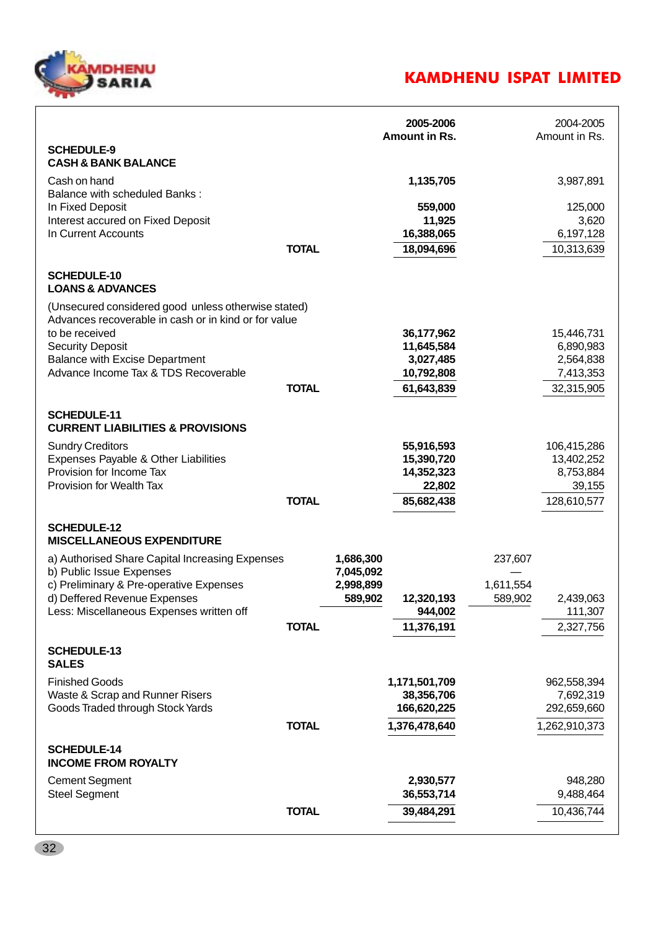

|                                                                                                             |              |                        | 2005-2006<br><b>Amount in Rs.</b> |           | 2004-2005<br>Amount in Rs. |
|-------------------------------------------------------------------------------------------------------------|--------------|------------------------|-----------------------------------|-----------|----------------------------|
| <b>SCHEDULE-9</b><br><b>CASH &amp; BANK BALANCE</b>                                                         |              |                        |                                   |           |                            |
| Cash on hand<br><b>Balance with scheduled Banks:</b>                                                        |              |                        | 1,135,705                         |           | 3,987,891                  |
| In Fixed Deposit<br>Interest accured on Fixed Deposit                                                       |              |                        | 559,000<br>11,925                 |           | 125,000<br>3,620           |
| In Current Accounts                                                                                         |              |                        | 16,388,065                        |           | 6,197,128                  |
|                                                                                                             | <b>TOTAL</b> |                        | 18,094,696                        |           | 10,313,639                 |
| <b>SCHEDULE-10</b><br><b>LOANS &amp; ADVANCES</b>                                                           |              |                        |                                   |           |                            |
| (Unsecured considered good unless otherwise stated)<br>Advances recoverable in cash or in kind or for value |              |                        |                                   |           |                            |
| to be received<br><b>Security Deposit</b>                                                                   |              |                        | 36,177,962<br>11,645,584          |           | 15,446,731<br>6,890,983    |
| <b>Balance with Excise Department</b>                                                                       |              |                        | 3,027,485                         |           | 2,564,838                  |
| Advance Income Tax & TDS Recoverable                                                                        |              |                        | 10,792,808                        |           | 7,413,353                  |
|                                                                                                             | <b>TOTAL</b> |                        | 61,643,839                        |           | 32,315,905                 |
| <b>SCHEDULE-11</b><br><b>CURRENT LIABILITIES &amp; PROVISIONS</b>                                           |              |                        |                                   |           |                            |
| <b>Sundry Creditors</b>                                                                                     |              |                        | 55,916,593                        |           | 106,415,286                |
| Expenses Payable & Other Liabilities<br>Provision for Income Tax                                            |              |                        | 15,390,720<br>14,352,323          |           | 13,402,252<br>8,753,884    |
| Provision for Wealth Tax                                                                                    |              |                        | 22,802                            |           | 39,155                     |
|                                                                                                             | <b>TOTAL</b> |                        | 85,682,438                        |           | 128,610,577                |
| <b>SCHEDULE-12</b><br><b>MISCELLANEOUS EXPENDITURE</b>                                                      |              |                        |                                   |           |                            |
| a) Authorised Share Capital Increasing Expenses                                                             |              | 1,686,300              |                                   | 237,607   |                            |
| b) Public Issue Expenses<br>c) Preliminary & Pre-operative Expenses                                         |              | 7,045,092<br>2,998,899 |                                   | 1,611,554 |                            |
| d) Deffered Revenue Expenses                                                                                |              | 589,902                | 12.320.193                        | 589,902   | 2,439,063                  |
| Less: Miscellaneous Expenses written off                                                                    | <b>TOTAL</b> |                        | 944,002<br>11,376,191             |           | 111,307<br>2,327,756       |
|                                                                                                             |              |                        |                                   |           |                            |
| <b>SCHEDULE-13</b><br><b>SALES</b>                                                                          |              |                        |                                   |           |                            |
| <b>Finished Goods</b><br>Waste & Scrap and Runner Risers                                                    |              |                        | 1,171,501,709<br>38,356,706       |           | 962,558,394<br>7,692,319   |
| Goods Traded through Stock Yards                                                                            |              |                        | 166,620,225                       |           | 292,659,660                |
|                                                                                                             | <b>TOTAL</b> |                        | 1,376,478,640                     |           | 1,262,910,373              |
| <b>SCHEDULE-14</b><br><b>INCOME FROM ROYALTY</b>                                                            |              |                        |                                   |           |                            |
| <b>Cement Segment</b>                                                                                       |              |                        | 2,930,577                         |           | 948,280                    |
| <b>Steel Segment</b>                                                                                        |              |                        | 36,553,714                        |           | 9,488,464                  |
|                                                                                                             | <b>TOTAL</b> |                        | 39,484,291                        |           | 10,436,744                 |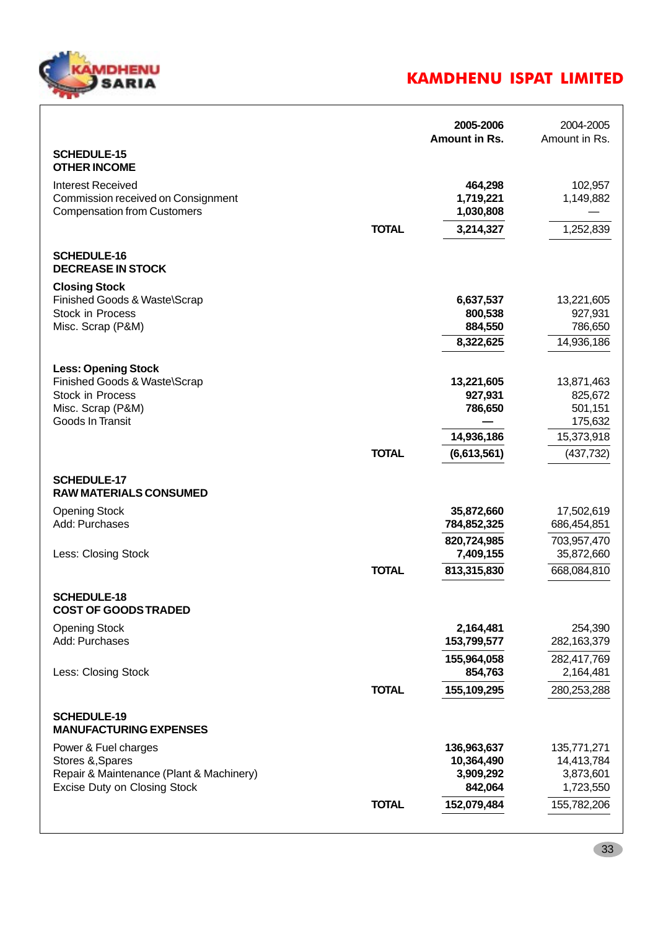

|                                                                                                                         |              | 2005-2006<br>Amount in Rs.                                       | 2004-2005<br>Amount in Rs.                                         |
|-------------------------------------------------------------------------------------------------------------------------|--------------|------------------------------------------------------------------|--------------------------------------------------------------------|
| <b>SCHEDULE-15</b><br><b>OTHER INCOME</b>                                                                               |              |                                                                  |                                                                    |
| <b>Interest Received</b><br>Commission received on Consignment<br><b>Compensation from Customers</b>                    | <b>TOTAL</b> | 464,298<br>1,719,221<br>1,030,808<br>3,214,327                   | 102,957<br>1,149,882<br>1,252,839                                  |
| <b>SCHEDULE-16</b><br><b>DECREASE IN STOCK</b>                                                                          |              |                                                                  |                                                                    |
| <b>Closing Stock</b><br>Finished Goods & Waste\Scrap<br>Stock in Process<br>Misc. Scrap (P&M)                           |              | 6,637,537<br>800,538<br>884,550<br>8,322,625                     | 13,221,605<br>927,931<br>786,650<br>14,936,186                     |
| <b>Less: Opening Stock</b><br>Finished Goods & Waste\Scrap<br>Stock in Process<br>Misc. Scrap (P&M)<br>Goods In Transit |              | 13,221,605<br>927,931<br>786,650<br>14,936,186                   | 13,871,463<br>825,672<br>501,151<br>175,632<br>15,373,918          |
|                                                                                                                         | <b>TOTAL</b> | (6,613,561)                                                      | (437, 732)                                                         |
| <b>SCHEDULE-17</b><br><b>RAW MATERIALS CONSUMED</b>                                                                     |              |                                                                  |                                                                    |
| <b>Opening Stock</b><br>Add: Purchases                                                                                  |              | 35,872,660<br>784,852,325<br>820,724,985                         | 17,502,619<br>686,454,851<br>703,957,470                           |
| Less: Closing Stock                                                                                                     | <b>TOTAL</b> | 7,409,155<br>813,315,830                                         | 35,872,660<br>668,084,810                                          |
| <b>SCHEDULE-18</b><br><b>COST OF GOODS TRADED</b>                                                                       |              |                                                                  |                                                                    |
| <b>Opening Stock</b><br>Add: Purchases                                                                                  |              | 2,164,481<br>153,799,577<br>155,964,058                          | 254,390<br>282,163,379<br>282,417,769                              |
| Less: Closing Stock                                                                                                     | <b>TOTAL</b> | 854,763<br>155,109,295                                           | 2,164,481<br>280,253,288                                           |
| <b>SCHEDULE-19</b><br><b>MANUFACTURING EXPENSES</b>                                                                     |              |                                                                  |                                                                    |
| Power & Fuel charges<br>Stores &, Spares<br>Repair & Maintenance (Plant & Machinery)<br>Excise Duty on Closing Stock    | <b>TOTAL</b> | 136,963,637<br>10,364,490<br>3,909,292<br>842,064<br>152,079,484 | 135,771,271<br>14,413,784<br>3,873,601<br>1,723,550<br>155,782,206 |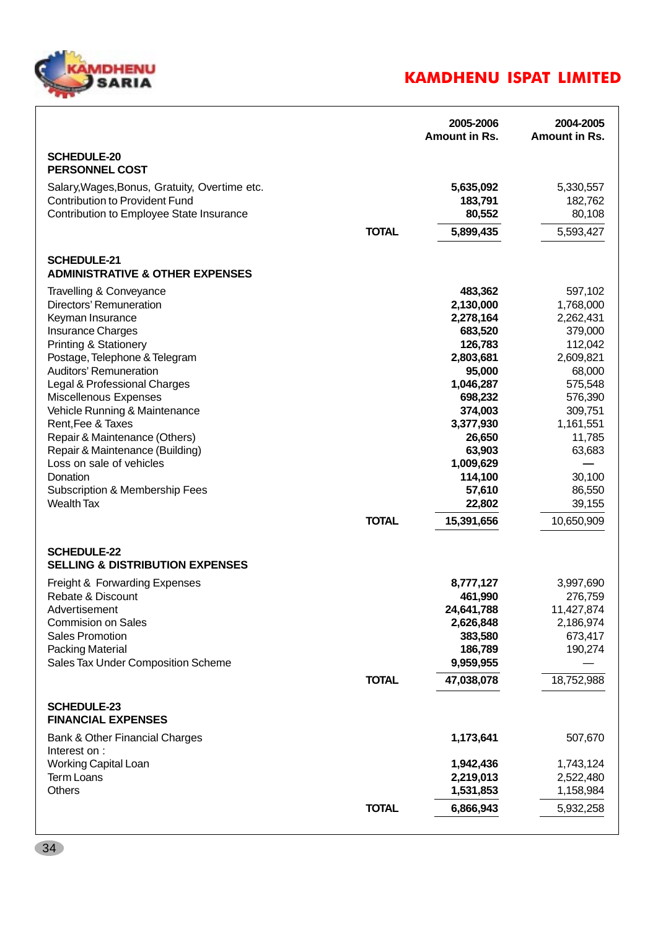

|                                                                                                                                    |              | 2005-2006<br><b>Amount in Rs.</b> | 2004-2005<br>Amount in Rs.     |
|------------------------------------------------------------------------------------------------------------------------------------|--------------|-----------------------------------|--------------------------------|
| <b>SCHEDULE-20</b><br><b>PERSONNEL COST</b>                                                                                        |              |                                   |                                |
| Salary, Wages, Bonus, Gratuity, Overtime etc.<br><b>Contribution to Provident Fund</b><br>Contribution to Employee State Insurance |              | 5,635,092<br>183,791<br>80,552    | 5,330,557<br>182,762<br>80,108 |
|                                                                                                                                    | <b>TOTAL</b> | 5,899,435                         | 5,593,427                      |
| <b>SCHEDULE-21</b><br><b>ADMINISTRATIVE &amp; OTHER EXPENSES</b>                                                                   |              |                                   |                                |
| <b>Travelling &amp; Conveyance</b>                                                                                                 |              | 483,362                           | 597,102                        |
| Directors' Remuneration                                                                                                            |              | 2,130,000                         | 1,768,000                      |
| Keyman Insurance                                                                                                                   |              | 2,278,164                         | 2,262,431                      |
| <b>Insurance Charges</b><br><b>Printing &amp; Stationery</b>                                                                       |              | 683,520<br>126,783                | 379,000<br>112,042             |
| Postage, Telephone & Telegram                                                                                                      |              | 2,803,681                         | 2,609,821                      |
| Auditors' Remuneration                                                                                                             |              | 95,000                            | 68,000                         |
| Legal & Professional Charges                                                                                                       |              | 1,046,287                         | 575,548                        |
| Miscellenous Expenses                                                                                                              |              | 698,232                           | 576,390                        |
| Vehicle Running & Maintenance                                                                                                      |              | 374,003                           | 309,751                        |
| Rent, Fee & Taxes                                                                                                                  |              | 3,377,930                         | 1,161,551                      |
| Repair & Maintenance (Others)                                                                                                      |              | 26,650                            | 11,785                         |
| Repair & Maintenance (Building)                                                                                                    |              | 63,903                            | 63,683                         |
| Loss on sale of vehicles                                                                                                           |              | 1,009,629                         |                                |
| Donation                                                                                                                           |              | 114,100<br>57,610                 | 30,100                         |
| Subscription & Membership Fees<br><b>Wealth Tax</b>                                                                                |              | 22,802                            | 86,550<br>39,155               |
|                                                                                                                                    | <b>TOTAL</b> | 15,391,656                        | 10,650,909                     |
|                                                                                                                                    |              |                                   |                                |
| <b>SCHEDULE-22</b><br><b>SELLING &amp; DISTRIBUTION EXPENSES</b>                                                                   |              |                                   |                                |
| Freight & Forwarding Expenses                                                                                                      |              | 8,777,127                         | 3,997,690                      |
| Rebate & Discount                                                                                                                  |              | 461,990                           | 276,759                        |
| Advertisement                                                                                                                      |              | 24,641,788                        | 11,427,874                     |
| <b>Commision on Sales</b>                                                                                                          |              | 2,626,848                         | 2,186,974                      |
| <b>Sales Promotion</b>                                                                                                             |              | 383,580                           | 673,417                        |
| Packing Material                                                                                                                   |              | 186,789                           | 190,274                        |
| Sales Tax Under Composition Scheme                                                                                                 |              | 9,959,955                         |                                |
|                                                                                                                                    | <b>TOTAL</b> | 47,038,078                        | 18,752,988                     |
| <b>SCHEDULE-23</b><br><b>FINANCIAL EXPENSES</b>                                                                                    |              |                                   |                                |
| Bank & Other Financial Charges<br>Interest on :                                                                                    |              | 1,173,641                         | 507,670                        |
| <b>Working Capital Loan</b>                                                                                                        |              | 1,942,436                         | 1,743,124                      |
| <b>Term Loans</b>                                                                                                                  |              | 2,219,013                         | 2,522,480                      |
| <b>Others</b>                                                                                                                      |              | 1,531,853                         | 1,158,984                      |
|                                                                                                                                    | <b>TOTAL</b> | 6,866,943                         | 5,932,258                      |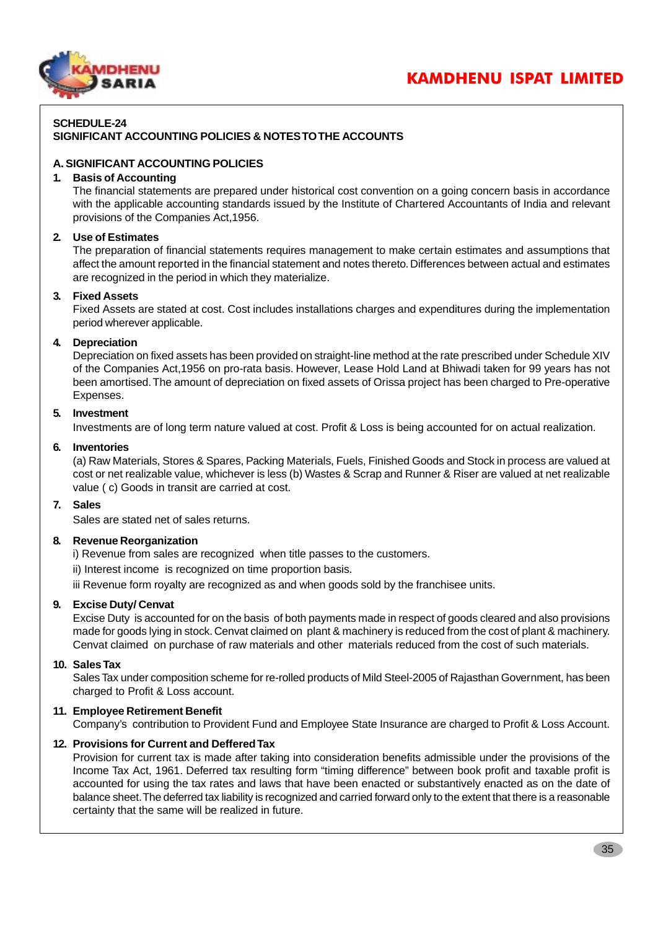

#### **SCHEDULE-24 SIGNIFICANT ACCOUNTING POLICIES & NOTES TO THE ACCOUNTS**

## **A. SIGNIFICANT ACCOUNTING POLICIES**

#### **1. Basis of Accounting**

The financial statements are prepared under historical cost convention on a going concern basis in accordance with the applicable accounting standards issued by the Institute of Chartered Accountants of India and relevant provisions of the Companies Act,1956.

#### **2. Use of Estimates**

The preparation of financial statements requires management to make certain estimates and assumptions that affect the amount reported in the financial statement and notes thereto. Differences between actual and estimates are recognized in the period in which they materialize.

#### **3. Fixed Assets**

Fixed Assets are stated at cost. Cost includes installations charges and expenditures during the implementation period wherever applicable.

#### **4. Depreciation**

Depreciation on fixed assets has been provided on straight-line method at the rate prescribed under Schedule XIV of the Companies Act,1956 on pro-rata basis. However, Lease Hold Land at Bhiwadi taken for 99 years has not been amortised. The amount of depreciation on fixed assets of Orissa project has been charged to Pre-operative Expenses.

#### **5. Investment**

Investments are of long term nature valued at cost. Profit & Loss is being accounted for on actual realization.

#### **6. Inventories**

(a) Raw Materials, Stores & Spares, Packing Materials, Fuels, Finished Goods and Stock in process are valued at cost or net realizable value, whichever is less (b) Wastes & Scrap and Runner & Riser are valued at net realizable value ( c) Goods in transit are carried at cost.

### **7. Sales**

Sales are stated net of sales returns.

### **8. Revenue Reorganization**

i) Revenue from sales are recognized when title passes to the customers.

ii) Interest income is recognized on time proportion basis.

iii Revenue form royalty are recognized as and when goods sold by the franchisee units.

### **9. Excise Duty/ Cenvat**

Excise Duty is accounted for on the basis of both payments made in respect of goods cleared and also provisions made for goods lying in stock. Cenvat claimed on plant & machinery is reduced from the cost of plant & machinery. Cenvat claimed on purchase of raw materials and other materials reduced from the cost of such materials.

### **10. Sales Tax**

Sales Tax under composition scheme for re-rolled products of Mild Steel-2005 of Rajasthan Government, has been charged to Profit & Loss account.

### **11. Employee Retirement Benefit**

Company's contribution to Provident Fund and Employee State Insurance are charged to Profit & Loss Account.

## **12. Provisions for Current and Deffered Tax**

Provision for current tax is made after taking into consideration benefits admissible under the provisions of the Income Tax Act, 1961. Deferred tax resulting form "timing difference" between book profit and taxable profit is accounted for using the tax rates and laws that have been enacted or substantively enacted as on the date of balance sheet. The deferred tax liability is recognized and carried forward only to the extent that there is a reasonable certainty that the same will be realized in future.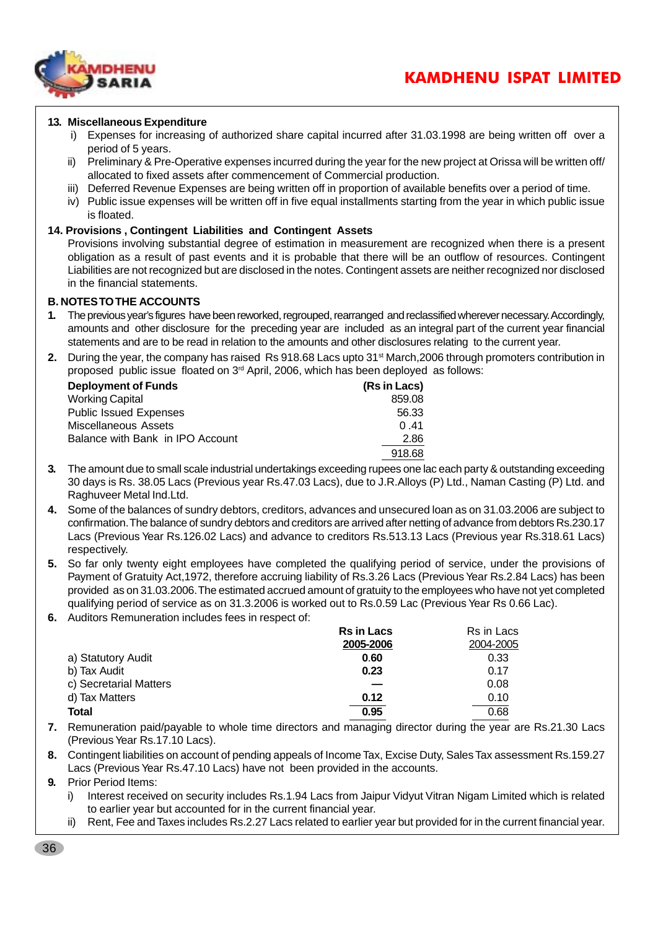

#### **13. Miscellaneous Expenditure**

- i) Expenses for increasing of authorized share capital incurred after 31.03.1998 are being written off over a period of 5 years.
- ii) Preliminary & Pre-Operative expenses incurred during the year for the new project at Orissa will be written off/ allocated to fixed assets after commencement of Commercial production.
- iii) Deferred Revenue Expenses are being written off in proportion of available benefits over a period of time.
- iv) Public issue expenses will be written off in five equal installments starting from the year in which public issue is floated.

#### **14. Provisions , Contingent Liabilities and Contingent Assets**

Provisions involving substantial degree of estimation in measurement are recognized when there is a present obligation as a result of past events and it is probable that there will be an outflow of resources. Contingent Liabilities are not recognized but are disclosed in the notes. Contingent assets are neither recognized nor disclosed in the financial statements.

### **B. NOTES TO THE ACCOUNTS**

- **1.** The previous year's figures have been reworked, regrouped, rearranged and reclassified wherever necessary. Accordingly, amounts and other disclosure for the preceding year are included as an integral part of the current year financial statements and are to be read in relation to the amounts and other disclosures relating to the current year.
- **2.** During the year, the company has raised Rs 918.68 Lacs upto 31<sup>st</sup> March, 2006 through promoters contribution in proposed public issue floated on 3rd April, 2006, which has been deployed as follows:

| <b>Deployment of Funds</b>       | (Rs in Lacs) |
|----------------------------------|--------------|
| <b>Working Capital</b>           | 859.08       |
| <b>Public Issued Expenses</b>    | 56.33        |
| Miscellaneous Assets             | 0.41         |
| Balance with Bank in IPO Account | 2.86         |
|                                  | 918.68       |

- **3.** The amount due to small scale industrial undertakings exceeding rupees one lac each party & outstanding exceeding 30 days is Rs. 38.05 Lacs (Previous year Rs.47.03 Lacs), due to J.R.Alloys (P) Ltd., Naman Casting (P) Ltd. and Raghuveer Metal Ind.Ltd.
- **4.** Some of the balances of sundry debtors, creditors, advances and unsecured loan as on 31.03.2006 are subject to confirmation. The balance of sundry debtors and creditors are arrived after netting of advance from debtors Rs.230.17 Lacs (Previous Year Rs.126.02 Lacs) and advance to creditors Rs.513.13 Lacs (Previous year Rs.318.61 Lacs) respectively.
- **5.** So far only twenty eight employees have completed the qualifying period of service, under the provisions of Payment of Gratuity Act,1972, therefore accruing liability of Rs.3.26 Lacs (Previous Year Rs.2.84 Lacs) has been provided as on 31.03.2006. The estimated accrued amount of gratuity to the employees who have not yet completed qualifying period of service as on 31.3.2006 is worked out to Rs.0.59 Lac (Previous Year Rs 0.66 Lac).
- **6.** Auditors Remuneration includes fees in respect of:

|                        | <b>Rs in Lacs</b> | Rs in Lacs |
|------------------------|-------------------|------------|
|                        | 2005-2006         | 2004-2005  |
| a) Statutory Audit     | 0.60              | 0.33       |
| b) Tax Audit           | 0.23              | 0.17       |
| c) Secretarial Matters |                   | 0.08       |
| d) Tax Matters         | 0.12              | 0.10       |
| Total                  | 0.95              | 0.68       |

**7.** Remuneration paid/payable to whole time directors and managing director during the year are Rs.21.30 Lacs (Previous Year Rs.17.10 Lacs).

**8.** Contingent liabilities on account of pending appeals of Income Tax, Excise Duty, Sales Tax assessment Rs.159.27 Lacs (Previous Year Rs.47.10 Lacs) have not been provided in the accounts.

**9.** Prior Period Items:

- i) Interest received on security includes Rs.1.94 Lacs from Jaipur Vidyut Vitran Nigam Limited which is related to earlier year but accounted for in the current financial year.
- ii) Rent, Fee and Taxes includes Rs.2.27 Lacs related to earlier year but provided for in the current financial year.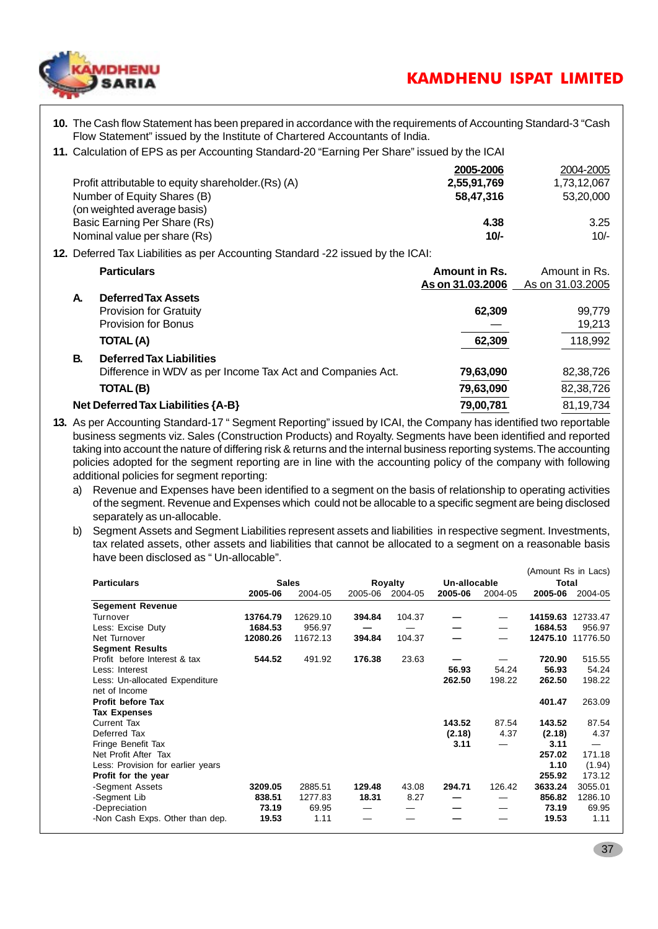

**10.** The Cash flow Statement has been prepared in accordance with the requirements of Accounting Standard-3 "Cash Flow Statement" issued by the Institute of Chartered Accountants of India.

**11.** Calculation of EPS as per Accounting Standard-20 "Earning Per Share" issued by the ICAI

|                                                     | 2005-2006   | 2004-2005   |
|-----------------------------------------------------|-------------|-------------|
| Profit attributable to equity shareholder. (Rs) (A) | 2,55,91,769 | 1,73,12,067 |
| Number of Equity Shares (B)                         | 58.47.316   | 53,20,000   |
| (on weighted average basis)                         |             |             |
| Basic Earning Per Share (Rs)                        | 4.38        | 3.25        |
| Nominal value per share (Rs)                        | $10/-$      | $10/-$      |

**12.** Deferred Tax Liabilities as per Accounting Standard -22 issued by the ICAI:

| <b>Particulars</b>                                         | Amount in Rs.    | Amount in Rs.    |
|------------------------------------------------------------|------------------|------------------|
|                                                            | As on 31,03,2006 | As on 31.03.2005 |
| <b>Deferred Tax Assets</b><br>А.                           |                  |                  |
| <b>Provision for Gratuity</b>                              | 62,309           | 99,779           |
| <b>Provision for Bonus</b>                                 |                  | 19,213           |
| TOTAL(A)                                                   | 62,309           | 118,992          |
| <b>Deferred Tax Liabilities</b><br>В.                      |                  |                  |
| Difference in WDV as per Income Tax Act and Companies Act. | 79,63,090        | 82,38,726        |
| TOTAL (B)                                                  | 79,63,090        | 82,38,726        |
| <b>Net Deferred Tax Liabilities {A-B}</b>                  | 79,00,781        | 81,19,734        |

**13.** As per Accounting Standard-17 " Segment Reporting" issued by ICAI, the Company has identified two reportable business segments viz. Sales (Construction Products) and Royalty. Segments have been identified and reported taking into account the nature of differing risk & returns and the internal business reporting systems. The accounting policies adopted for the segment reporting are in line with the accounting policy of the company with following additional policies for segment reporting:

- a) Revenue and Expenses have been identified to a segment on the basis of relationship to operating activities of the segment. Revenue and Expenses which could not be allocable to a specific segment are being disclosed separately as un-allocable.
- b) Segment Assets and Segment Liabilities represent assets and liabilities in respective segment. Investments, tax related assets, other assets and liabilities that cannot be allocated to a segment on a reasonable basis have been disclosed as " Un-allocable".

|                                   |          |              |         |         |              |         |          | (Amount Rs in Lacs) |
|-----------------------------------|----------|--------------|---------|---------|--------------|---------|----------|---------------------|
| <b>Particulars</b>                |          | <b>Sales</b> |         | Royalty | Un-allocable |         | Total    |                     |
|                                   | 2005-06  | 2004-05      | 2005-06 | 2004-05 | 2005-06      | 2004-05 | 2005-06  | 2004-05             |
| <b>Segement Revenue</b>           |          |              |         |         |              |         |          |                     |
| Turnover                          | 13764.79 | 12629.10     | 394.84  | 104.37  |              |         | 14159.63 | 12733.47            |
| Less: Excise Duty                 | 1684.53  | 956.97       |         |         |              |         | 1684.53  | 956.97              |
| Net Turnover                      | 12080.26 | 11672.13     | 394.84  | 104.37  |              |         | 12475.10 | 11776.50            |
| <b>Segment Results</b>            |          |              |         |         |              |         |          |                     |
| Profit before Interest & tax      | 544.52   | 491.92       | 176.38  | 23.63   |              |         | 720.90   | 515.55              |
| Less: Interest                    |          |              |         |         | 56.93        | 54.24   | 56.93    | 54.24               |
| Less: Un-allocated Expenditure    |          |              |         |         | 262.50       | 198.22  | 262.50   | 198.22              |
| net of Income                     |          |              |         |         |              |         |          |                     |
| <b>Profit before Tax</b>          |          |              |         |         |              |         | 401.47   | 263.09              |
| <b>Tax Expenses</b>               |          |              |         |         |              |         |          |                     |
| <b>Current Tax</b>                |          |              |         |         | 143.52       | 87.54   | 143.52   | 87.54               |
| Deferred Tax                      |          |              |         |         | (2.18)       | 4.37    | (2.18)   | 4.37                |
| Fringe Benefit Tax                |          |              |         |         | 3.11         |         | 3.11     |                     |
| Net Profit After Tax              |          |              |         |         |              |         | 257.02   | 171.18              |
| Less: Provision for earlier years |          |              |         |         |              |         | 1.10     | (1.94)              |
| Profit for the year               |          |              |         |         |              |         | 255.92   | 173.12              |
| -Segment Assets                   | 3209.05  | 2885.51      | 129.48  | 43.08   | 294.71       | 126.42  | 3633.24  | 3055.01             |
| -Segment Lib                      | 838.51   | 1277.83      | 18.31   | 8.27    |              |         | 856.82   | 1286.10             |
| -Depreciation                     | 73.19    | 69.95        |         |         |              |         | 73.19    | 69.95               |
| -Non Cash Exps. Other than dep.   | 19.53    | 1.11         |         |         |              |         | 19.53    | 1.11                |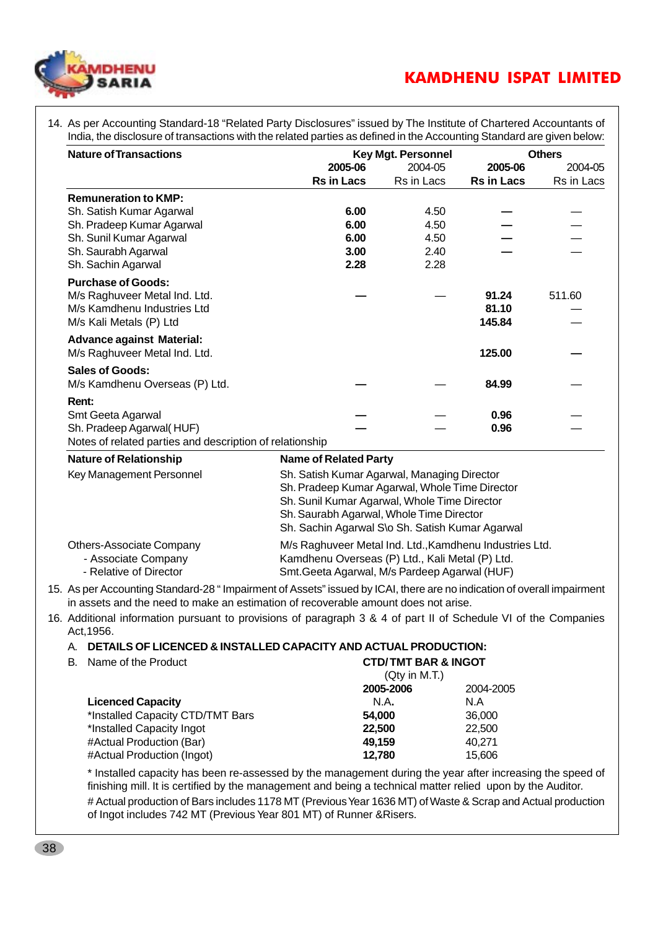

14. As per Accounting Standard-18 "Related Party Disclosures" issued by The Institute of Chartered Accountants of India, the disclosure of transactions with the related parties as defined in the Accounting Standard are given below:

| <b>Nature of Transactions</b>                            |                   | <b>Key Mgt. Personnel</b> |                   | <b>Others</b> |
|----------------------------------------------------------|-------------------|---------------------------|-------------------|---------------|
|                                                          | 2005-06           | 2004-05                   | 2005-06           | 2004-05       |
|                                                          | <b>Rs in Lacs</b> | Rs in Lacs                | <b>Rs in Lacs</b> | Rs in Lacs    |
| <b>Remuneration to KMP:</b>                              |                   |                           |                   |               |
| Sh. Satish Kumar Agarwal                                 | 6.00              | 4.50                      |                   |               |
| Sh. Pradeep Kumar Agarwal                                | 6.00              | 4.50                      |                   |               |
| Sh. Sunil Kumar Agarwal                                  | 6.00              | 4.50                      |                   |               |
| Sh. Saurabh Agarwal                                      | 3.00              | 2.40                      |                   |               |
| Sh. Sachin Agarwal                                       | 2.28              | 2.28                      |                   |               |
| <b>Purchase of Goods:</b>                                |                   |                           |                   |               |
| M/s Raghuveer Metal Ind. Ltd.                            |                   |                           | 91.24             | 511.60        |
| M/s Kamdhenu Industries Ltd                              |                   |                           | 81.10             |               |
| M/s Kali Metals (P) Ltd                                  |                   |                           | 145.84            |               |
| <b>Advance against Material:</b>                         |                   |                           |                   |               |
| M/s Raghuveer Metal Ind. Ltd.                            |                   |                           | 125.00            |               |
| <b>Sales of Goods:</b>                                   |                   |                           |                   |               |
| M/s Kamdhenu Overseas (P) Ltd.                           |                   |                           | 84.99             |               |
| Rent:                                                    |                   |                           |                   |               |
| Smt Geeta Agarwal                                        |                   |                           | 0.96              |               |
| Sh. Pradeep Agarwal(HUF)                                 |                   |                           | 0.96              |               |
| Notes of related parties and description of relationship |                   |                           |                   |               |

| <b>Nature of Relationship</b> | <b>Name of Related Party</b>                            |
|-------------------------------|---------------------------------------------------------|
| Key Management Personnel      | Sh. Satish Kumar Agarwal, Managing Director             |
|                               | Sh. Pradeep Kumar Agarwal, Whole Time Director          |
|                               | Sh. Sunil Kumar Agarwal, Whole Time Director            |
|                               | Sh. Saurabh Agarwal, Whole Time Director                |
|                               | Sh. Sachin Agarwal S\o Sh. Satish Kumar Agarwal         |
| Others-Associate Company      | M/s Raghuveer Metal Ind. Ltd., Kamdhenu Industries Ltd. |
| - Associate Company           | Kamdhenu Overseas (P) Ltd., Kali Metal (P) Ltd.         |
| - Relative of Director        | Smt. Geeta Agarwal, M/s Pardeep Agarwal (HUF)           |

15. As per Accounting Standard-28 " Impairment of Assets" issued by ICAI, there are no indication of overall impairment in assets and the need to make an estimation of recoverable amount does not arise.

16. Additional information pursuant to provisions of paragraph 3 & 4 of part II of Schedule VI of the Companies Act,1956.

#### A. **DETAILS OF LICENCED & INSTALLED CAPACITY AND ACTUAL PRODUCTION:**

B. Name of the Product **CTD/ TMT BAR & INGOT** (Qty in M.T.) **2005-2006** 2004-2005 **Licenced Capacity** N.A**.** N.A \*Installed Capacity CTD/TMT Bars **54,000** 36,000 \*Installed Capacity Ingot **22,500** 22,500 #Actual Production (Bar) **49,159** 40,271 #Actual Production (Ingot) **12,780** 15,606

\* Installed capacity has been re-assessed by the management during the year after increasing the speed of finishing mill. It is certified by the management and being a technical matter relied upon by the Auditor.

# Actual production of Bars includes 1178 MT (Previous Year 1636 MT) of Waste & Scrap and Actual production of Ingot includes 742 MT (Previous Year 801 MT) of Runner &Risers.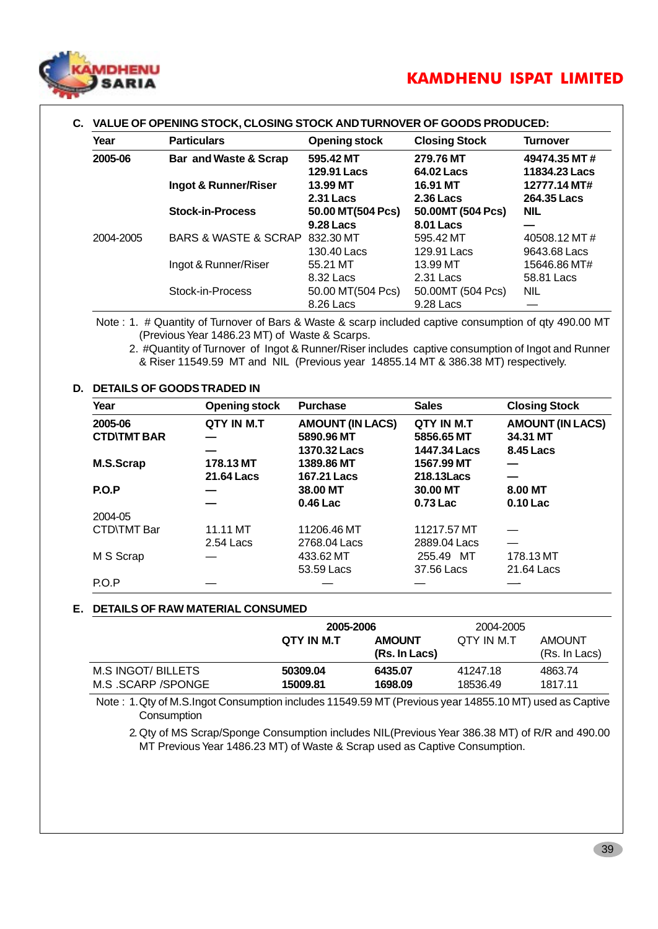

| Year      | <b>Particulars</b>                  | <b>Opening stock</b>                  | <b>Closing Stock</b>           | <b>Turnover</b>               |
|-----------|-------------------------------------|---------------------------------------|--------------------------------|-------------------------------|
| 2005-06   | <b>Bar and Waste &amp; Scrap</b>    | 595.42 MT<br>129.91 Lacs              | 279.76 MT<br>64.02 Lacs        | 49474.35 MT#<br>11834.23 Lacs |
|           | Ingot & Runner/Riser                | 13.99 MT<br><b>2.31 Lacs</b>          | 16.91 MT<br><b>2.36 Lacs</b>   | 12777.14 MT#<br>264.35 Lacs   |
|           | <b>Stock-in-Process</b>             | 50.00 MT(504 Pcs)<br><b>9.28 Lacs</b> | 50.00MT (504 Pcs)<br>8.01 Lacs | <b>NIL</b>                    |
| 2004-2005 | <b>BARS &amp; WASTE &amp; SCRAP</b> | 832.30 MT<br>130.40 Lacs              | 595.42 MT<br>129.91 Lacs       | 40508.12 MT#<br>9643.68 Lacs  |
|           | Ingot & Runner/Riser                | 55.21 MT<br>8.32 Lacs                 | 13.99 MT<br>2.31 Lacs          | 15646.86 MT#<br>58.81 Lacs    |
|           | Stock-in-Process                    | 50.00 MT(504 Pcs)<br>8.26 Lacs        | 50.00MT (504 Pcs)<br>9.28 Lacs | <b>NIL</b>                    |

Note : 1. # Quantity of Turnover of Bars & Waste & scarp included captive consumption of qty 490.00 MT (Previous Year 1486.23 MT) of Waste & Scarps.

2. #Quantity of Turnover of Ingot & Runner/Riser includes captive consumption of Ingot and Runner & Riser 11549.59 MT and NIL (Previous year 14855.14 MT & 386.38 MT) respectively.

## **D. DETAILS OF GOODS TRADED IN**

| Year               | <b>Opening stock</b> | <b>Purchase</b>         | <b>Sales</b> | <b>Closing Stock</b>    |
|--------------------|----------------------|-------------------------|--------------|-------------------------|
| 2005-06            | QTY IN M.T           | <b>AMOUNT (IN LACS)</b> | QTY IN M.T   | <b>AMOUNT (IN LACS)</b> |
| <b>CTD\TMT BAR</b> |                      | 5890.96 MT              | 5856.65 MT   | 34.31 MT                |
|                    |                      | 1370.32 Lacs            | 1447.34 Lacs | 8.45 Lacs               |
| M.S.Scrap          | 178.13 MT            | 1389.86 MT              | 1567.99 MT   |                         |
|                    | <b>21.64 Lacs</b>    | 167.21 Lacs             | 218.13 Lacs  |                         |
| P.O.P              |                      | 38.00 MT                | 30.00 MT     | 8.00 MT                 |
|                    |                      | 0.46 Lac                | 0.73 Lac     | $0.10$ Lac              |
| 2004-05            |                      |                         |              |                         |
| <b>CTD\TMT Bar</b> | 11.11 MT             | 11206.46 MT             | 11217.57 MT  |                         |
|                    | 2.54 Lacs            | 2768.04 Lacs            | 2889.04 Lacs |                         |
| M S Scrap          |                      | 433.62 MT               | 255.49 MT    | 178.13 MT               |
|                    |                      | 53.59 Lacs              | 37.56 Lacs   | 21.64 Lacs              |
| P.O.P              |                      |                         |              |                         |

#### **E. DETAILS OF RAW MATERIAL CONSUMED**

|                     | 2005-2006  |               | 2004-2005  |               |
|---------------------|------------|---------------|------------|---------------|
|                     | QTY IN M.T | <b>AMOUNT</b> | OTY IN M.T | <b>AMOUNT</b> |
|                     |            | (Rs. In Lacs) |            | (Rs. In Lacs) |
| M.S INGOT/BILLETS   | 50309.04   | 6435.07       | 41247.18   | 4863.74       |
| M.S. SCARP / SPONGE | 15009.81   | 1698.09       | 18536.49   | 1817.11       |

Note : 1.Qty of M.S.Ingot Consumption includes 11549.59 MT (Previous year 14855.10 MT) used as Captive **Consumption** 

2. Qty of MS Scrap/Sponge Consumption includes NIL(Previous Year 386.38 MT) of R/R and 490.00 MT Previous Year 1486.23 MT) of Waste & Scrap used as Captive Consumption.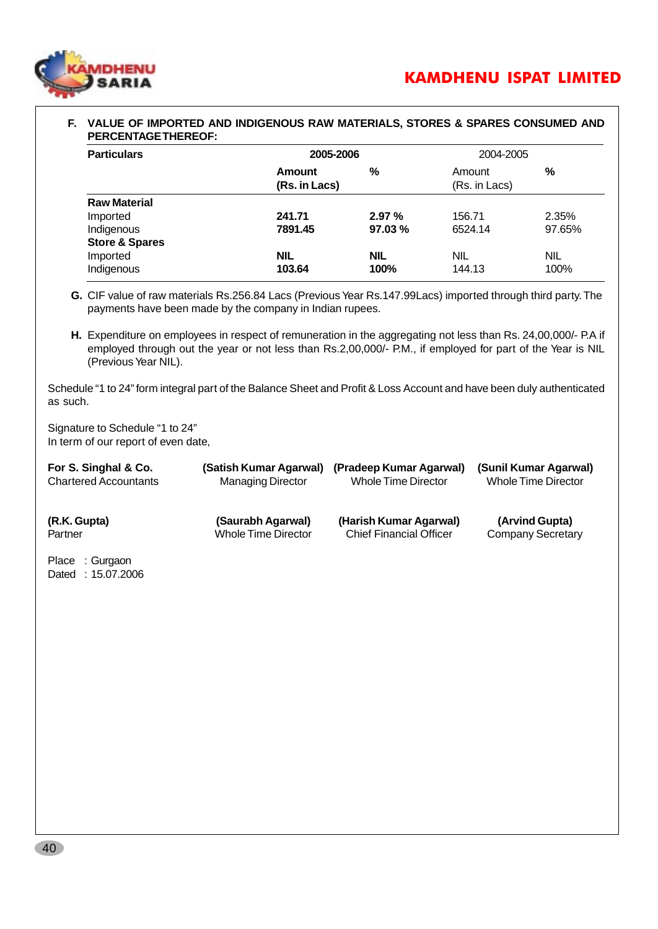

### **F. VALUE OF IMPORTED AND INDIGENOUS RAW MATERIALS, STORES & SPARES CONSUMED AND PERCENTAGE THEREOF:**

| <b>Particulars</b>        |                         | 2005-2006<br>2004-2005 |                         |        |
|---------------------------|-------------------------|------------------------|-------------------------|--------|
|                           | Amount<br>(Rs. in Lacs) | %                      | Amount<br>(Rs. in Lacs) | %      |
| <b>Raw Material</b>       |                         |                        |                         |        |
| Imported                  | 241.71                  | 2.97%                  | 156.71                  | 2.35%  |
| Indigenous                | 7891.45                 | 97.03%                 | 6524.14                 | 97.65% |
| <b>Store &amp; Spares</b> |                         |                        |                         |        |
| Imported                  | <b>NIL</b>              | <b>NIL</b>             | <b>NIL</b>              | NIL    |
| Indigenous                | 103.64                  | 100%                   | 144.13                  | 100%   |

**G.** CIF value of raw materials Rs.256.84 Lacs (Previous Year Rs.147.99Lacs) imported through third party. The payments have been made by the company in Indian rupees.

**H.** Expenditure on employees in respect of remuneration in the aggregating not less than Rs. 24,00,000/- P.A if employed through out the year or not less than Rs.2,00,000/- P.M., if employed for part of the Year is NIL (Previous Year NIL).

Schedule "1 to 24" form integral part of the Balance Sheet and Profit & Loss Account and have been duly authenticated as such.

Signature to Schedule "1 to 24" In term of our report of even date,

| For S. Singhal & Co.                        | (Satish Kumar Agarwal)   | (Pradeep Kumar Agarwal)        | (Sunil Kumar Agarwal)    |
|---------------------------------------------|--------------------------|--------------------------------|--------------------------|
| <b>Chartered Accountants</b>                | <b>Managing Director</b> | Whole Time Director            | Whole Time Director      |
| (R.K. Gupta)                                | (Saurabh Agarwal)        | (Harish Kumar Agarwal)         | (Arvind Gupta)           |
| Partner                                     | Whole Time Director      | <b>Chief Financial Officer</b> | <b>Company Secretary</b> |
| : Gurgaon<br>Place<br>: 15.07.2006<br>Dated |                          |                                |                          |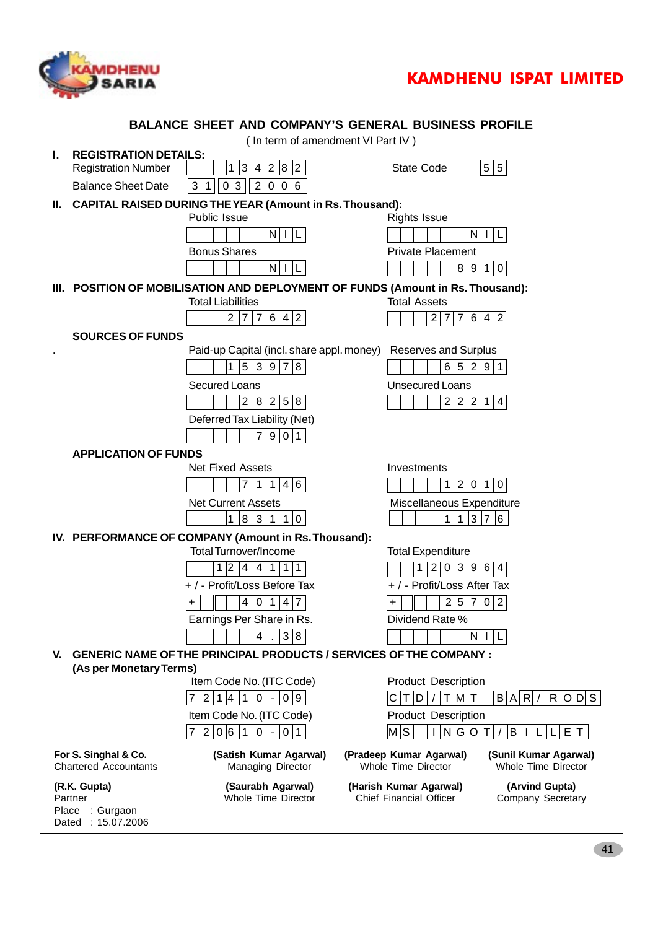

|       |                                                            | <b>BALANCE SHEET AND COMPANY'S GENERAL BUSINESS PROFILE</b>                     |                                                          |                                              |  |
|-------|------------------------------------------------------------|---------------------------------------------------------------------------------|----------------------------------------------------------|----------------------------------------------|--|
|       | (In term of amendment VI Part IV)                          |                                                                                 |                                                          |                                              |  |
| L.    | <b>REGISTRATION DETAILS:</b>                               |                                                                                 |                                                          |                                              |  |
|       | <b>Registration Number</b>                                 | 3<br> 4 2 8<br> 2 <br>$\mathbf 1$                                               | State Code                                               | 5 5                                          |  |
|       | <b>Balance Sheet Date</b>                                  | 2 0<br> 0 6<br>3<br>3 <sup>1</sup><br> 0 <br>$\mathbf{1}$                       |                                                          |                                              |  |
|       |                                                            | II. CAPITAL RAISED DURING THE YEAR (Amount in Rs. Thousand):                    |                                                          |                                              |  |
|       |                                                            | Public Issue                                                                    | <b>Rights Issue</b>                                      |                                              |  |
|       |                                                            | $N$   $ $   $ $                                                                 | $\mathsf{N}$                                             | 11L                                          |  |
|       |                                                            | <b>Bonus Shares</b>                                                             | <b>Private Placement</b>                                 |                                              |  |
|       |                                                            | $N$   $\vert$<br>L                                                              | 8 9                                                      | 1 0                                          |  |
|       |                                                            | III. POSITION OF MOBILISATION AND DEPLOYMENT OF FUNDS (Amount in Rs. Thousand): |                                                          |                                              |  |
|       |                                                            | <b>Total Liabilities</b>                                                        | <b>Total Assets</b>                                      |                                              |  |
|       |                                                            | 2 7 <br> 7 6 4 2                                                                | 2 7<br>7 6 4 2                                           |                                              |  |
|       | <b>SOURCES OF FUNDS</b>                                    |                                                                                 |                                                          |                                              |  |
|       |                                                            | Paid-up Capital (incl. share appl. money) Reserves and Surplus                  |                                                          |                                              |  |
|       |                                                            | 1 5 3 9 7 8                                                                     | 6 5 2 9 1                                                |                                              |  |
|       |                                                            | <b>Secured Loans</b>                                                            | <b>Unsecured Loans</b>                                   |                                              |  |
|       |                                                            | 2 8 2 5 8                                                                       | 2 2 2                                                    | 1 4                                          |  |
|       |                                                            | Deferred Tax Liability (Net)                                                    |                                                          |                                              |  |
|       |                                                            | $\overline{7}$<br>9<br> 0 <br>$\mathbf{1}$                                      |                                                          |                                              |  |
|       | <b>APPLICATION OF FUNDS</b>                                |                                                                                 |                                                          |                                              |  |
|       |                                                            | <b>Net Fixed Assets</b>                                                         | Investments                                              |                                              |  |
|       |                                                            | $\overline{7}$<br>4 6<br>$1 \mid 1$                                             | 2 0 <br>1                                                | 1 0                                          |  |
|       |                                                            | <b>Net Current Assets</b>                                                       | Miscellaneous Expenditure                                |                                              |  |
|       |                                                            | 8<br> 3 <br>1<br>1 1 0                                                          | $1\vert 3$<br>1                                          | 7 6                                          |  |
|       |                                                            | IV. PERFORMANCE OF COMPANY (Amount in Rs. Thousand):                            |                                                          |                                              |  |
|       |                                                            | <b>Total Turnover/Income</b>                                                    | <b>Total Expenditure</b>                                 |                                              |  |
|       |                                                            | 1 2<br>4 4<br>$\mathbf{1}$<br>$\mathbf{1}$<br>1                                 | 1<br>$\sqrt{2}$ 0 3 9                                    | 6 4                                          |  |
|       |                                                            | +/- Profit/Loss Before Tax                                                      | +/- Profit/Loss After Tax                                |                                              |  |
|       |                                                            | $\left  \left  \left  4 \right  0 \right  1 \left  4 \right  7 \right $         | 2 5 7 0 2                                                |                                              |  |
|       |                                                            | Earnings Per Share in Rs.                                                       | Dividend Rate %                                          |                                              |  |
|       |                                                            | 3 8<br>4                                                                        | N                                                        | L<br>Ι.                                      |  |
| V.    |                                                            | <b>GENERIC NAME OF THE PRINCIPAL PRODUCTS / SERVICES OF THE COMPANY:</b>        |                                                          |                                              |  |
|       | (As per Monetary Terms)                                    |                                                                                 |                                                          |                                              |  |
|       |                                                            | Item Code No. (ITC Code)                                                        | <b>Product Description</b>                               |                                              |  |
|       |                                                            | $\overline{2}$<br>1 4<br>1<br>$\mathbf 0$<br>9<br>0<br>7<br>$\blacksquare$      | D<br>$T$ M T<br>С<br>Τ                                   | R O<br>B A R /<br>D S                        |  |
|       |                                                            | Item Code No. (ITC Code)                                                        | <b>Product Description</b>                               |                                              |  |
|       |                                                            | 2 0 6 <br>0<br>1<br>$\overline{0}$<br>1<br>7<br>$\overline{\phantom{a}}$        | M S <br>N G O <br>$\mathsf{L}$                           | B<br>E T<br>T<br>L<br>L.<br>$\mathbf{I}$     |  |
|       | For S. Singhal & Co.<br><b>Chartered Accountants</b>       | (Satish Kumar Agarwal)<br>Managing Director                                     | (Pradeep Kumar Agarwal)<br>Whole Time Director           | (Sunil Kumar Agarwal)<br>Whole Time Director |  |
| Place | (R.K. Gupta)<br>Partner<br>: Gurgaon<br>Dated : 15.07.2006 | (Saurabh Agarwal)<br><b>Whole Time Director</b>                                 | (Harish Kumar Agarwal)<br><b>Chief Financial Officer</b> | (Arvind Gupta)<br><b>Company Secretary</b>   |  |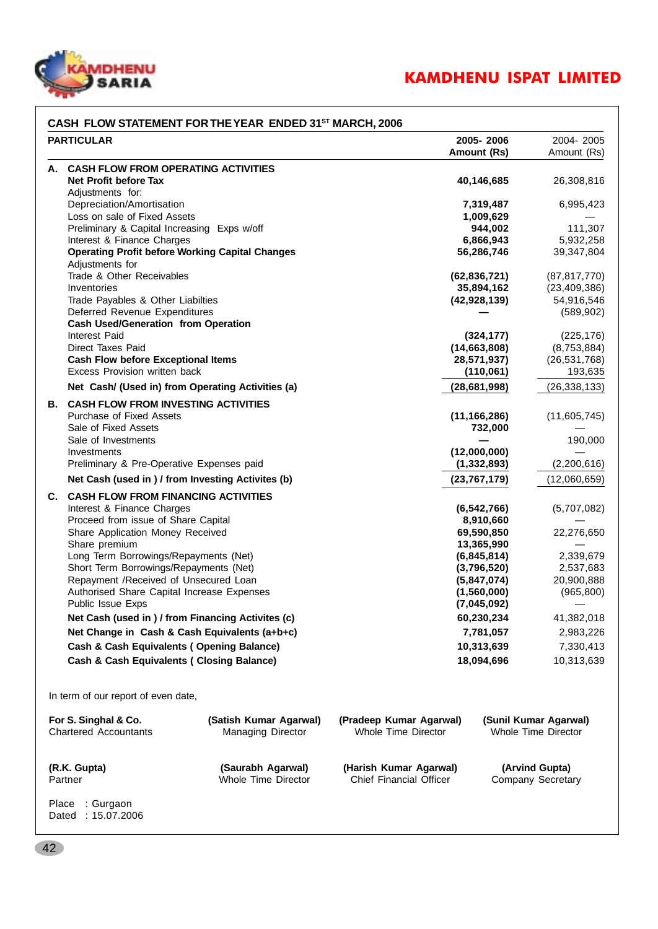

## **CASH FLOW STATEMENT FOR THE YEAR ENDED 31ST MARCH, 2006**

| <b>PARTICULAR</b>                                                         |                                                 |                                                          | 2005-2006<br>Amount (Rs)    | 2004-2005<br>Amount (Rs)                     |
|---------------------------------------------------------------------------|-------------------------------------------------|----------------------------------------------------------|-----------------------------|----------------------------------------------|
| A. CASH FLOW FROM OPERATING ACTIVITIES                                    |                                                 |                                                          |                             |                                              |
| Net Profit before Tax                                                     |                                                 |                                                          | 40,146,685                  | 26,308,816                                   |
| Adjustments for:                                                          |                                                 |                                                          |                             |                                              |
| Depreciation/Amortisation                                                 |                                                 |                                                          | 7,319,487                   | 6,995,423                                    |
| Loss on sale of Fixed Assets                                              |                                                 |                                                          | 1,009,629                   |                                              |
| Preliminary & Capital Increasing Exps w/off                               |                                                 |                                                          | 944,002                     | 111,307                                      |
| Interest & Finance Charges                                                |                                                 |                                                          | 6,866,943<br>56,286,746     | 5,932,258<br>39,347,804                      |
| <b>Operating Profit before Working Capital Changes</b><br>Adjustments for |                                                 |                                                          |                             |                                              |
| Trade & Other Receivables                                                 |                                                 |                                                          | (62, 836, 721)              | (87, 817, 770)                               |
| Inventories                                                               |                                                 |                                                          | 35,894,162                  | (23, 409, 386)                               |
| Trade Payables & Other Liabilties                                         |                                                 |                                                          | (42, 928, 139)              | 54,916,546                                   |
| Deferred Revenue Expenditures                                             |                                                 |                                                          |                             | (589, 902)                                   |
| <b>Cash Used/Generation from Operation</b>                                |                                                 |                                                          |                             |                                              |
| Interest Paid<br>Direct Taxes Paid                                        |                                                 |                                                          | (324, 177)                  | (225, 176)                                   |
| <b>Cash Flow before Exceptional Items</b>                                 |                                                 |                                                          | (14,663,808)<br>28,571,937) | (8,753,884)<br>(26, 531, 768)                |
| Excess Provision written back                                             |                                                 |                                                          | (110, 061)                  | 193,635                                      |
| Net Cash/ (Used in) from Operating Activities (a)                         |                                                 |                                                          | (28, 681, 998)              | (26, 338, 133)                               |
|                                                                           |                                                 |                                                          |                             |                                              |
| <b>B. CASH FLOW FROM INVESTING ACTIVITIES</b>                             |                                                 |                                                          |                             |                                              |
| Purchase of Fixed Assets<br>Sale of Fixed Assets                          |                                                 |                                                          | (11, 166, 286)              | (11,605,745)                                 |
| Sale of Investments                                                       |                                                 |                                                          | 732,000                     | 190,000                                      |
| Investments                                                               |                                                 |                                                          | (12,000,000)                |                                              |
| Preliminary & Pre-Operative Expenses paid                                 |                                                 |                                                          | (1, 332, 893)               | (2,200,616)                                  |
| Net Cash (used in ) / from Investing Activites (b)                        |                                                 |                                                          | (23, 767, 179)              | (12,060,659)                                 |
|                                                                           |                                                 |                                                          |                             |                                              |
| C. CASH FLOW FROM FINANCING ACTIVITIES<br>Interest & Finance Charges      |                                                 |                                                          | (6, 542, 766)               | (5,707,082)                                  |
| Proceed from issue of Share Capital                                       |                                                 |                                                          | 8,910,660                   |                                              |
| Share Application Money Received                                          |                                                 |                                                          | 69,590,850                  | 22,276,650                                   |
| Share premium                                                             |                                                 |                                                          | 13,365,990                  |                                              |
| Long Term Borrowings/Repayments (Net)                                     |                                                 |                                                          | (6,845,814)                 | 2,339,679                                    |
| Short Term Borrowings/Repayments (Net)                                    |                                                 |                                                          | (3,796,520)                 | 2,537,683                                    |
| Repayment /Received of Unsecured Loan                                     |                                                 |                                                          | (5,847,074)                 | 20,900,888                                   |
| Authorised Share Capital Increase Expenses                                |                                                 |                                                          | (1,560,000)                 | (965, 800)                                   |
| Public Issue Exps                                                         |                                                 |                                                          | (7,045,092)                 |                                              |
| Net Cash (used in ) / from Financing Activites (c)                        |                                                 |                                                          | 60,230,234                  | 41,382,018                                   |
| Net Change in Cash & Cash Equivalents (a+b+c)                             |                                                 |                                                          | 7,781,057                   | 2,983,226                                    |
| Cash & Cash Equivalents (Opening Balance)                                 |                                                 |                                                          | 10,313,639                  | 7,330,413                                    |
| <b>Cash &amp; Cash Equivalents ( Closing Balance)</b>                     |                                                 |                                                          | 18,094,696                  | 10,313,639                                   |
| In term of our report of even date,                                       |                                                 |                                                          |                             |                                              |
| For S. Singhal & Co.<br><b>Chartered Accountants</b>                      | (Satish Kumar Agarwal)<br>Managing Director     | (Pradeep Kumar Agarwal)<br>Whole Time Director           |                             | (Sunil Kumar Agarwal)<br>Whole Time Director |
| (R.K. Gupta)<br>Partner                                                   | (Saurabh Agarwal)<br><b>Whole Time Director</b> | (Harish Kumar Agarwal)<br><b>Chief Financial Officer</b> |                             | (Arvind Gupta)<br>Company Secretary          |
| Place<br>: Gurgaon<br>Dated : 15.07.2006                                  |                                                 |                                                          |                             |                                              |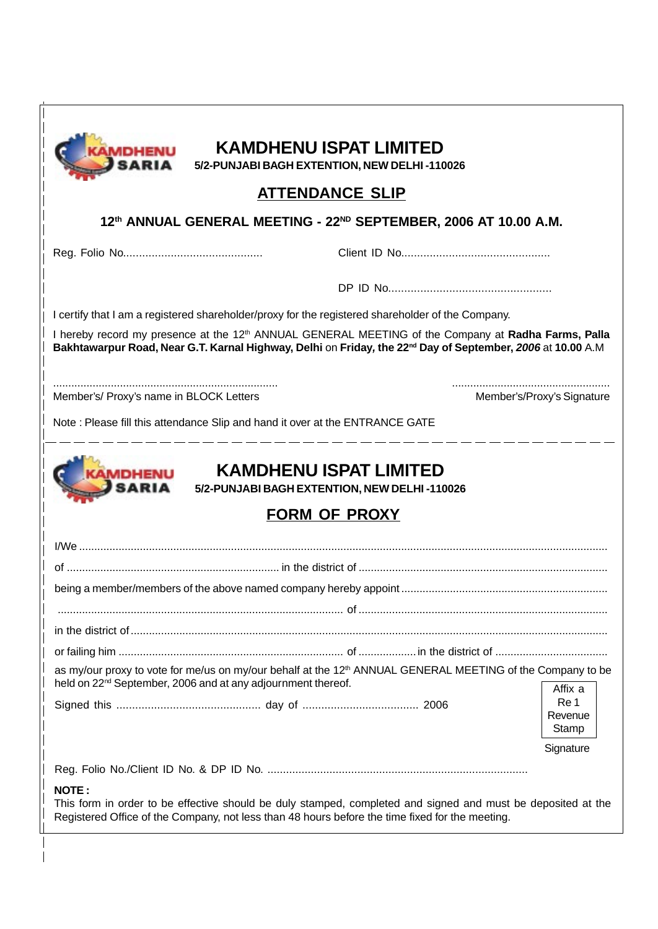|                                                                          | <b>KAMDHENU ISPAT LIMITED</b><br>5/2-PUNJABI BAGH EXTENTION, NEW DELHI-110026                                                                                                                                                             |                            |
|--------------------------------------------------------------------------|-------------------------------------------------------------------------------------------------------------------------------------------------------------------------------------------------------------------------------------------|----------------------------|
|                                                                          | <b>ATTENDANCE SLIP</b>                                                                                                                                                                                                                    |                            |
|                                                                          | 12th ANNUAL GENERAL MEETING - 22ND SEPTEMBER, 2006 AT 10.00 A.M.                                                                                                                                                                          |                            |
|                                                                          |                                                                                                                                                                                                                                           |                            |
|                                                                          |                                                                                                                                                                                                                                           |                            |
|                                                                          | I certify that I am a registered shareholder/proxy for the registered shareholder of the Company.                                                                                                                                         |                            |
|                                                                          | I hereby record my presence at the 12 <sup>th</sup> ANNUAL GENERAL MEETING of the Company at Radha Farms, Palla<br>Bakhtawarpur Road, Near G.T. Karnal Highway, Delhi on Friday, the 22 <sup>nd</sup> Day of September, 2006 at 10.00 A.M |                            |
| Member's/ Proxy's name in BLOCK Letters                                  |                                                                                                                                                                                                                                           | Member's/Proxy's Signature |
|                                                                          | Note: Please fill this attendance Slip and hand it over at the ENTRANCE GATE                                                                                                                                                              |                            |
|                                                                          | <b>FORM OF PROXY</b>                                                                                                                                                                                                                      |                            |
|                                                                          |                                                                                                                                                                                                                                           |                            |
|                                                                          |                                                                                                                                                                                                                                           |                            |
|                                                                          |                                                                                                                                                                                                                                           |                            |
|                                                                          |                                                                                                                                                                                                                                           |                            |
|                                                                          |                                                                                                                                                                                                                                           |                            |
| held on 22 <sup>nd</sup> September, 2006 and at any adjournment thereof. | as my/our proxy to vote for me/us on my/our behalf at the 12 <sup>th</sup> ANNUAL GENERAL MEETING of the Company to be                                                                                                                    | Affix a                    |
|                                                                          |                                                                                                                                                                                                                                           | Re 1<br>Revenue<br>Stamp   |
|                                                                          |                                                                                                                                                                                                                                           | Signature                  |
|                                                                          |                                                                                                                                                                                                                                           |                            |
| <b>NOTE:</b>                                                             | This form in order to be effective should be duly stamped, completed and signed and must be deposited at the<br>Registered Office of the Company, not less than 48 hours before the time fixed for the meeting.                           |                            |